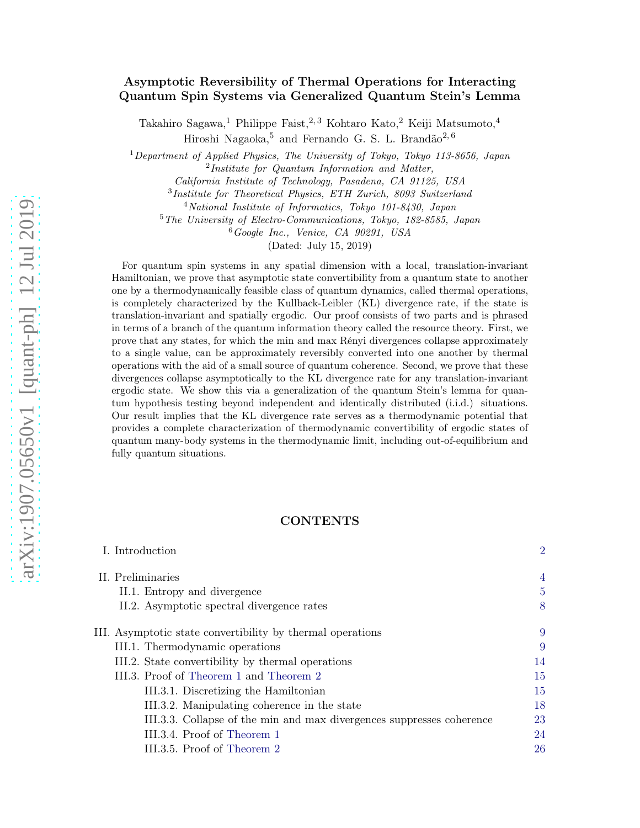# Asymptotic Reversibility of Thermal Operations for Interacting Quantum Spin Systems via Generalized Quantum Stein's Lemma

Takahiro Sagawa,<br/> $^1$ Philippe Faist, $^{2,\,3}$  Kohtaro Kato,<br/>² Keiji Matsumoto, $^4$ Hiroshi Nagaoka, 5 and Fernando G. S. L. Brandão<sup>2, 6</sup>

<sup>1</sup>*Department of Applied Physics, The University of Tokyo, Tokyo 113-8656, Japan* 2 *Institute for Quantum Information and Matter,*

*California Institute of Technology, Pasadena, CA 91125, USA*

3 *Institute for Theoretical Physics, ETH Zurich, 8093 Switzerland*

<sup>4</sup>*National Institute of Informatics, Tokyo 101-8430, Japan*

<sup>5</sup>*The University of Electro-Communications, Tokyo, 182-8585, Japan*

<sup>6</sup>*Google Inc., Venice, CA 90291, USA*

(Dated: July 15, 2019)

For quantum spin systems in any spatial dimension with a local, translation-invariant Hamiltonian, we prove that asymptotic state convertibility from a quantum state to another one by a thermodynamically feasible class of quantum dynamics, called thermal operations, is completely characterized by the Kullback-Leibler (KL) divergence rate, if the state is translation-invariant and spatially ergodic. Our proof consists of two parts and is phrased in terms of a branch of the quantum information theory called the resource theory. First, we prove that any states, for which the min and max Rényi divergences collapse approximately to a single value, can be approximately reversibly converted into one another by thermal operations with the aid of a small source of quantum coherence. Second, we prove that these divergences collapse asymptotically to the KL divergence rate for any translation-invariant ergodic state. We show this via a generalization of the quantum Stein's lemma for quantum hypothesis testing beyond independent and identically distributed (i.i.d.) situations. Our result implies that the KL divergence rate serves as a thermodynamic potential that provides a complete characterization of thermodynamic convertibility of ergodic states of quantum many-body systems in the thermodynamic limit, including out-of-equilibrium and fully quantum situations.

### CONTENTS

| I. Introduction                                                       | $\overline{2}$ |
|-----------------------------------------------------------------------|----------------|
| II. Preliminaries                                                     | $\overline{4}$ |
| II.1. Entropy and divergence                                          | 5              |
| II.2. Asymptotic spectral divergence rates                            | 8              |
| III. Asymptotic state convertibility by thermal operations            | 9              |
| III.1. Thermodynamic operations                                       | 9              |
| III.2. State convertibility by thermal operations                     | 14             |
| III.3. Proof of Theorem 1 and Theorem 2                               | 15             |
| III.3.1. Discretizing the Hamiltonian                                 | 15             |
| III.3.2. Manipulating coherence in the state                          | 18             |
| III.3.3. Collapse of the min and max divergences suppresses coherence | 23             |
| III.3.4. Proof of Theorem 1                                           | 24             |
| III.3.5. Proof of Theorem 2                                           | 26             |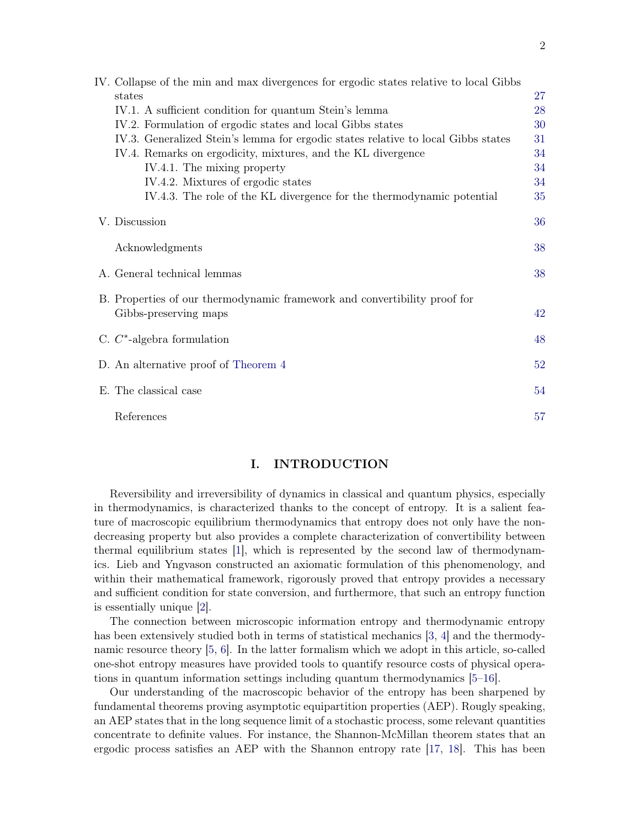| IV. Collapse of the min and max divergences for ergodic states relative to local Gibbs |    |
|----------------------------------------------------------------------------------------|----|
| states                                                                                 | 27 |
| IV.1. A sufficient condition for quantum Stein's lemma                                 | 28 |
| IV.2. Formulation of ergodic states and local Gibbs states                             | 30 |
| IV.3. Generalized Stein's lemma for ergodic states relative to local Gibbs states      | 31 |
| IV.4. Remarks on ergodicity, mixtures, and the KL divergence                           | 34 |
| IV.4.1. The mixing property                                                            | 34 |
| IV.4.2. Mixtures of ergodic states                                                     | 34 |
| IV.4.3. The role of the KL divergence for the thermodynamic potential                  | 35 |
| V. Discussion                                                                          | 36 |
| Acknowledgments                                                                        | 38 |
| A. General technical lemmas                                                            | 38 |
| B. Properties of our thermodynamic framework and convertibility proof for              |    |
| Gibbs-preserving maps                                                                  | 42 |
|                                                                                        |    |
| C. $C^*$ -algebra formulation                                                          | 48 |
| D. An alternative proof of Theorem 4                                                   | 52 |
| E. The classical case                                                                  | 54 |
| References                                                                             | 57 |

## <span id="page-1-0"></span>I. INTRODUCTION

Reversibility and irreversibility of dynamics in classical and quantum physics, especially in thermodynamics, is characterized thanks to the concept of entropy. It is a salient feature of macroscopic equilibrium thermodynamics that entropy does not only have the nondecreasing property but also provides a complete characterization of convertibility between thermal equilibrium states [\[1\]](#page-56-1), which is represented by the second law of thermodynamics. Lieb and Yngvason constructed an axiomatic formulation of this phenomenology, and within their mathematical framework, rigorously proved that entropy provides a necessary and sufficient condition for state conversion, and furthermore, that such an entropy function is essentially unique [\[2\]](#page-57-0).

The connection between microscopic information entropy and thermodynamic entropy has been extensively studied both in terms of statistical mechanics [\[3](#page-57-1), [4](#page-57-2)] and the thermodynamic resource theory [\[5,](#page-57-3) [6](#page-57-4)]. In the latter formalism which we adopt in this article, so-called one-shot entropy measures have provided tools to quantify resource costs of physical operations in quantum information settings including quantum thermodynamics [\[5](#page-57-3)[–16](#page-57-5)].

Our understanding of the macroscopic behavior of the entropy has been sharpened by fundamental theorems proving asymptotic equipartition properties (AEP). Rougly speaking, an AEP states that in the long sequence limit of a stochastic process, some relevant quantities concentrate to definite values. For instance, the Shannon-McMillan theorem states that an ergodic process satisfies an AEP with the Shannon entropy rate [\[17](#page-57-6), [18\]](#page-57-7). This has been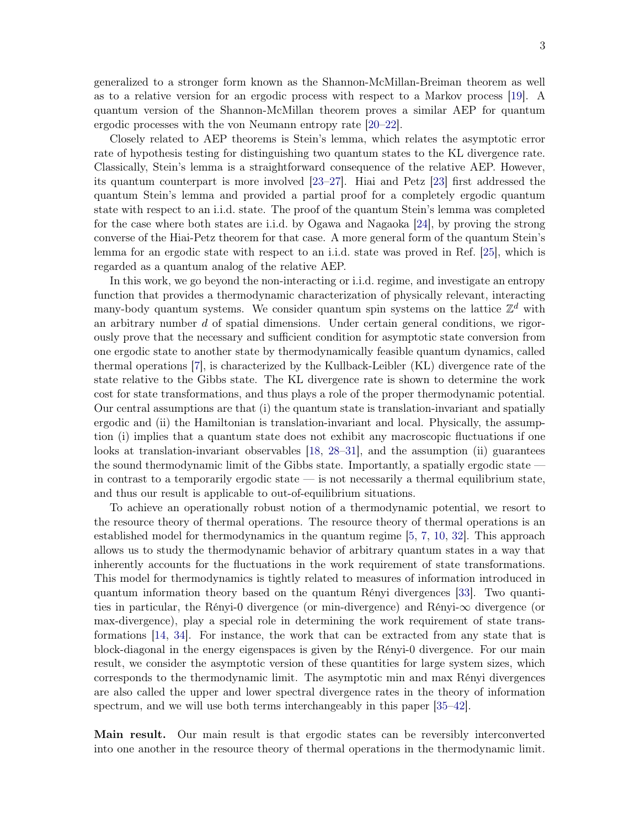generalized to a stronger form known as the Shannon-McMillan-Breiman theorem as well as to a relative version for an ergodic process with respect to a Markov process [\[19\]](#page-57-8). A quantum version of the Shannon-McMillan theorem proves a similar AEP for quantum ergodic processes with the von Neumann entropy rate [\[20](#page-57-9)[–22](#page-57-10)].

Closely related to AEP theorems is Stein's lemma, which relates the asymptotic error rate of hypothesis testing for distinguishing two quantum states to the KL divergence rate. Classically, Stein's lemma is a straightforward consequence of the relative AEP. However, its quantum counterpart is more involved [\[23](#page-58-0)[–27](#page-58-1)]. Hiai and Petz [\[23](#page-58-0)] first addressed the quantum Stein's lemma and provided a partial proof for a completely ergodic quantum state with respect to an i.i.d. state. The proof of the quantum Stein's lemma was completed for the case where both states are i.i.d. by Ogawa and Nagaoka [\[24](#page-58-2)], by proving the strong converse of the Hiai-Petz theorem for that case. A more general form of the quantum Stein's lemma for an ergodic state with respect to an i.i.d. state was proved in Ref. [\[25](#page-58-3)], which is regarded as a quantum analog of the relative AEP.

In this work, we go beyond the non-interacting or i.i.d. regime, and investigate an entropy function that provides a thermodynamic characterization of physically relevant, interacting many-body quantum systems. We consider quantum spin systems on the lattice  $\mathbb{Z}^d$  with an arbitrary number  $d$  of spatial dimensions. Under certain general conditions, we rigorously prove that the necessary and sufficient condition for asymptotic state conversion from one ergodic state to another state by thermodynamically feasible quantum dynamics, called thermal operations [\[7](#page-57-11)], is characterized by the Kullback-Leibler (KL) divergence rate of the state relative to the Gibbs state. The KL divergence rate is shown to determine the work cost for state transformations, and thus plays a role of the proper thermodynamic potential. Our central assumptions are that (i) the quantum state is translation-invariant and spatially ergodic and (ii) the Hamiltonian is translation-invariant and local. Physically, the assumption (i) implies that a quantum state does not exhibit any macroscopic fluctuations if one looks at translation-invariant observables [\[18](#page-57-7), [28](#page-58-4)[–31](#page-58-5)], and the assumption (ii) guarantees the sound thermodynamic limit of the Gibbs state. Importantly, a spatially ergodic state in contrast to a temporarily ergodic state  $-$  is not necessarily a thermal equilibrium state, and thus our result is applicable to out-of-equilibrium situations.

To achieve an operationally robust notion of a thermodynamic potential, we resort to the resource theory of thermal operations. The resource theory of thermal operations is an established model for thermodynamics in the quantum regime [\[5](#page-57-3), [7](#page-57-11), [10,](#page-57-12) [32](#page-58-6)]. This approach allows us to study the thermodynamic behavior of arbitrary quantum states in a way that inherently accounts for the fluctuations in the work requirement of state transformations. This model for thermodynamics is tightly related to measures of information introduced in quantum information theory based on the quantum Rényi divergences [\[33\]](#page-58-7). Two quantities in particular, the Rényi-0 divergence (or min-divergence) and Rényi-∞ divergence (or max-divergence), play a special role in determining the work requirement of state transformations [\[14,](#page-57-13) [34](#page-58-8)]. For instance, the work that can be extracted from any state that is block-diagonal in the energy eigenspaces is given by the Rényi-0 divergence. For our main result, we consider the asymptotic version of these quantities for large system sizes, which corresponds to the thermodynamic limit. The asymptotic min and max Rényi divergences are also called the upper and lower spectral divergence rates in the theory of information spectrum, and we will use both terms interchangeably in this paper [\[35](#page-58-9)[–42\]](#page-58-10).

Main result. Our main result is that ergodic states can be reversibly interconverted into one another in the resource theory of thermal operations in the thermodynamic limit.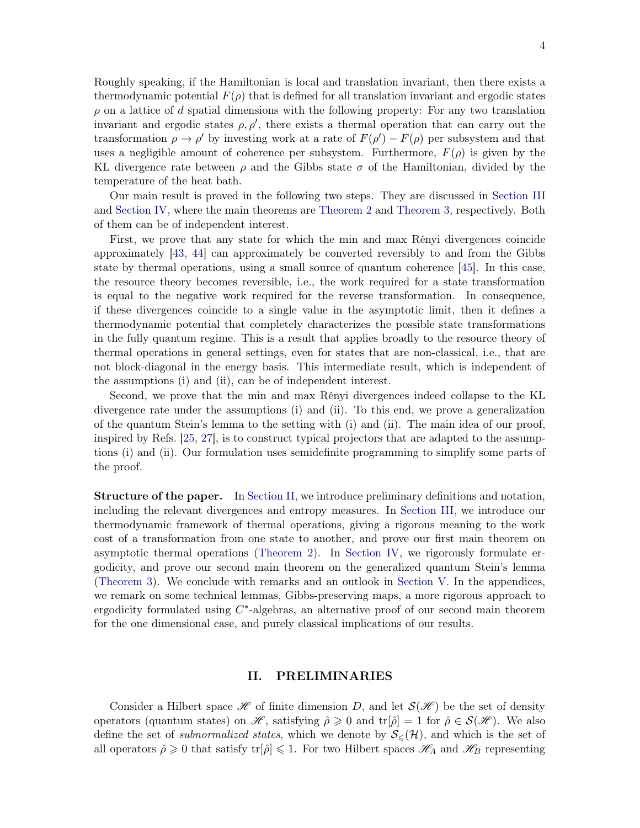Roughly speaking, if the Hamiltonian is local and translation invariant, then there exists a thermodynamic potential  $F(\rho)$  that is defined for all translation invariant and ergodic states  $\rho$  on a lattice of d spatial dimensions with the following property: For any two translation invariant and ergodic states  $\rho, \rho'$ , there exists a thermal operation that can carry out the transformation  $\rho \to \rho'$  by investing work at a rate of  $F(\rho') - F(\rho)$  per subsystem and that uses a negligible amount of coherence per subsystem. Furthermore,  $F(\rho)$  is given by the KL divergence rate between  $\rho$  and the Gibbs state  $\sigma$  of the Hamiltonian, divided by the temperature of the heat bath.

Our main result is proved in the following two steps. They are discussed in [Section III](#page-8-0) and [Section IV,](#page-26-0) where the main theorems are [Theorem 2](#page-13-2) and [Theorem 3,](#page-31-0) respectively. Both of them can be of independent interest.

First, we prove that any state for which the min and max Rényi divergences coincide approximately [\[43](#page-58-11), [44\]](#page-58-12) can approximately be converted reversibly to and from the Gibbs state by thermal operations, using a small source of quantum coherence [\[45](#page-59-0)]. In this case, the resource theory becomes reversible, i.e., the work required for a state transformation is equal to the negative work required for the reverse transformation. In consequence, if these divergences coincide to a single value in the asymptotic limit, then it defines a thermodynamic potential that completely characterizes the possible state transformations in the fully quantum regime. This is a result that applies broadly to the resource theory of thermal operations in general settings, even for states that are non-classical, i.e., that are not block-diagonal in the energy basis. This intermediate result, which is independent of the assumptions (i) and (ii), can be of independent interest.

Second, we prove that the min and max Rényi divergences indeed collapse to the KL divergence rate under the assumptions (i) and (ii). To this end, we prove a generalization of the quantum Stein's lemma to the setting with (i) and (ii). The main idea of our proof, inspired by Refs. [\[25](#page-58-3), [27](#page-58-1)], is to construct typical projectors that are adapted to the assumptions (i) and (ii). Our formulation uses semidefinite programming to simplify some parts of the proof.

Structure of the paper. In [Section II,](#page-3-0) we introduce preliminary definitions and notation, including the relevant divergences and entropy measures. In [Section III,](#page-8-0) we introduce our thermodynamic framework of thermal operations, giving a rigorous meaning to the work cost of a transformation from one state to another, and prove our first main theorem on asymptotic thermal operations [\(Theorem 2\)](#page-13-2). In [Section IV,](#page-26-0) we rigorously formulate ergodicity, and prove our second main theorem on the generalized quantum Stein's lemma [\(Theorem 3\)](#page-31-0). We conclude with remarks and an outlook in [Section V.](#page-35-0) In the appendices, we remark on some technical lemmas, Gibbs-preserving maps, a more rigorous approach to ergodicity formulated using  $C^*$ -algebras, an alternative proof of our second main theorem for the one dimensional case, and purely classical implications of our results.

## <span id="page-3-0"></span>II. PRELIMINARIES

Consider a Hilbert space  $\mathscr H$  of finite dimension D, and let  $\mathcal S(\mathscr H)$  be the set of density operators (quantum states) on  $\mathscr{H}$ , satisfying  $\hat{\rho} \geq 0$  and  $tr[\hat{\rho}] = 1$  for  $\hat{\rho} \in \mathcal{S}(\mathscr{H})$ . We also define the set of *subnormalized states*, which we denote by  $S_{\leq}(\mathcal{H})$ , and which is the set of all operators  $\hat{\rho} \geq 0$  that satisfy  $tr[\hat{\rho}] \leq 1$ . For two Hilbert spaces  $\mathscr{H}_A$  and  $\mathscr{H}_B$  representing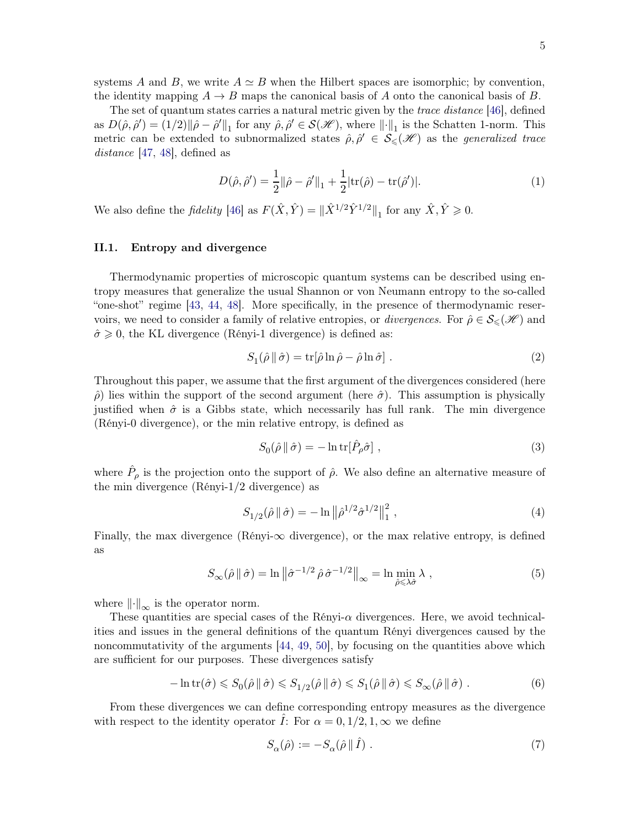systems A and B, we write  $A \simeq B$  when the Hilbert spaces are isomorphic; by convention, the identity mapping  $A \to B$  maps the canonical basis of A onto the canonical basis of B.

The set of quantum states carries a natural metric given by the *trace distance* [\[46](#page-59-1)], defined as  $D(\hat{\rho}, \hat{\rho}') = (1/2) ||\hat{\rho} - \hat{\rho}'||_1$  for any  $\hat{\rho}, \hat{\rho}' \in \mathcal{S}(\mathcal{H})$ , where  $\|\cdot\|_1$  is the Schatten 1-norm. This metric can be extended to subnormalized states  $\hat{\rho}, \hat{\rho}' \in \mathcal{S}_{\leq}(\mathcal{H})$  as the *generalized trace* distance [\[47](#page-59-2), [48\]](#page-59-3), defined as

$$
D(\hat{\rho}, \hat{\rho}') = \frac{1}{2} ||\hat{\rho} - \hat{\rho}'||_1 + \frac{1}{2} |\text{tr}(\hat{\rho}) - \text{tr}(\hat{\rho}')|.
$$
 (1)

We also define the *fidelity* [\[46](#page-59-1)] as  $F(\hat{X}, \hat{Y}) = ||\hat{X}^{1/2}\hat{Y}^{1/2}||_1$  for any  $\hat{X}, \hat{Y} \ge 0$ .

### <span id="page-4-0"></span>II.1. Entropy and divergence

Thermodynamic properties of microscopic quantum systems can be described using entropy measures that generalize the usual Shannon or von Neumann entropy to the so-called "one-shot" regime [\[43,](#page-58-11) [44](#page-58-12), [48](#page-59-3)]. More specifically, in the presence of thermodynamic reservoirs, we need to consider a family of relative entropies, or *divergences*. For  $\hat{\rho} \in \mathcal{S}_{\leq}(\mathscr{H})$  and  $\hat{\sigma} \geq 0$ , the KL divergence (Rényi-1 divergence) is defined as:

$$
S_1(\hat{\rho} \parallel \hat{\sigma}) = \text{tr}[\hat{\rho} \ln \hat{\rho} - \hat{\rho} \ln \hat{\sigma}]. \tag{2}
$$

Throughout this paper, we assume that the first argument of the divergences considered (here  $\hat{\rho}$ ) lies within the support of the second argument (here  $\hat{\sigma}$ ). This assumption is physically justified when  $\hat{\sigma}$  is a Gibbs state, which necessarily has full rank. The min divergence (Rényi-0 divergence), or the min relative entropy, is defined as

$$
S_0(\hat{\rho} \parallel \hat{\sigma}) = -\ln \text{tr}[\hat{P}_\rho \hat{\sigma}], \qquad (3)
$$

where  $\hat{P}_{\rho}$  is the projection onto the support of  $\hat{\rho}$ . We also define an alternative measure of the min divergence (Rényi-1/2 divergence) as

$$
S_{1/2}(\hat{\rho} \|\hat{\sigma}) = -\ln \|\hat{\rho}^{1/2} \hat{\sigma}^{1/2}\|_{1}^{2} , \qquad (4)
$$

Finally, the max divergence (Rényi- $\infty$  divergence), or the max relative entropy, is defined as

$$
S_{\infty}(\hat{\rho} \|\hat{\sigma}) = \ln \left\| \hat{\sigma}^{-1/2} \hat{\rho} \hat{\sigma}^{-1/2} \right\|_{\infty} = \ln \min_{\hat{\rho} \le \lambda \hat{\sigma}} \lambda , \qquad (5)
$$

where  $\|\cdot\|_{\infty}$  is the operator norm.

These quantities are special cases of the  $\hat{\rm R}$ ényi- $\alpha$  divergences. Here, we avoid technicalities and issues in the general definitions of the quantum Rényi divergences caused by the noncommutativity of the arguments [\[44](#page-58-12), [49,](#page-59-4) [50](#page-59-5)], by focusing on the quantities above which are sufficient for our purposes. These divergences satisfy

$$
-\ln \operatorname{tr}(\hat{\sigma}) \leqslant S_0(\hat{\rho} \, \|\, \hat{\sigma}) \leqslant S_{1/2}(\hat{\rho} \, \|\, \hat{\sigma}) \leqslant S_1(\hat{\rho} \, \|\, \hat{\sigma}) \leqslant S_{\infty}(\hat{\rho} \, \|\, \hat{\sigma}) \; . \tag{6}
$$

From these divergences we can define corresponding entropy measures as the divergence with respect to the identity operator  $\hat{I}$ : For  $\alpha = 0, 1/2, 1, \infty$  we define

<span id="page-4-1"></span>
$$
S_{\alpha}(\hat{\rho}) := -S_{\alpha}(\hat{\rho} \parallel \hat{I}) \tag{7}
$$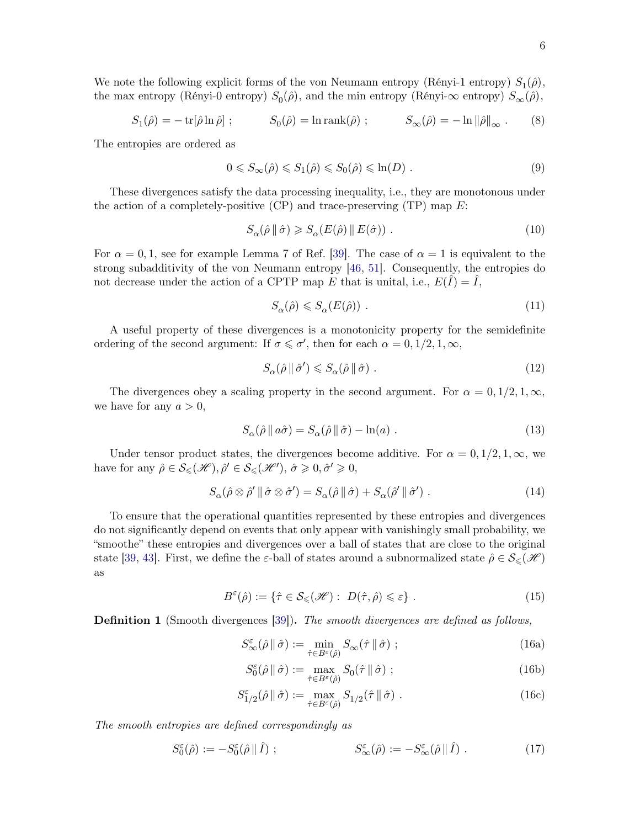We note the following explicit forms of the von Neumann entropy (Rényi-1 entropy)  $S_1(\hat{\rho})$ , the max entropy (Rényi-0 entropy)  $S_0(\hat{\rho})$ , and the min entropy (Rényi- $\infty$  entropy)  $S_{\infty}(\hat{\rho})$ ,

$$
S_1(\hat{\rho}) = -\operatorname{tr}[\hat{\rho}\ln\hat{\rho}]; \qquad S_0(\hat{\rho}) = \ln \operatorname{rank}(\hat{\rho}); \qquad S_\infty(\hat{\rho}) = -\ln \|\hat{\rho}\|_\infty. \qquad (8)
$$

The entropies are ordered as

$$
0 \leq S_{\infty}(\hat{\rho}) \leq S_1(\hat{\rho}) \leq S_0(\hat{\rho}) \leq \ln(D) \tag{9}
$$

These divergences satisfy the data processing inequality, i.e., they are monotonous under the action of a completely-positive (CP) and trace-preserving (TP) map  $E$ :

<span id="page-5-1"></span>
$$
S_{\alpha}(\hat{\rho} \parallel \hat{\sigma}) \geqslant S_{\alpha}(E(\hat{\rho}) \parallel E(\hat{\sigma})) . \tag{10}
$$

For  $\alpha = 0, 1$ , see for example Lemma 7 of Ref. [\[39](#page-58-13)]. The case of  $\alpha = 1$  is equivalent to the strong subadditivity of the von Neumann entropy [\[46](#page-59-1), [51](#page-59-6)]. Consequently, the entropies do not decrease under the action of a CPTP map E that is unital, i.e.,  $E(\hat{I}) = \hat{I}$ ,

$$
S_{\alpha}(\hat{\rho}) \leqslant S_{\alpha}(E(\hat{\rho})) \tag{11}
$$

A useful property of these divergences is a monotonicity property for the semidefinite ordering of the second argument: If  $\sigma \leq \sigma'$ , then for each  $\alpha = 0, 1/2, 1, \infty$ ,

<span id="page-5-4"></span><span id="page-5-0"></span>
$$
S_{\alpha}(\hat{\rho} \parallel \hat{\sigma}') \leqslant S_{\alpha}(\hat{\rho} \parallel \hat{\sigma}) \tag{12}
$$

The divergences obey a scaling property in the second argument. For  $\alpha = 0, 1/2, 1, \infty$ , we have for any  $a > 0$ ,

$$
S_{\alpha}(\hat{\rho} \parallel a\hat{\sigma}) = S_{\alpha}(\hat{\rho} \parallel \hat{\sigma}) - \ln(a) . \qquad (13)
$$

Under tensor product states, the divergences become additive. For  $\alpha = 0, 1/2, 1, \infty$ , we have for any  $\hat{\rho} \in \mathcal{S}_{\leq}(\mathcal{H}), \hat{\rho}' \in \mathcal{S}_{\leq}(\mathcal{H}'), \hat{\sigma} \geq 0, \hat{\sigma}' \geq 0$ ,

$$
S_{\alpha}(\hat{\rho}\otimes\hat{\rho}'\,\|\,\hat{\sigma}\otimes\hat{\sigma}') = S_{\alpha}(\hat{\rho}\,\|\,\hat{\sigma}) + S_{\alpha}(\hat{\rho}'\,\|\,\hat{\sigma}') . \tag{14}
$$

To ensure that the operational quantities represented by these entropies and divergences do not significantly depend on events that only appear with vanishingly small probability, we "smoothe" these entropies and divergences over a ball of states that are close to the original state [\[39](#page-58-13), [43](#page-58-11)]. First, we define the  $\varepsilon$ -ball of states around a subnormalized state  $\hat{\rho} \in \mathcal{S}_{\leq}(\mathscr{H})$ as

$$
B^{\varepsilon}(\hat{\rho}) := \{ \hat{\tau} \in \mathcal{S}_{\leqslant}(\mathcal{H}) : D(\hat{\tau}, \hat{\rho}) \leqslant \varepsilon \} . \tag{15}
$$

**Definition 1** (Smooth divergences [\[39](#page-58-13)]). The smooth divergences are defined as follows,

$$
S_{\infty}^{\varepsilon}(\hat{\rho} \|\hat{\sigma}) := \min_{\hat{\tau} \in B^{\varepsilon}(\hat{\rho})} S_{\infty}(\hat{\tau} \|\hat{\sigma}) ; \qquad (16a)
$$

<span id="page-5-3"></span><span id="page-5-2"></span>
$$
S_0^{\varepsilon}(\hat{\rho} \|\hat{\sigma}) := \max_{\hat{\tau} \in B^{\varepsilon}(\hat{\rho})} S_0(\hat{\tau} \|\hat{\sigma}) ; \qquad (16b)
$$

$$
S_{1/2}^{\varepsilon}(\hat{\rho} \parallel \hat{\sigma}) := \max_{\hat{\tau} \in B^{\varepsilon}(\hat{\rho})} S_{1/2}(\hat{\tau} \parallel \hat{\sigma}) . \tag{16c}
$$

The smooth entropies are defined correspondingly as

$$
S_0^{\varepsilon}(\hat{\rho}) := -S_0^{\varepsilon}(\hat{\rho} \|\hat{I}) ; \qquad S_{\infty}^{\varepsilon}(\hat{\rho}) := -S_{\infty}^{\varepsilon}(\hat{\rho} \|\hat{I}) . \qquad (17)
$$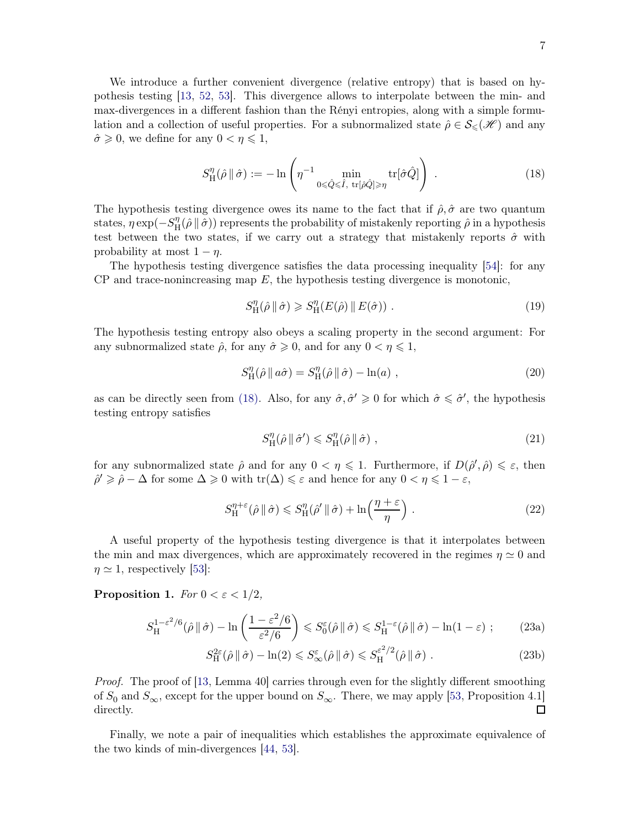We introduce a further convenient divergence (relative entropy) that is based on hypothesis testing [\[13](#page-57-14), [52,](#page-59-7) [53\]](#page-59-8). This divergence allows to interpolate between the min- and max-divergences in a different fashion than the Rényi entropies, along with a simple formulation and a collection of useful properties. For a subnormalized state  $\hat{\rho} \in \mathcal{S}_{\leq}(\mathscr{H})$  and any  $\hat{\sigma} \geq 0$ , we define for any  $0 < \eta \leq 1$ ,

$$
S_{\mathrm{H}}^{\eta}(\hat{\rho} \, \| \, \hat{\sigma}) := -\ln \left( \eta^{-1} \min_{0 \leq \hat{Q} \leq \hat{I}, \ \mathrm{tr}[\hat{\rho} \hat{Q}] \geq \eta} \mathrm{tr}[\hat{\sigma} \hat{Q}] \right) \ . \tag{18}
$$

The hypothesis testing divergence owes its name to the fact that if  $\hat{\rho}, \hat{\sigma}$  are two quantum states,  $\eta \exp(-S_H^{\eta})$  $H(\hat{\rho} \parallel \hat{\sigma})$  represents the probability of mistakenly reporting  $\hat{\rho}$  in a hypothesis test between the two states, if we carry out a strategy that mistakenly reports  $\hat{\sigma}$  with probability at most  $1 - \eta$ .

The hypothesis testing divergence satisfies the data processing inequality [\[54\]](#page-59-9): for any  $CP$  and trace-nonincreasing map  $E$ , the hypothesis testing divergence is monotonic,

$$
S_{\mathrm{H}}^{\eta}(\hat{\rho} \parallel \hat{\sigma}) \geqslant S_{\mathrm{H}}^{\eta}(E(\hat{\rho}) \parallel E(\hat{\sigma})) . \tag{19}
$$

The hypothesis testing entropy also obeys a scaling property in the second argument: For any subnormalized state  $\hat{\rho}$ , for any  $\hat{\sigma} \geq 0$ , and for any  $0 < \eta \leq 1$ ,

$$
S_{\rm H}^{\eta}(\hat{\rho} \parallel a\hat{\sigma}) = S_{\rm H}^{\eta}(\hat{\rho} \parallel \hat{\sigma}) - \ln(a) , \qquad (20)
$$

as can be directly seen from [\(18\).](#page-56-2) Also, for any  $\hat{\sigma}, \hat{\sigma}' \geq 0$  for which  $\hat{\sigma} \leq \hat{\sigma}'$ , the hypothesis testing entropy satisfies

$$
S_{\rm H}^{\eta}(\hat{\rho} \|\hat{\sigma}') \leqslant S_{\rm H}^{\eta}(\hat{\rho} \|\hat{\sigma}) \tag{21}
$$

for any subnormalized state  $\hat{\rho}$  and for any  $0 < \eta \leq 1$ . Furthermore, if  $D(\hat{\rho}', \hat{\rho}) \leq \varepsilon$ , then  $\hat{\rho}' \geq \hat{\rho} - \Delta$  for some  $\Delta \geq 0$  with  $\text{tr}(\Delta) \leq \varepsilon$  and hence for any  $0 < \eta \leq 1 - \varepsilon$ ,

$$
S_{\mathrm{H}}^{\eta+\varepsilon}(\hat{\rho} \|\hat{\sigma}) \leqslant S_{\mathrm{H}}^{\eta}(\hat{\rho}' \|\hat{\sigma}) + \ln\left(\frac{\eta+\varepsilon}{\eta}\right). \tag{22}
$$

A useful property of the hypothesis testing divergence is that it interpolates between the min and max divergences, which are approximately recovered in the regimes  $\eta \simeq 0$  and  $\eta \simeq 1$ , respectively [\[53](#page-59-8)]:

<span id="page-6-0"></span>Proposition 1. For  $0 < \varepsilon < 1/2$ ,

$$
S_{\mathrm{H}}^{1-\varepsilon^{2}/6}(\hat{\rho} \|\hat{\sigma}) - \ln\left(\frac{1-\varepsilon^{2}/6}{\varepsilon^{2}/6}\right) \leqslant S_{0}^{\varepsilon}(\hat{\rho} \|\hat{\sigma}) \leqslant S_{\mathrm{H}}^{1-\varepsilon}(\hat{\rho} \|\hat{\sigma}) - \ln(1-\varepsilon) ; \tag{23a}
$$

$$
S_{\rm H}^{2\varepsilon}(\hat{\rho} \, \| \, \hat{\sigma}) - \ln(2) \leqslant S_{\infty}^{\varepsilon}(\hat{\rho} \, \| \, \hat{\sigma}) \leqslant S_{\rm H}^{\varepsilon^2/2}(\hat{\rho} \, \| \, \hat{\sigma}) \; . \tag{23b}
$$

*Proof.* The proof of [\[13](#page-57-14), Lemma 40] carries through even for the slightly different smoothing of  $S_0$  and  $S_{\infty}$ , except for the upper bound on  $S_{\infty}$ . There, we may apply [\[53](#page-59-8), Proposition 4.1] directly.

<span id="page-6-1"></span>Finally, we note a pair of inequalities which establishes the approximate equivalence of the two kinds of min-divergences [\[44](#page-58-12), [53\]](#page-59-8).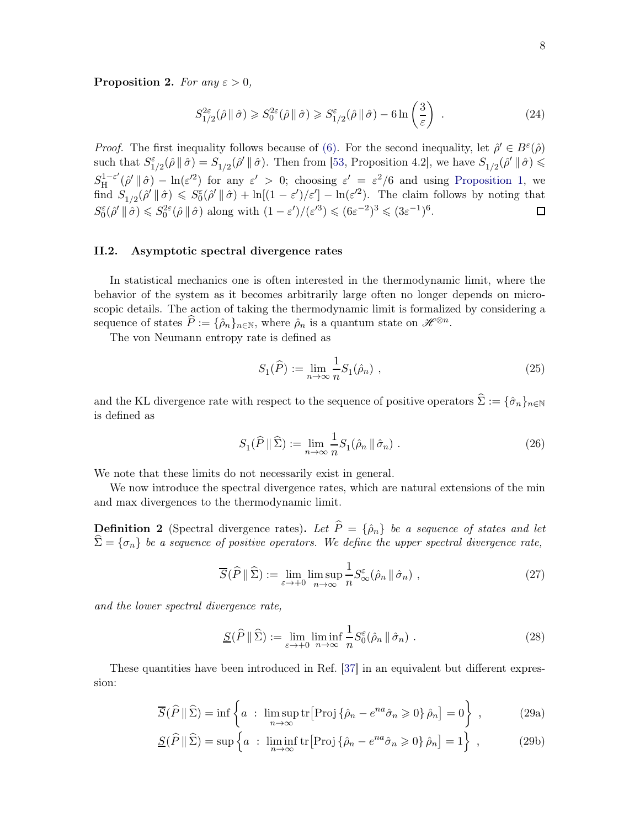**Proposition 2.** For any  $\varepsilon > 0$ ,

$$
S_{1/2}^{2\varepsilon}(\hat{\rho} \|\hat{\sigma}) \geq S_0^{2\varepsilon}(\hat{\rho} \|\hat{\sigma}) \geq S_{1/2}^{\varepsilon}(\hat{\rho} \|\hat{\sigma}) - 6\ln\left(\frac{3}{\varepsilon}\right) . \tag{24}
$$

*Proof.* The first inequality follows because of [\(6\).](#page-4-1) For the second inequality, let  $\hat{\rho}' \in B^{\varepsilon}(\hat{\rho})$ such that  $S^{\varepsilon}_{1/2}(\hat{\rho} \|\hat{\sigma}) = S_{1/2}(\hat{\rho}' \|\hat{\sigma})$ . Then from [\[53](#page-59-8), Proposition 4.2], we have  $S_{1/2}(\hat{\rho}' \|\hat{\sigma}) \leq$  $S^{1-\varepsilon'}_{\rm H}$  $\int_H^{1-\varepsilon'} (\hat{\rho}' \|\hat{\sigma}) - \ln(\varepsilon'^2)$  for any  $\varepsilon' > 0$ ; choosing  $\varepsilon' = \varepsilon^2/6$  and using [Proposition 1,](#page-6-0) we find  $S_{1/2}(\hat{\rho} \mid \hat{\sigma}) \leq S_0^{\varepsilon}(\hat{\rho} \mid \hat{\sigma}) + \ln[(1 - \varepsilon')/\varepsilon'] - \ln(\varepsilon'^2)$ . The claim follows by noting that  $S_0^{\varepsilon}(\hat{\rho}^{\prime} \parallel \hat{\sigma}) \leq S_0^{2\varepsilon}(\hat{\rho} \parallel \hat{\sigma})$  along with  $(1 - \varepsilon^{\prime})/(\varepsilon^{\prime 3}) \leq (\delta \varepsilon^{-2})^3 \leq (3\varepsilon^{-1})^6$ .  $\Box$ 

#### <span id="page-7-0"></span>II.2. Asymptotic spectral divergence rates

In statistical mechanics one is often interested in the thermodynamic limit, where the behavior of the system as it becomes arbitrarily large often no longer depends on microscopic details. The action of taking the thermodynamic limit is formalized by considering a sequence of states  $\widehat{P} := {\widehat{\rho}}_n\}_{n \in \mathbb{N}}$ , where  $\widehat{\rho}_n$  is a quantum state on  $\mathscr{H}^{\otimes n}$ .

The von Neumann entropy rate is defined as

$$
S_1(\widehat{P}) := \lim_{n \to \infty} \frac{1}{n} S_1(\widehat{\rho}_n) , \qquad (25)
$$

and the KL divergence rate with respect to the sequence of positive operators  $\hat{\Sigma} := {\hat{\sigma}_n}_{n \in \mathbb{N}}$ is defined as

$$
S_1(\widehat{P} \parallel \widehat{\Sigma}) := \lim_{n \to \infty} \frac{1}{n} S_1(\widehat{\rho}_n \parallel \widehat{\sigma}_n) . \tag{26}
$$

We note that these limits do not necessarily exist in general.

<span id="page-7-3"></span>We now introduce the spectral divergence rates, which are natural extensions of the min and max divergences to the thermodynamic limit.

**Definition 2** (Spectral divergence rates). Let  $\hat{P} = \{\hat{\rho}_n\}$  be a sequence of states and let  $\widehat{\Sigma} = {\sigma_n}$  be a sequence of positive operators. We define the upper spectral divergence rate,

$$
\overline{S}(\widehat{P} \parallel \widehat{\Sigma}) := \lim_{\varepsilon \to +0} \limsup_{n \to \infty} \frac{1}{n} S_{\infty}^{\varepsilon}(\widehat{\rho}_n \parallel \widehat{\sigma}_n) , \qquad (27)
$$

and the lower spectral divergence rate,

<span id="page-7-2"></span><span id="page-7-1"></span>
$$
\underline{S}(\widehat{P} \parallel \widehat{\Sigma}) := \lim_{\varepsilon \to +0} \liminf_{n \to \infty} \frac{1}{n} S_0^{\varepsilon}(\hat{\rho}_n \parallel \hat{\sigma}_n) . \tag{28}
$$

These quantities have been introduced in Ref. [\[37](#page-58-14)] in an equivalent but different expression:

$$
\overline{S}(\widehat{P} \|\widehat{\Sigma}) = \inf \left\{ a : \limsup_{n \to \infty} \text{tr}[\text{Proj}\{\widehat{\rho}_n - e^{na}\widehat{\sigma}_n \geqslant 0\} \,\widehat{\rho}_n] = 0 \right\} ,\tag{29a}
$$

$$
\underline{S}(\widehat{P} \|\widehat{\Sigma}) = \sup \left\{ a : \liminf_{n \to \infty} \text{tr}[\text{Proj}\{\widehat{\rho}_n - e^{na}\widehat{\sigma}_n \geq 0\} \,\widehat{\rho}_n] = 1 \right\} ,\tag{29b}
$$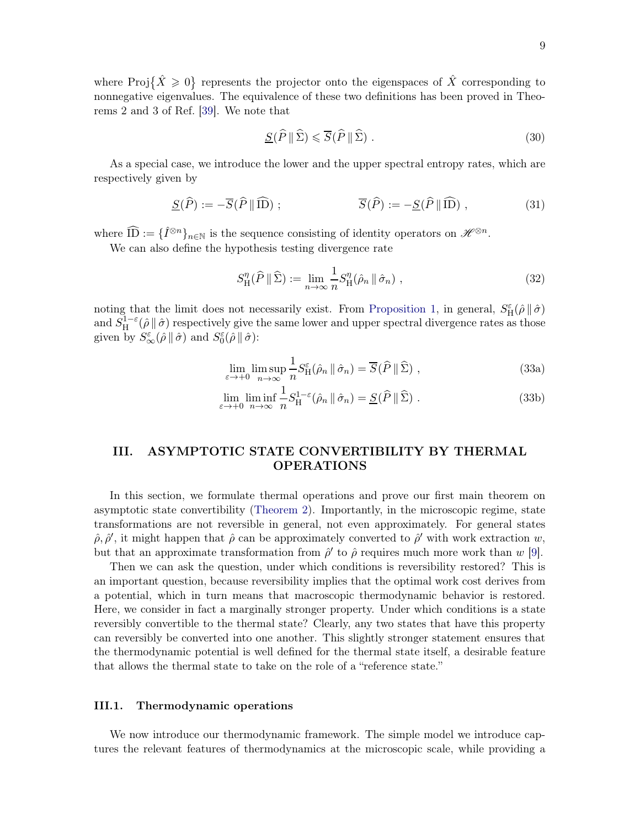where Proj $\{\hat{X}\geq 0\}$  represents the projector onto the eigenspaces of  $\hat{X}$  corresponding to nonnegative eigenvalues. The equivalence of these two definitions has been proved in Theorems 2 and 3 of Ref. [\[39](#page-58-13)]. We note that

<span id="page-8-3"></span>
$$
\underline{S}(\widehat{P} \|\widehat{\Sigma}) \leqslant \overline{S}(\widehat{P} \|\widehat{\Sigma}) . \tag{30}
$$

As a special case, we introduce the lower and the upper spectral entropy rates, which are respectively given by

$$
\underline{S}(\widehat{P}) := -\overline{S}(\widehat{P} \|\widehat{\mathbf{ID}}) ; \qquad \overline{S}(\widehat{P}) := -\underline{S}(\widehat{P} \|\widehat{\mathbf{ID}}) , \qquad (31)
$$

where  $\widehat{ID} := \{\widehat{I}^{\otimes n}\}_{n \in \mathbb{N}}$  is the sequence consisting of identity operators on  $\mathscr{H}^{\otimes n}$ .

We can also define the hypothesis testing divergence rate

$$
S_{\mathrm{H}}^{\eta}(\widehat{P} \|\widehat{\Sigma}) := \lim_{n \to \infty} \frac{1}{n} S_{\mathrm{H}}^{\eta}(\widehat{\rho}_n \|\widehat{\sigma}_n), \qquad (32)
$$

noting that the limit does not necessarily exist. From [Proposition 1,](#page-6-0) in general,  $S_{\rm H}^{\varepsilon}(\hat{\rho} \|\hat{\sigma})$ and  $S_H^{1-\epsilon}(\hat{\rho} \|\hat{\sigma})$  respectively give the same lower and upper spectral divergence rates as those given by  $S^{\varepsilon}_{\infty}(\hat{\rho} \|\hat{\sigma})$  and  $S^{\varepsilon}_{0}(\hat{\rho} \|\hat{\sigma})$ :

<span id="page-8-2"></span>
$$
\lim_{\varepsilon \to +0} \limsup_{n \to \infty} \frac{1}{n} S_{\mathcal{H}}^{\varepsilon}(\hat{\rho}_n \, \| \, \hat{\sigma}_n) = \overline{S}(\hat{P} \, \| \, \hat{\Sigma}) \;, \tag{33a}
$$

$$
\lim_{\varepsilon \to +0} \liminf_{n \to \infty} \frac{1}{n} S_H^{1-\varepsilon}(\hat{\rho}_n \, \| \, \hat{\sigma}_n) = \underline{S}(\widehat{P} \, \| \, \widehat{\Sigma}) \; . \tag{33b}
$$

# <span id="page-8-0"></span>III. ASYMPTOTIC STATE CONVERTIBILITY BY THERMAL OPERATIONS

In this section, we formulate thermal operations and prove our first main theorem on asymptotic state convertibility [\(Theorem 2\)](#page-13-2). Importantly, in the microscopic regime, state transformations are not reversible in general, not even approximately. For general states  $\hat{\rho}, \hat{\rho}',$  it might happen that  $\hat{\rho}$  can be approximately converted to  $\hat{\rho}'$  with work extraction w, but that an approximate transformation from  $\hat{\rho}'$  to  $\hat{\rho}$  requires much more work than w [\[9\]](#page-57-15).

Then we can ask the question, under which conditions is reversibility restored? This is an important question, because reversibility implies that the optimal work cost derives from a potential, which in turn means that macroscopic thermodynamic behavior is restored. Here, we consider in fact a marginally stronger property. Under which conditions is a state reversibly convertible to the thermal state? Clearly, any two states that have this property can reversibly be converted into one another. This slightly stronger statement ensures that the thermodynamic potential is well defined for the thermal state itself, a desirable feature that allows the thermal state to take on the role of a "reference state."

#### <span id="page-8-1"></span>III.1. Thermodynamic operations

We now introduce our thermodynamic framework. The simple model we introduce captures the relevant features of thermodynamics at the microscopic scale, while providing a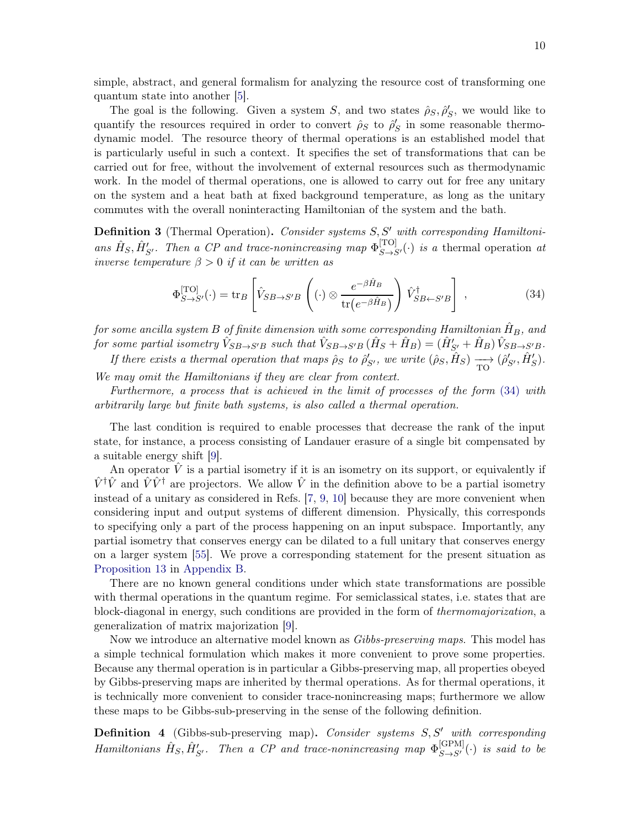simple, abstract, and general formalism for analyzing the resource cost of transforming one quantum state into another [\[5\]](#page-57-3).

The goal is the following. Given a system S, and two states  $\hat{\rho}_S$ ,  $\hat{\rho}'_S$ , we would like to quantify the resources required in order to convert  $\rho_S$  to  $\rho_S'$  in some reasonable thermodynamic model. The resource theory of thermal operations is an established model that is particularly useful in such a context. It specifies the set of transformations that can be carried out for free, without the involvement of external resources such as thermodynamic work. In the model of thermal operations, one is allowed to carry out for free any unitary on the system and a heat bath at fixed background temperature, as long as the unitary commutes with the overall noninteracting Hamiltonian of the system and the bath.

Definition 3 (Thermal Operation). Consider systems S, S' with corresponding Hamiltonians  $\hat{H}_S$ ,  $\hat{H}'_{S'}$ . Then a CP and trace-nonincreasing map  $\Phi_{S \to S'}^{[TO]}(\cdot)$  is a thermal operation at inverse temperature  $\beta > 0$  if it can be written as

<span id="page-9-0"></span>
$$
\Phi_{S \to S'}^{[TO]}(\cdot) = \text{tr}_B \left[ \hat{V}_{SB \to S'B} \left( (\cdot) \otimes \frac{e^{-\beta \hat{H}_B}}{\text{tr}(e^{-\beta \hat{H}_B})} \right) \hat{V}_{SB \gets S'B}^{\dagger} \right], \qquad (34)
$$

for some ancilla system B of finite dimension with some corresponding Hamiltonian  $\hat{H}_B$ , and for some partial isometry  $\hat{V}_{SB\to S'B}$  such that  $\hat{V}_{SB\to S'B}(\hat{H}_S + \hat{H}_B) = (\hat{H}'_{S'} + \hat{H}_B) \hat{V}_{SB\to S'B}.$ If there exists a thermal operation that maps  $\hat{\rho}_S$  to  $\hat{\rho}'_{S'}$ , we write  $(\hat{\rho}_S, \hat{H}_S) \longrightarrow (\hat{\rho}'_{S'}, \hat{H}'_S)$ .

We may omit the Hamiltonians if they are clear from context.

Furthermore, a process that is achieved in the limit of processes of the form [\(34\)](#page-9-0) with arbitrarily large but finite bath systems, is also called a thermal operation.

The last condition is required to enable processes that decrease the rank of the input state, for instance, a process consisting of Landauer erasure of a single bit compensated by a suitable energy shift [\[9](#page-57-15)].

An operator  $\hat{V}$  is a partial isometry if it is an isometry on its support, or equivalently if  $\hat{V}^{\dagger}\hat{V}$  and  $\hat{V}\hat{V}^{\dagger}$  are projectors. We allow  $\hat{V}$  in the definition above to be a partial isometry instead of a unitary as considered in Refs. [\[7,](#page-57-11) [9,](#page-57-15) [10\]](#page-57-12) because they are more convenient when considering input and output systems of different dimension. Physically, this corresponds to specifying only a part of the process happening on an input subspace. Importantly, any partial isometry that conserves energy can be dilated to a full unitary that conserves energy on a larger system [\[55\]](#page-59-10). We prove a corresponding statement for the present situation as [Proposition 13](#page-41-1) in [Appendix B.](#page-41-0)

There are no known general conditions under which state transformations are possible with thermal operations in the quantum regime. For semiclassical states, i.e. states that are block-diagonal in energy, such conditions are provided in the form of thermomajorization, a generalization of matrix majorization [\[9](#page-57-15)].

Now we introduce an alternative model known as Gibbs-preserving maps. This model has a simple technical formulation which makes it more convenient to prove some properties. Because any thermal operation is in particular a Gibbs-preserving map, all properties obeyed by Gibbs-preserving maps are inherited by thermal operations. As for thermal operations, it is technically more convenient to consider trace-nonincreasing maps; furthermore we allow these maps to be Gibbs-sub-preserving in the sense of the following definition.

**Definition 4** (Gibbs-sub-preserving map). Consider systems  $S, S'$  with corresponding Hamiltonians  $\hat{H}_S$ ,  $\hat{H}'_{S'}$ . Then a CP and trace-nonincreasing map  $\Phi_{S \to S'}^{[\text{GPM}]}(\cdot)$  is said to be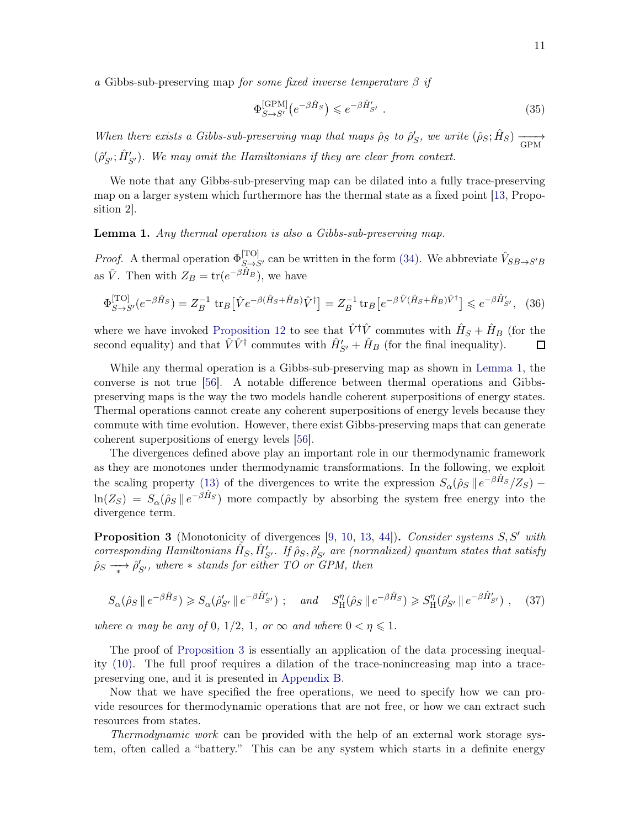a Gibbs-sub-preserving map for some fixed inverse temperature  $\beta$  if

$$
\Phi_{S \to S'}^{[\text{GPM}]} \left( e^{-\beta \hat{H}_S} \right) \leqslant e^{-\beta \hat{H}'_{S'}} . \tag{35}
$$

When there exists a Gibbs-sub-preserving map that maps  $\hat{\rho}_S$  to  $\hat{\rho}'_S$ , we write  $(\hat{\rho}_S; \hat{H}_S) \longrightarrow$  $(\hat{\rho}_{S'}'; \hat{H}_{S'}')$ . We may omit the Hamiltonians if they are clear from context.

We note that any Gibbs-sub-preserving map can be dilated into a fully trace-preserving map on a larger system which furthermore has the thermal state as a fixed point [\[13](#page-57-14), Proposition 2].

<span id="page-10-0"></span>Lemma 1. Any thermal operation is also a Gibbs-sub-preserving map.

*Proof.* A thermal operation  $\Phi_{S \to S'}^{[TO]}$  can be written in the form [\(34\).](#page-9-0) We abbreviate  $\hat{V}_{SB \to S'B}$ as  $\hat{V}$ . Then with  $Z_B = \text{tr}(e^{-\beta \hat{H}_B})$ , we have

$$
\Phi_{S \to S'}^{\text{[TO]}}(e^{-\beta \hat{H}_S}) = Z_B^{-1} \, \text{tr}_B \big[ \hat{V} e^{-\beta (\hat{H}_S + \hat{H}_B)} \hat{V}^{\dagger} \big] = Z_B^{-1} \, \text{tr}_B \big[ e^{-\beta \hat{V} (\hat{H}_S + \hat{H}_B) \hat{V}^{\dagger}} \big] \leqslant e^{-\beta \hat{H}'_{S'}}, \tag{36}
$$

where we have invoked [Proposition 12](#page-41-2) to see that  $\hat{V}^{\dagger}\hat{V}$  commutes with  $\hat{H}_{S} + \hat{H}_{B}$  (for the second equality) and that  $\hat{V}\hat{V}^{\dagger}$  commutes with  $\hat{H}'_{S'} + \hat{H}_B$  (for the final inequality).

While any thermal operation is a Gibbs-sub-preserving map as shown in [Lemma 1,](#page-10-0) the converse is not true [\[56](#page-59-11)]. A notable difference between thermal operations and Gibbspreserving maps is the way the two models handle coherent superpositions of energy states. Thermal operations cannot create any coherent superpositions of energy levels because they commute with time evolution. However, there exist Gibbs-preserving maps that can generate coherent superpositions of energy levels [\[56\]](#page-59-11).

The divergences defined above play an important role in our thermodynamic framework as they are monotones under thermodynamic transformations. In the following, we exploit the scaling property [\(13\)](#page-5-0) of the divergences to write the expression  $S_{\alpha}(\hat{\rho}_S \parallel e^{-\beta \hat{H}_S}/Z_S)$  –  $\ln(Z_S) = S_\alpha(\hat{\rho}_S \, \| \, e^{-\beta \hat{H}_S})$  more compactly by absorbing the system free energy into the divergence term.

<span id="page-10-1"></span>Proposition 3 (Monotonicity of divergences [\[9](#page-57-15), [10](#page-57-12), [13](#page-57-14), [44](#page-58-12)]). Consider systems S, S' with corresponding Hamiltonians  $\hat{H}_S$ ,  $\hat{H}'_{S'}$ . If  $\hat{\rho}_S$ ,  $\hat{\rho}'_{S'}$  are (normalized) quantum states that satisfy  $\hat{\rho}_S \longrightarrow \hat{\rho}'_{S'}$ , where  $*$  stands for either TO or GPM, then

$$
S_{\alpha}(\hat{\rho}_S \parallel e^{-\beta \hat{H}_S}) \geq S_{\alpha}(\hat{\rho}'_{S'} \parallel e^{-\beta \hat{H}'_{S'}}); \quad \text{and} \quad S_{\mathcal{H}}^{\eta}(\hat{\rho}_S \parallel e^{-\beta \hat{H}_S}) \geq S_{\mathcal{H}}^{\eta}(\hat{\rho}'_{S'} \parallel e^{-\beta \hat{H}'_{S'}}), \quad (37)
$$

where  $\alpha$  may be any of 0, 1/2, 1, or  $\infty$  and where  $0 < \eta \leq 1$ .

The proof of [Proposition 3](#page-10-1) is essentially an application of the data processing inequality [\(10\).](#page-5-1) The full proof requires a dilation of the trace-nonincreasing map into a tracepreserving one, and it is presented in [Appendix B.](#page-41-0)

Now that we have specified the free operations, we need to specify how we can provide resources for thermodynamic operations that are not free, or how we can extract such resources from states.

Thermodynamic work can be provided with the help of an external work storage system, often called a "battery." This can be any system which starts in a definite energy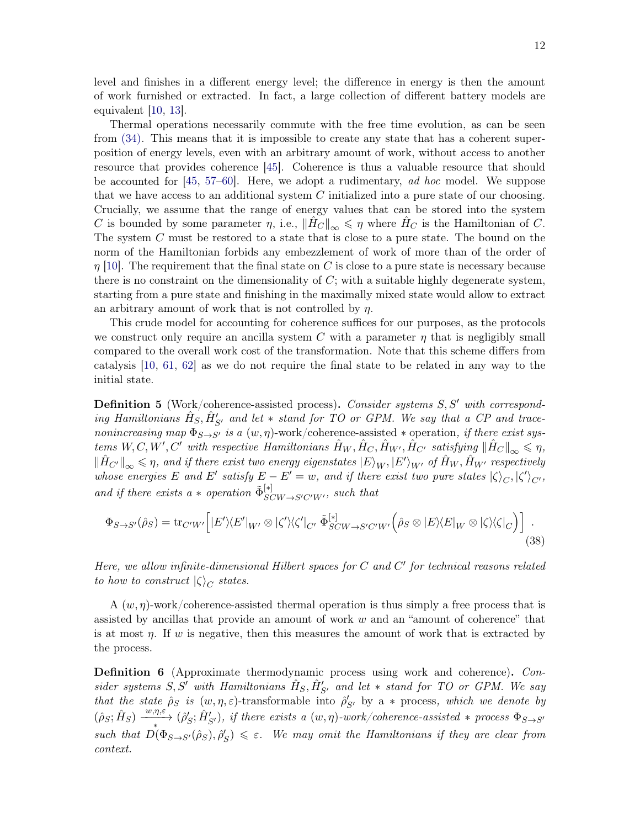level and finishes in a different energy level; the difference in energy is then the amount of work furnished or extracted. In fact, a large collection of different battery models are equivalent [\[10](#page-57-12), [13\]](#page-57-14).

Thermal operations necessarily commute with the free time evolution, as can be seen from [\(34\).](#page-9-0) This means that it is impossible to create any state that has a coherent superposition of energy levels, even with an arbitrary amount of work, without access to another resource that provides coherence [\[45\]](#page-59-0). Coherence is thus a valuable resource that should be accounted for  $[45, 57-60]$  $[45, 57-60]$  $[45, 57-60]$ . Here, we adopt a rudimentary, ad hoc model. We suppose that we have access to an additional system  $C$  initialized into a pure state of our choosing. Crucially, we assume that the range of energy values that can be stored into the system C is bounded by some parameter  $\eta$ , i.e.,  $||H_C||_{\infty} \leq \eta$  where  $H_C$  is the Hamiltonian of C. The system C must be restored to a state that is close to a pure state. The bound on the norm of the Hamiltonian forbids any embezzlement of work of more than of the order of  $\eta$  [\[10\]](#page-57-12). The requirement that the final state on C is close to a pure state is necessary because there is no constraint on the dimensionality of  $C$ ; with a suitable highly degenerate system, starting from a pure state and finishing in the maximally mixed state would allow to extract an arbitrary amount of work that is not controlled by  $\eta$ .

This crude model for accounting for coherence suffices for our purposes, as the protocols we construct only require an ancilla system C with a parameter  $\eta$  that is negligibly small compared to the overall work cost of the transformation. Note that this scheme differs from catalysis [\[10](#page-57-12), [61,](#page-59-14) [62](#page-59-15)] as we do not require the final state to be related in any way to the initial state.

<span id="page-11-0"></span>**Definition 5** (Work/coherence-assisted process). Consider systems S, S' with corresponding Hamiltonians  $\hat{H}_S$ ,  $\hat{H}'_{S'}$  and let  $*$  stand for TO or GPM. We say that a CP and tracenonincreasing map  $\Phi_{S\rightarrow S'}$  is a  $(w, \eta)$ -work/coherence-assisted  $*$  operation, if there exist systems  $W, C, W', C'$  with respective Hamiltonians  $\hat{H}_W, \hat{H}_C, \hat{H}_{W'}, \hat{H}_{C'}$  satisfying  $\|\hat{H}_C\|_{\infty} \leq \eta$ ,  $\|\hat{H}_{C'}\|_{\infty} \leqslant \eta$ , and if there exist two energy eigenstates  $|E\rangle_W$ ,  $|E'\rangle_W$ , of  $\hat{H}_W$ ,  $\hat{H}_W$ , respectively whose energies E and E' satisfy  $E - E' = w$ , and if there exist two pure states  $|\zeta\rangle_C, |\zeta'\rangle_{C'}$ , and if there exists a  $*$  operation  $\tilde{\Phi}_{SCW \to S'C'W'}^{[*]}$ , such that

<span id="page-11-1"></span>
$$
\Phi_{S \to S'}(\hat{\rho}_S) = \text{tr}_{C'W'} \Big[ |E'\rangle \langle E'|_{W'} \otimes |\zeta'\rangle \langle \zeta'|_{C'} \, \tilde{\Phi}_{SCW \to S'C'W'}^{[*]} \Big(\hat{\rho}_S \otimes |E\rangle \langle E|_W \otimes |\zeta\rangle \langle \zeta|_C \Big) \Big] \tag{38}
$$

Here, we allow infinite-dimensional Hilbert spaces for  $C$  and  $C'$  for technical reasons related to how to construct  $|\zeta\rangle_C$  states.

A  $(w, \eta)$ -work/coherence-assisted thermal operation is thus simply a free process that is assisted by ancillas that provide an amount of work w and an "amount of coherence" that is at most  $\eta$ . If w is negative, then this measures the amount of work that is extracted by the process.

Definition 6 (Approximate thermodynamic process using work and coherence). Consider systems  $S, S'$  with Hamiltonians  $\hat{H}_S, \hat{H}'_{S'}$  and let  $*$  stand for TO or GPM. We say that the state  $\hat{\rho}_S$  is  $(w, \eta, \varepsilon)$ -transformable into  $\hat{\rho}'_{S'}$  by a  $*$  process, which we denote by  $(\hat{\rho}_S; \hat{H}_S) \xrightarrow{w,\eta,\varepsilon} (\hat{\rho}'_S; \hat{H}'_{S'})$ , if there exists a  $(w, \eta)$ -work/coherence-assisted \* process  $\Phi_{S\to S'}$ such that  $D(\Phi_{S\to S'}(\hat{\rho}_S), \hat{\rho}'_S) \leq \varepsilon$ . We may omit the Hamiltonians if they are clear from context.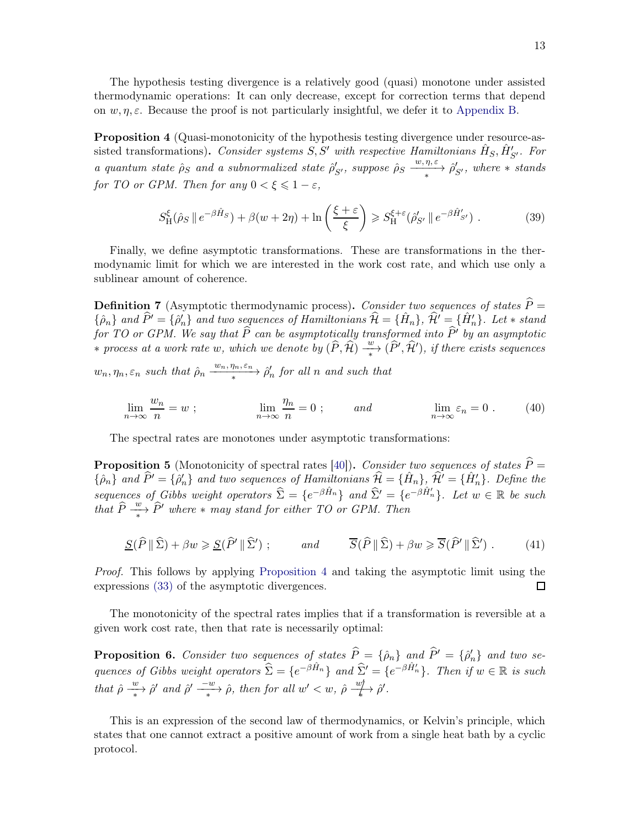<span id="page-12-0"></span>The hypothesis testing divergence is a relatively good (quasi) monotone under assisted thermodynamic operations: It can only decrease, except for correction terms that depend on  $w, \eta, \varepsilon$ . Because the proof is not particularly insightful, we defer it to [Appendix B.](#page-41-0)

Proposition 4 (Quasi-monotonicity of the hypothesis testing divergence under resource-assisted transformations). Consider systems  $S, S'$  with respective Hamiltonians  $\hat{H}_S, \hat{H}'_{S'}$ . For a quantum state  $\hat{\rho}_S$  and a subnormalized state  $\hat{\rho}'_{S'}$ , suppose  $\hat{\rho}_S \xrightarrow{\langle w, \eta, \varepsilon \rangle} \hat{\rho}'_{S'}$ , where  $\ast$  stands for TO or GPM. Then for any  $0 < \xi \leq 1 - \varepsilon$ ,

$$
S_{\rm H}^{\xi}(\hat{\rho}_S \parallel e^{-\beta \hat{H}_S}) + \beta(w+2\eta) + \ln\left(\frac{\xi+\varepsilon}{\xi}\right) \geqslant S_{\rm H}^{\xi+\varepsilon}(\hat{\rho}'_{S'} \parallel e^{-\beta \hat{H}'_{S'}}). \tag{39}
$$

<span id="page-12-1"></span>Finally, we define asymptotic transformations. These are transformations in the thermodynamic limit for which we are interested in the work cost rate, and which use only a sublinear amount of coherence.

**Definition 7** (Asymptotic thermodynamic process). Consider two sequences of states  $\hat{P} =$  $\{\hat{\rho}_n\}$  and  $\widehat{P}' = \{\hat{\rho}'_n\}$  and two sequences of Hamiltonians  $\widehat{\mathcal{H}} = \{\hat{H}_n\}, \widehat{\mathcal{H}}' = \{\hat{H}'_n\}$ . Let  $*$  stand for TO or GPM. We say that P can be asymptotically transformed into P' by an asymptotic ∗ process at a work rate w, which we denote by  $(\widehat{P}, \widehat{\mathcal{H}}) \xrightarrow{w} (\widehat{P}', \widehat{\mathcal{H}}')$ , if there exists sequences

 $w_n, \eta_n, \varepsilon_n$  such that  $\hat{\rho}_n \xrightarrow{w_n, \eta_n, \varepsilon_n} \hat{\rho}'_n$  for all n and such that

$$
\lim_{n \to \infty} \frac{w_n}{n} = w \; ; \qquad \lim_{n \to \infty} \frac{\eta_n}{n} = 0 \; ; \qquad \text{and} \qquad \lim_{n \to \infty} \varepsilon_n = 0 \; . \tag{40}
$$

The spectral rates are monotones under asymptotic transformations:

**Proposition 5** (Monotonicity of spectral rates [\[40](#page-58-15)]). Consider two sequences of states  $\hat{P} =$  $\{\hat{\rho}_n\}$  and  $\hat{P}' = \{\hat{\rho}'_n\}$  and two sequences of Hamiltonians  $\hat{\mathcal{H}} = \{\hat{H}_n\}$ ,  $\hat{\mathcal{H}}' = \{\hat{H}'_n\}$ . Define the sequences of Gibbs weight operators  $\hat{\Sigma} = \{e^{-\beta \hat{H}_n}\}\$  and  $\hat{\Sigma}' = \{e^{-\beta \hat{H}'_n}\}\$ . Let  $w \in \mathbb{R}$  be such that  $\widehat{P} \stackrel{w}{\longrightarrow} \widehat{P}'$  where  $*$  may stand for either TO or GPM. Then

$$
\underline{S}(\widehat{P} \|\widehat{\Sigma}) + \beta w \ge \underline{S}(\widehat{P}' \|\widehat{\Sigma}') ; \qquad \text{and} \qquad \overline{S}(\widehat{P} \|\widehat{\Sigma}) + \beta w \ge \overline{S}(\widehat{P}' \|\widehat{\Sigma}') . \tag{41}
$$

Proof. This follows by applying [Proposition 4](#page-12-0) and taking the asymptotic limit using the expressions [\(33\)](#page-8-2) of the asymptotic divergences. П

The monotonicity of the spectral rates implies that if a transformation is reversible at a given work cost rate, then that rate is necessarily optimal:

**Proposition 6.** Consider two sequences of states  $P = {\hat{\rho}_n}$  and  $P' = {\hat{\rho}'_n}$  and two sequences of Gibbs weight operators  $\hat{\Sigma} = \{e^{-\beta \hat{H}_n}\}\$  and  $\hat{\Sigma}' = \{e^{-\beta \hat{H}'_n}\}\$ . Then if  $w \in \mathbb{R}$  is such that  $\hat{\rho} \stackrel{w}{\longrightarrow} \hat{\rho}'$  and  $\hat{\rho}' \stackrel{-w}{\longrightarrow} \hat{\rho}$ , then for all  $w' < w$ ,  $\hat{\rho} \stackrel{w}{\longrightarrow}$  $\frac{w}{\sqrt{k}}$   $\hat{\rho}'$ .

This is an expression of the second law of thermodynamics, or Kelvin's principle, which states that one cannot extract a positive amount of work from a single heat bath by a cyclic protocol.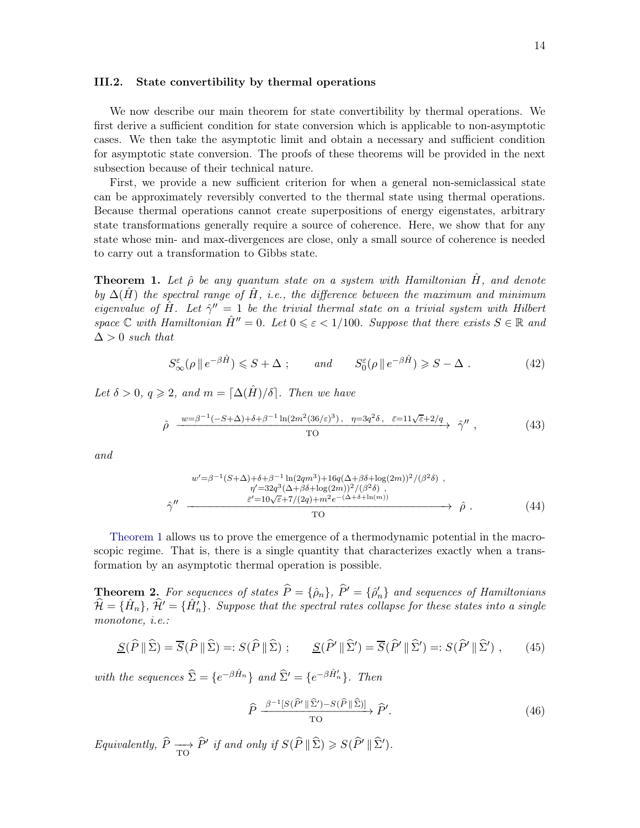#### <span id="page-13-0"></span>III.2. State convertibility by thermal operations

We now describe our main theorem for state convertibility by thermal operations. We first derive a sufficient condition for state conversion which is applicable to non-asymptotic cases. We then take the asymptotic limit and obtain a necessary and sufficient condition for asymptotic state conversion. The proofs of these theorems will be provided in the next subsection because of their technical nature.

First, we provide a new sufficient criterion for when a general non-semiclassical state can be approximately reversibly converted to the thermal state using thermal operations. Because thermal operations cannot create superpositions of energy eigenstates, arbitrary state transformations generally require a source of coherence. Here, we show that for any state whose min- and max-divergences are close, only a small source of coherence is needed to carry out a transformation to Gibbs state.

<span id="page-13-1"></span>**Theorem 1.** Let  $\hat{\rho}$  be any quantum state on a system with Hamiltonian H<sub>i</sub>, and denote by  $\Delta(\hat{H})$  the spectral range of  $\hat{H}$ , i.e., the difference between the maximum and minimum eigenvalue of  $\hat{H}$ . Let  $\hat{\gamma}'' = 1$  be the trivial thermal state on a trivial system with Hilbert space C with Hamiltonian  $\hat{H}'' = 0$ . Let  $0 \le \varepsilon < 1/100$ . Suppose that there exists  $S \in \mathbb{R}$  and  $\Delta > 0$  such that

$$
S_{\infty}^{\varepsilon}(\rho \parallel e^{-\beta \hat{H}}) \leqslant S + \Delta \; ; \qquad \text{and} \qquad S_{0}^{\varepsilon}(\rho \parallel e^{-\beta \hat{H}}) \geqslant S - \Delta \; . \tag{42}
$$

Let  $\delta > 0$ ,  $q \geq 2$ , and  $m = \lceil \Delta(\hat{H})/\delta \rceil$ . Then we have

$$
\hat{\rho} \xrightarrow{w=\beta^{-1}(-S+\Delta)+\delta+\beta^{-1}\ln(2m^2(36/\varepsilon)^3), \quad \eta=3q^2\delta, \quad \bar{\varepsilon}=11\sqrt{\varepsilon}+2/q} \hat{\gamma}'' ,\n\tag{43}
$$

and

$$
w' = \beta^{-1}(S+\Delta) + \delta + \beta^{-1} \ln(2qm^3) + 16q(\Delta + \beta \delta + \log(2m))^2 / (\beta^2 \delta) ,
$$
  
\n
$$
\gamma'' = 32q^3(\Delta + \beta \delta + \log(2m))^2 / (\beta^2 \delta) ,
$$
  
\n
$$
\hat{\gamma}'' = \frac{\bar{\varepsilon}' = 10\sqrt{\varepsilon} + 7/(2q) + m^2 e^{-(\Delta + \delta + \ln(m))}}{\text{TO}} \hat{\rho} .
$$
\n(44)

[Theorem 1](#page-13-1) allows us to prove the emergence of a thermodynamic potential in the macroscopic regime. That is, there is a single quantity that characterizes exactly when a transformation by an asymptotic thermal operation is possible.

<span id="page-13-2"></span>**Theorem 2.** For sequences of states  $P = {\hat{\rho}_n}$ ,  $P' = {\hat{\rho}'_n}$  and sequences of Hamiltonians  $\hat{\mathcal{H}} = \{\hat{H}_n\}, \ \hat{\mathcal{H}}' = \{\hat{H}'_n\}.$  Suppose that the spectral rates collapse for these states into a single monotone, i.e.:

$$
\underline{S}(\widehat{P} \|\widehat{\Sigma}) = \overline{S}(\widehat{P} \|\widehat{\Sigma}) =: S(\widehat{P} \|\widehat{\Sigma}) ; \qquad \underline{S}(\widehat{P}' \|\widehat{\Sigma}') = \overline{S}(\widehat{P}' \|\widehat{\Sigma}') =: S(\widehat{P}' \|\widehat{\Sigma}') , \qquad (45)
$$

with the sequences  $\hat{\Sigma} = \{e^{-\beta \hat{H}_n}\}\$ and  $\hat{\Sigma}' = \{e^{-\beta \hat{H}'_n}\}\$ . Then

$$
\hat{P} \xrightarrow{\beta^{-1}[S(\hat{P}' \parallel \hat{\Sigma}') - S(\hat{P} \parallel \hat{\Sigma})]} \hat{P}'.
$$
\n(46)

Equivalently,  $P \longrightarrow P'$  if and only if  $S(P \| \Sigma) \geq S(P' \| \Sigma').$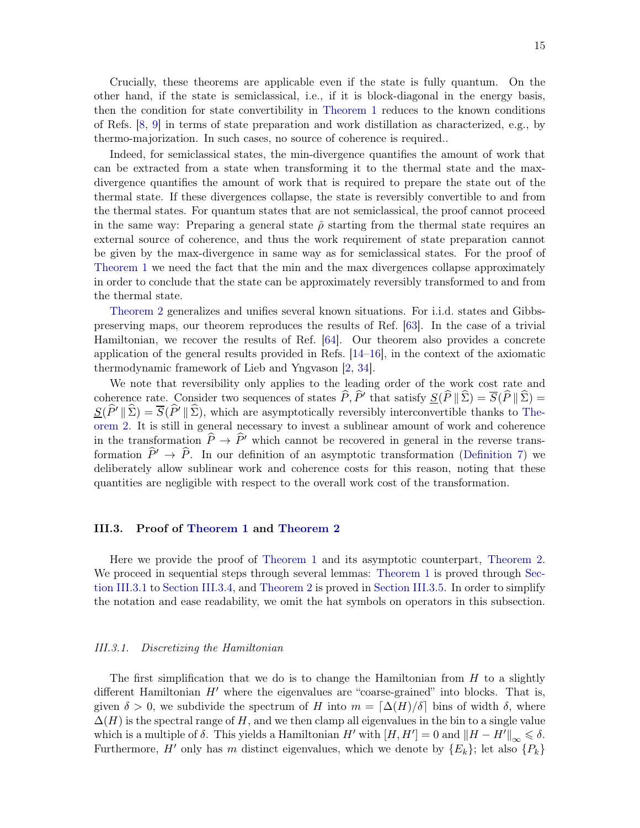Crucially, these theorems are applicable even if the state is fully quantum. On the other hand, if the state is semiclassical, i.e., if it is block-diagonal in the energy basis, then the condition for state convertibility in [Theorem 1](#page-13-1) reduces to the known conditions of Refs. [\[8,](#page-57-16) [9](#page-57-15)] in terms of state preparation and work distillation as characterized, e.g., by thermo-majorization. In such cases, no source of coherence is required..

Indeed, for semiclassical states, the min-divergence quantifies the amount of work that can be extracted from a state when transforming it to the thermal state and the maxdivergence quantifies the amount of work that is required to prepare the state out of the thermal state. If these divergences collapse, the state is reversibly convertible to and from the thermal states. For quantum states that are not semiclassical, the proof cannot proceed in the same way: Preparing a general state  $\hat{\rho}$  starting from the thermal state requires an external source of coherence, and thus the work requirement of state preparation cannot be given by the max-divergence in same way as for semiclassical states. For the proof of [Theorem 1](#page-13-1) we need the fact that the min and the max divergences collapse approximately in order to conclude that the state can be approximately reversibly transformed to and from the thermal state.

[Theorem 2](#page-13-2) generalizes and unifies several known situations. For i.i.d. states and Gibbspreserving maps, our theorem reproduces the results of Ref. [\[63](#page-59-16)]. In the case of a trivial Hamiltonian, we recover the results of Ref. [\[64\]](#page-59-17). Our theorem also provides a concrete application of the general results provided in Refs. [\[14](#page-57-13)[–16](#page-57-5)], in the context of the axiomatic thermodynamic framework of Lieb and Yngvason [\[2,](#page-57-0) [34](#page-58-8)].

We note that reversibility only applies to the leading order of the work cost rate and coherence rate. Consider two sequences of states  $P, P'$  that satisfy  $\underline{S}(P \parallel \Sigma) = S(P \parallel \Sigma) = \underline{S}(P \parallel \Sigma)$  $S(\widehat{P}' \| \widehat{\Sigma}) = \overline{S}(\widehat{P}' \| \widehat{\Sigma})$ [, which are asymptotically reversibly interconvertible thanks to](#page-13-2) Theorem 2. It is still in general necessary to invest a sublinear amount of work and coherence in the transformation  $\hat{P} \to \hat{P}'$  which cannot be recovered in general in the reverse transformation  $\hat{P}' \to \hat{P}$ . In our definition of an asymptotic transformation [\(Definition 7\)](#page-12-1) we deliberately allow sublinear work and coherence costs for this reason, noting that these quantities are negligible with respect to the overall work cost of the transformation.

#### <span id="page-14-0"></span>III.3. Proof of [Theorem 1](#page-13-1) and [Theorem 2](#page-13-2)

Here we provide the proof of [Theorem 1](#page-13-1) and its asymptotic counterpart, [Theorem 2.](#page-13-2) We procee[d in sequential steps through several lemmas:](#page-14-1) [Theorem 1](#page-13-1) is proved through Section III.3.1 to [Section III.3.4,](#page-23-0) and [Theorem 2](#page-13-2) is proved in [Section III.3.5.](#page-25-0) In order to simplify the notation and ease readability, we omit the hat symbols on operators in this subsection.

#### <span id="page-14-1"></span>III.3.1. Discretizing the Hamiltonian

The first simplification that we do is to change the Hamiltonian from  $H$  to a slightly different Hamiltonian  $H'$  where the eigenvalues are "coarse-grained" into blocks. That is, given  $\delta > 0$ , we subdivide the spectrum of H into  $m = \lceil \Delta(H)/\delta \rceil$  bins of width  $\delta$ , where  $\Delta(H)$  is the spectral range of H, and we then clamp all eigenvalues in the bin to a single value which is a multiple of  $\delta$ . This yields a Hamiltonian H' with  $[H, H'] = 0$  and  $\|H - H'\|_{\infty} \leq \delta$ . Furthermore, H' only has m distinct eigenvalues, which we denote by  $\{E_k\}$ ; let also  $\{P_k\}$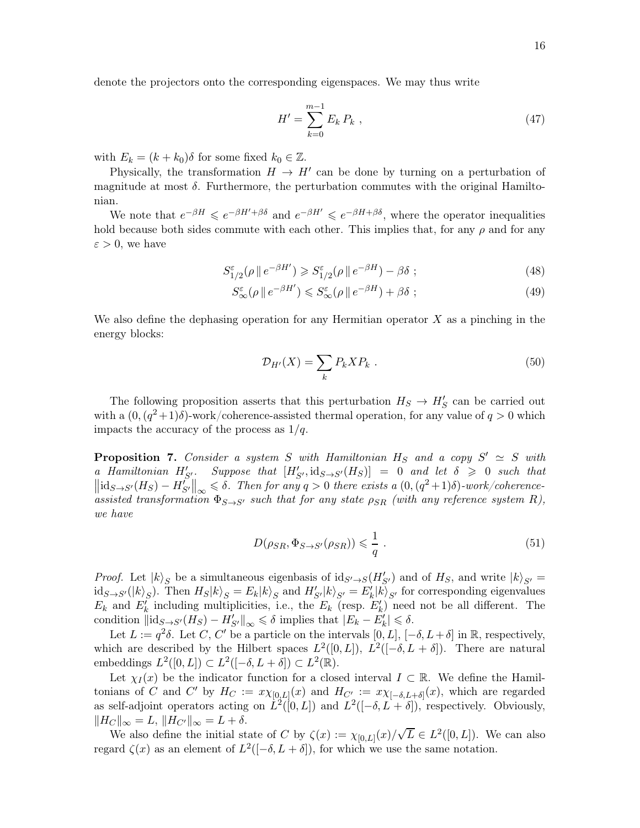denote the projectors onto the corresponding eigenspaces. We may thus write

<span id="page-15-0"></span>
$$
H' = \sum_{k=0}^{m-1} E_k P_k \t\t(47)
$$

with  $E_k = (k + k_0)\delta$  for some fixed  $k_0 \in \mathbb{Z}$ .

Physically, the transformation  $H \to H'$  can be done by turning on a perturbation of magnitude at most  $\delta$ . Furthermore, the perturbation commutes with the original Hamiltonian.

We note that  $e^{-\beta H} \leq e^{-\beta H' + \beta \delta}$  and  $e^{-\beta H'} \leq e^{-\beta H + \beta \delta}$ , where the operator inequalities hold because both sides commute with each other. This implies that, for any  $\rho$  and for any  $\varepsilon > 0$ , we have

$$
S_{1/2}^{\varepsilon}(\rho \parallel e^{-\beta H'}) \geqslant S_{1/2}^{\varepsilon}(\rho \parallel e^{-\beta H}) - \beta \delta ; \qquad (48)
$$

$$
S_{\infty}^{\varepsilon}(\rho \, \| \, e^{-\beta H'}) \leqslant S_{\infty}^{\varepsilon}(\rho \, \| \, e^{-\beta H}) + \beta \delta \; ; \tag{49}
$$

We also define the dephasing operation for any Hermitian operator  $X$  as a pinching in the energy blocks:

$$
\mathcal{D}_{H'}(X) = \sum_{k} P_k X P_k . \qquad (50)
$$

The following proposition asserts that this perturbation  $H_S \to H'_S$  can be carried out with a  $(0, (q^2+1)\delta)$ -work/coherence-assisted thermal operation, for any value of  $q > 0$  which impacts the accuracy of the process as  $1/q$ .

<span id="page-15-1"></span>**Proposition 7.** Consider a system S with Hamiltonian  $H_S$  and a copy  $S' \simeq S$  with a Hamiltonian  $H'_{S'}$ . Suppose that  $[H'_{S'}, \text{id}_{S \to S'}(H_S)] = 0$  and let  $\delta \geq 0$  such that  $\left\|\mathrm{id}_{S\to S'}(H_S)-H_{S'}^{p'}\right\|_{\infty}\leqslant \delta.$  Then for any  $q>0$  there exists a  $(0,(q^2+1)\delta)$ -work/coherence- $\lim_{n \to \infty}$   $\lim_{n \to \infty}$   $\lim_{n \to \infty}$   $\lim_{n \to \infty}$  such that for any state  $\rho_{SR}$  (with any reference system R), we have

$$
D(\rho_{SR}, \Phi_{S \to S'}(\rho_{SR})) \leq \frac{1}{q} . \tag{51}
$$

*Proof.* Let  $|k\rangle_S$  be a simultaneous eigenbasis of  $id_{S'\to S}(H'_{S'})$  and of  $H_S$ , and write  $|k\rangle_{S'} =$  $\mathrm{id}_{S\to S'}(|k\rangle_S)$ . Then  $H_S|k\rangle_S = E_k|k\rangle_S$  and  $H'_{S'}|k\rangle_{S'} = E'_k|k\rangle_{S'}$  for corresponding eigenvalues  $E_k$  and  $E'_k$  including multiplicities, i.e., the  $E_k$  (resp.  $E'_k$ ) need not be all different. The condition  $\|\mathrm{id}_{S\to S'}(H_S) - H'_{S'}\|_{\infty} \leq \delta$  implies that  $|E_k - E'_k| \leq \delta$ .

Let  $L := q^2 \delta$ . Let C, C' be a particle on the intervals  $[0, L]$ ,  $[-\delta, L + \delta]$  in  $\mathbb{R}$ , respectively, which are described by the Hilbert spaces  $L^2([0,L])$ ,  $L^2([-\delta, L + \delta])$ . There are natural embeddings  $L^2([0,L]) \subset L^2([-\delta, L + \delta]) \subset L^2(\mathbb{R})$ .

Let  $\chi_I(x)$  be the indicator function for a closed interval  $I \subset \mathbb{R}$ . We define the Hamiltonians of C and C' by  $H_C := x \chi_{[0,L]}(x)$  and  $H_{C'} := x \chi_{[-\delta, L+\delta]}(x)$ , which are regarded as self-adjoint operators acting on  $\dot{L}^2([0,L])$  and  $L^2([-\delta, L + \delta])$ , respectively. Obviously,  $\Vert H_C \Vert_{\infty} = L, \, \Vert H_{C'} \Vert_{\infty} = L + \delta.$ 

We also define the initial state of C by  $\zeta(x) := \chi_{[0,L]}(x)/\sqrt{L} \in L^2([0,L])$ . We can also regard  $\zeta(x)$  as an element of  $L^2([-\delta, L + \delta])$ , for which we use the same notation.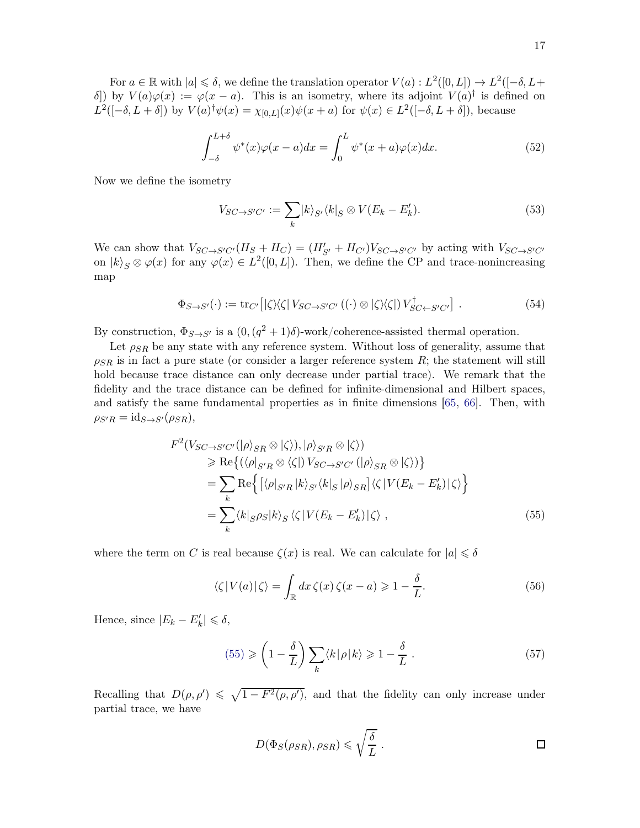For  $a \in \mathbb{R}$  with  $|a| \leq \delta$ , we define the translation operator  $V(a) : L^2([0,L]) \to L^2([-\delta, L+\delta])$ δ) by  $V(a)\varphi(x) := \varphi(x-a)$ . This is an isometry, where its adjoint  $V(a)^\dagger$  is defined on  $L^2([-\delta, L + \delta])$  by  $V(a)^\dagger \psi(x) = \chi_{[0,L]}(x) \psi(x+a)$  for  $\psi(x) \in L^2([-\delta, L + \delta])$ , because

$$
\int_{-\delta}^{L+\delta} \psi^*(x)\varphi(x-a)dx = \int_0^L \psi^*(x+a)\varphi(x)dx.
$$
 (52)

Now we define the isometry

$$
V_{SC \to S'C'} := \sum_{k} |k\rangle_{S'} \langle k|_{S} \otimes V(E_{k} - E'_{k}). \tag{53}
$$

We can show that  $V_{SC\to S'C'}(H_S + H_C) = (H'_{S'} + H_{C'})V_{SC\to S'C'}$  by acting with  $V_{SC\to S'C'}$ on  $|k\rangle_S \otimes \varphi(x)$  for any  $\varphi(x) \in L^2([0, L])$ . Then, we define the CP and trace-nonincreasing map

$$
\Phi_{S \to S'}(\cdot) := \text{tr}_{C'} \left[ |\zeta\rangle\langle\zeta| \, V_{SC \to S'C'} \left( (\cdot) \otimes |\zeta\rangle\langle\zeta| \right) V_{SC \gets S'C'}^{\dagger} \right] \,. \tag{54}
$$

By construction,  $\Phi_{S\to S'}$  is a  $(0, (q^2+1)\delta)$ -work/coherence-assisted thermal operation.

Let  $\rho_{SR}$  be any state with any reference system. Without loss of generality, assume that  $\rho_{SR}$  is in fact a pure state (or consider a larger reference system R; the statement will still hold because trace distance can only decrease under partial trace). We remark that the fidelity and the trace distance can be defined for infinite-dimensional and Hilbert spaces, and satisfy the same fundamental properties as in finite dimensions [\[65](#page-59-18), [66\]](#page-59-19). Then, with  $\rho_{S'R} = \text{id}_{S \to S'}(\rho_{SR}),$ 

$$
F^{2}(V_{SC \to S'C'}(|\rho\rangle_{SR} \otimes |\zeta\rangle), |\rho\rangle_{S'R} \otimes |\zeta\rangle)
$$
  
\n
$$
\geq \text{Re}\{(\langle\rho|_{S'R} \otimes \langle\zeta|) V_{SC \to S'C'}(|\rho\rangle_{SR} \otimes |\zeta\rangle)\}
$$
  
\n
$$
= \sum_{k} \text{Re}\{[\langle\rho|_{S'R}|k\rangle_{S'}\langle k|_{S}|\rho\rangle_{SR}]\langle\zeta|V(E_{k} - E'_{k})|\zeta\rangle\}
$$
  
\n
$$
= \sum_{k} \langle k|_{S}\rho_{S}|k\rangle_{S} \langle\zeta|V(E_{k} - E'_{k})|\zeta\rangle , \qquad (55)
$$

where the term on C is real because  $\zeta(x)$  is real. We can calculate for  $|a| \leq \delta$ 

<span id="page-16-0"></span>
$$
\langle \zeta | V(a) | \zeta \rangle = \int_{\mathbb{R}} dx \, \zeta(x) \, \zeta(x - a) \geq 1 - \frac{\delta}{L}.
$$
 (56)

Hence, since  $|E_k - E'_k| \le \delta$ ,

$$
(55) \geqslant \left(1 - \frac{\delta}{L}\right) \sum_{k} \langle k | \rho | k \rangle \geqslant 1 - \frac{\delta}{L} \ . \tag{57}
$$

Recalling that  $D(\rho, \rho') \leq \sqrt{1 - F^2(\rho, \rho')}$ , and that the fidelity can only increase under partial trace, we have

$$
D(\Phi_S(\rho_{SR}), \rho_{SR}) \leqslant \sqrt{\frac{\delta}{L}}.
$$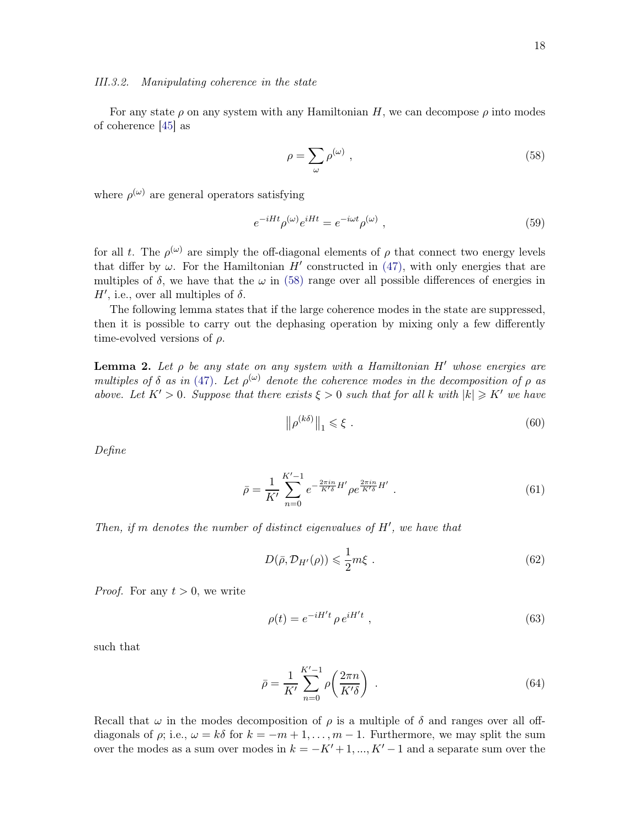#### <span id="page-17-0"></span>III.3.2. Manipulating coherence in the state

For any state  $\rho$  on any system with any Hamiltonian H, we can decompose  $\rho$  into modes of coherence [\[45\]](#page-59-0) as

<span id="page-17-1"></span>
$$
\rho = \sum_{\omega} \rho^{(\omega)} \tag{58}
$$

where  $\rho^{(\omega)}$  are general operators satisfying

$$
e^{-iHt}\rho^{(\omega)}e^{iHt} = e^{-i\omega t}\rho^{(\omega)}\,,\tag{59}
$$

for all t. The  $\rho^{(\omega)}$  are simply the off-diagonal elements of  $\rho$  that connect two energy levels that differ by  $\omega$ . For the Hamiltonian H' constructed in [\(47\),](#page-15-0) with only energies that are multiples of  $\delta$ , we have that the  $\omega$  in [\(58\)](#page-17-1) range over all possible differences of energies in H', i.e., over all multiples of  $\delta$ .

The following lemma states that if the large coherence modes in the state are suppressed, then it is possible to carry out the dephasing operation by mixing only a few differently time-evolved versions of  $\rho$ .

<span id="page-17-3"></span>**Lemma 2.** Let  $\rho$  be any state on any system with a Hamiltonian H' whose energies are multiples of  $\delta$  as in [\(47\)](#page-15-0). Let  $\rho^{(\omega)}$  denote the coherence modes in the decomposition of  $\rho$  as above. Let  $K' > 0$ . Suppose that there exists  $\xi > 0$  such that for all k with  $|k| \geq K'$  we have

<span id="page-17-2"></span>
$$
\left\| \rho^{(k\delta)} \right\|_1 \leqslant \xi \tag{60}
$$

Define

$$
\bar{\rho} = \frac{1}{K'} \sum_{n=0}^{K'-1} e^{-\frac{2\pi in}{K'\delta}H'} \rho e^{\frac{2\pi in}{K'\delta}H'}.
$$
\n(61)

Then, if m denotes the number of distinct eigenvalues of  $H'$ , we have that

$$
D(\bar{\rho}, \mathcal{D}_{H'}(\rho)) \leqslant \frac{1}{2}m\xi \tag{62}
$$

*Proof.* For any  $t > 0$ , we write

$$
\rho(t) = e^{-iH't} \rho e^{iH't} \tag{63}
$$

such that

$$
\bar{\rho} = \frac{1}{K'} \sum_{n=0}^{K'-1} \rho \left( \frac{2\pi n}{K'\delta} \right) \tag{64}
$$

Recall that  $\omega$  in the modes decomposition of  $\rho$  is a multiple of  $\delta$  and ranges over all offdiagonals of  $\rho$ ; i.e.,  $\omega = k\delta$  for  $k = -m+1, \ldots, m-1$ . Furthermore, we may split the sum over the modes as a sum over modes in  $k = -K' + 1, ..., K' - 1$  and a separate sum over the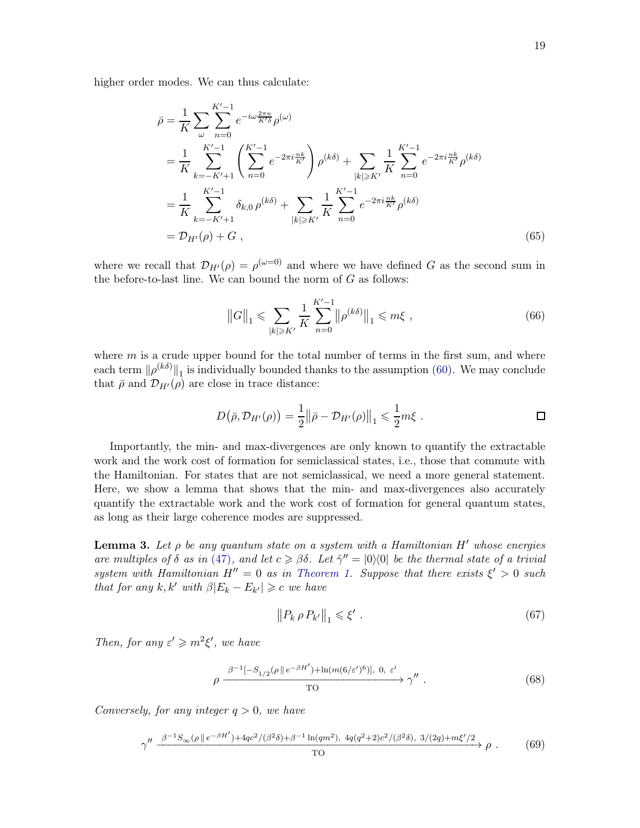higher order modes. We can thus calculate:

$$
\bar{\rho} = \frac{1}{K} \sum_{\omega} \sum_{n=0}^{K'-1} e^{-i\omega \frac{2\pi n}{K'\delta}} \rho^{(\omega)} \n= \frac{1}{K} \sum_{k=-K'+1}^{K'-1} \left( \sum_{n=0}^{K'-1} e^{-2\pi i \frac{nk}{K'}} \right) \rho^{(k\delta)} + \sum_{|k| \ge K'} \frac{1}{K} \sum_{n=0}^{K'-1} e^{-2\pi i \frac{nk}{K'}} \rho^{(k\delta)} \n= \frac{1}{K} \sum_{k=-K'+1}^{K'-1} \delta_{k,0} \rho^{(k\delta)} + \sum_{|k| \ge K'} \frac{1}{K} \sum_{n=0}^{K'-1} e^{-2\pi i \frac{nk}{K'}} \rho^{(k\delta)} \n= \mathcal{D}_{H'}(\rho) + G ,
$$
\n(65)

where we recall that  $\mathcal{D}_{H'}(\rho) = \rho^{(\omega=0)}$  and where we have defined G as the second sum in the before-to-last line. We can bound the norm of  $G$  as follows:

$$
||G||_1 \le \sum_{|k| \ge K'} \frac{1}{K} \sum_{n=0}^{K'-1} ||\rho^{(k\delta)}||_1 \le m\xi ,
$$
\n(66)

where  $m$  is a crude upper bound for the total number of terms in the first sum, and where each term  $\|\rho^{(k\delta)}\|_1$  is individually bounded thanks to the assumption [\(60\).](#page-17-2) We may conclude that  $\bar{\rho}$  and  $\mathcal{D}_{H'}(\rho)$  are close in trace distance:

$$
D(\bar{\rho}, \mathcal{D}_{H'}(\rho)) = \frac{1}{2} ||\bar{\rho} - \mathcal{D}_{H'}(\rho)||_1 \leq \frac{1}{2} m \xi . \qquad \Box
$$

Importantly, the min- and max-divergences are only known to quantify the extractable work and the work cost of formation for semiclassical states, i.e., those that commute with the Hamiltonian. For states that are not semiclassical, we need a more general statement. Here, we show a lemma that shows that the min- and max-divergences also accurately quantify the extractable work and the work cost of formation for general quantum states, as long as their large coherence modes are suppressed.

<span id="page-18-3"></span>**Lemma 3.** Let  $\rho$  be any quantum state on a system with a Hamiltonian H' whose energies are multiples of  $\delta$  as in [\(47\)](#page-15-0), and let  $c \geq \beta \delta$ . Let  $\hat{\gamma}'' = |0\rangle\langle 0|$  be the thermal state of a trivial system with Hamiltonian  $H'' = 0$  as in [Theorem 1.](#page-13-1) Suppose that there exists  $\xi' > 0$  such that for any  $k, k'$  with  $\beta |E_k - E_{k'}| \geqslant c$  we have

<span id="page-18-2"></span><span id="page-18-1"></span><span id="page-18-0"></span>
$$
\|P_k \,\rho \, P_{k'}\|_1 \leqslant \xi' \ . \tag{67}
$$

Then, for any  $\varepsilon' \geq m^2 \xi'$ , we have

$$
\rho \xrightarrow{\beta^{-1}[-S_{1/2}(\rho \parallel e^{-\beta H'}) + \ln(m(6/\varepsilon')^6)], 0, \varepsilon' \atop \text{TO}} \gamma''.
$$
\n(68)

Conversely, for any integer  $q > 0$ , we have

$$
\gamma'' \xrightarrow{\beta^{-1}S_{\infty}(\rho \|e^{-\beta H'}) + 4qc^2/(\beta^2 \delta) + \beta^{-1} \ln(qm^2), \ 4q(q^2+2)c^2/(\beta^2 \delta), \ 3/(2q) + m\xi'/2} \rho \ . \tag{69}
$$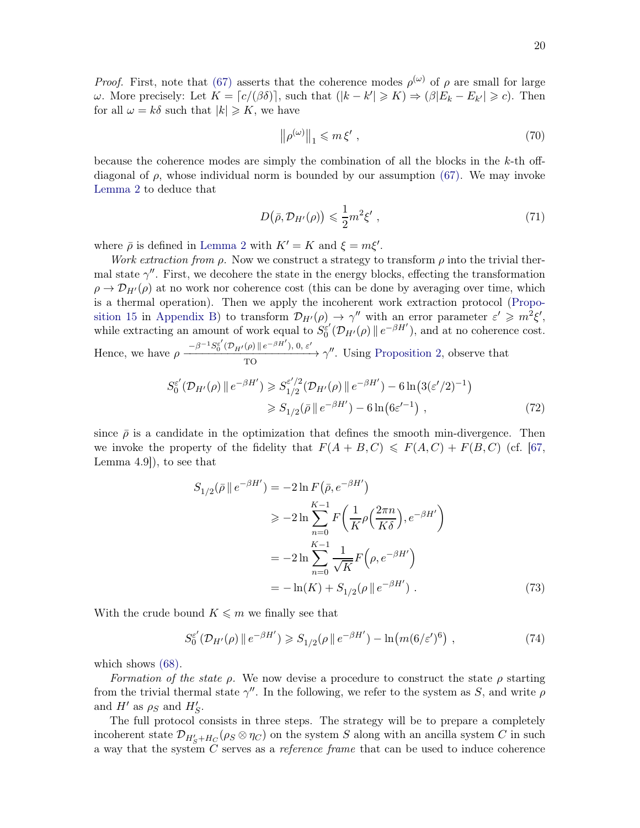*Proof.* First, note that [\(67\)](#page-18-0) asserts that the coherence modes  $\rho^{(\omega)}$  of  $\rho$  are small for large  $ω$ . More precisely: Let  $K = [c/(\beta \delta)],$  such that  $(|k - k'| ≥ K) ⇒ (\beta | E_k - E_{k'}| ≥ c)$ . Then for all  $\omega = k\delta$  such that  $|k| \geq K$ , we have

<span id="page-19-0"></span>
$$
\left\|\rho^{(\omega)}\right\|_{1} \leqslant m\,\xi'\,,\tag{70}
$$

because the coherence modes are simply the combination of all the blocks in the  $k$ -th offdiagonal of  $\rho$ , whose individual norm is bounded by our assumption [\(67\).](#page-18-0) We may invoke [Lemma 2](#page-17-3) to deduce that

$$
D(\bar{\rho}, \mathcal{D}_{H'}(\rho)) \leqslant \frac{1}{2}m^2 \xi' \,,\tag{71}
$$

where  $\bar{\rho}$  is defined in [Lemma 2](#page-17-3) with  $K' = K$  and  $\xi = m\xi'$ .

Work extraction from  $\rho$ . Now we construct a strategy to transform  $\rho$  into the trivial thermal state  $\gamma''$ . First, we decohere the state in the energy blocks, effecting the transformation  $\rho \rightarrow \mathcal{D}_{H'}(\rho)$  at no work nor coherence cost (this can be done by averaging over time, which is a thermal operation). Then we apply the incoherent work extraction protocol (Propo-sition 15 in [Appendix B\)](#page-41-0) to transform  $\mathcal{D}_{H'}(\rho) \to \gamma''$  with an error parameter  $\varepsilon' \geq m^2 \xi'$ , while extracting an amount of work equal to  $S_0^{\varepsilon'}$  $\int_0^{\varepsilon'} (\mathcal{D}_{H'}(\rho) \| e^{-\beta H'})$ , and at no coherence cost. Hence, we have  $\rho \frac{-\beta^{-1}S_0^{\varepsilon'}(\mathcal{D}_{H'}(\rho) || e^{-\beta H'})}{\pi \varepsilon}$ , 0,  $\varepsilon'$ 

 $\frac{1}{T}$   $\longrightarrow$   $\gamma''$ . Using [Proposition 2,](#page-6-1) observe that

$$
S_0^{\varepsilon'}(\mathcal{D}_{H'}(\rho) \| e^{-\beta H'}) \geq S_{1/2}^{\varepsilon'/2}(\mathcal{D}_{H'}(\rho) \| e^{-\beta H'}) - 6 \ln(3(\varepsilon'/2)^{-1})
$$
  

$$
\geq S_{1/2}(\bar{\rho} \| e^{-\beta H'}) - 6 \ln(6\varepsilon'^{-1}), \qquad (72)
$$

since  $\bar{\rho}$  is a candidate in the optimization that defines the smooth min-divergence. Then we invoke the property of the fidelity that  $F(A + B, C) \leq F(A, C) + F(B, C)$  (cf. [\[67](#page-59-20), Lemma 4.9]), to see that

$$
S_{1/2}(\bar{\rho} \parallel e^{-\beta H'}) = -2 \ln F(\bar{\rho}, e^{-\beta H'})
$$
  
\n
$$
\geq -2 \ln \sum_{n=0}^{K-1} F\left(\frac{1}{K} \rho\left(\frac{2\pi n}{K\delta}\right), e^{-\beta H'}\right)
$$
  
\n
$$
= -2 \ln \sum_{n=0}^{K-1} \frac{1}{\sqrt{K}} F\left(\rho, e^{-\beta H'}\right)
$$
  
\n
$$
= -\ln(K) + S_{1/2}(\rho \parallel e^{-\beta H'}) . \tag{73}
$$

With the crude bound  $K \leq m$  we finally see that

$$
S_0^{\varepsilon'}(\mathcal{D}_{H'}(\rho) \| e^{-\beta H'}) \geq S_{1/2}(\rho \| e^{-\beta H'}) - \ln(m(6/\varepsilon')^6), \qquad (74)
$$

which shows [\(68\).](#page-18-1)

Formation of the state  $\rho$ . We now devise a procedure to construct the state  $\rho$  starting from the trivial thermal state  $\gamma''$ . In the following, we refer to the system as S, and write  $\rho$ and  $H'$  as  $\rho_S$  and  $H'_S$ .

The full protocol consists in three steps. The strategy will be to prepare a completely incoherent state  $\mathcal{D}_{H'_{S}+H_{C}}(\rho_{S} \otimes \eta_{C})$  on the system S along with an ancilla system C in such a way that the system C serves as a reference frame that can be used to induce coherence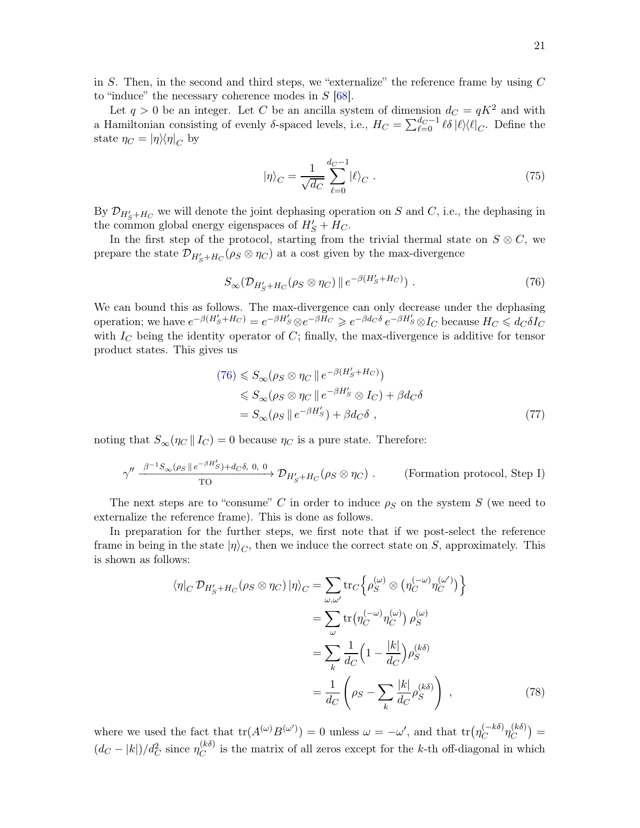in S. Then, in the second and third steps, we "externalize" the reference frame by using  $C$ to "induce" the necessary coherence modes in  $S$  [\[68\]](#page-60-0).

Let  $q > 0$  be an integer. Let C be an ancilla system of dimension  $d_C = qK^2$  and with a Hamiltonian consisting of evenly  $\delta$ -spaced levels, i.e.,  $H_C = \sum_{\ell=0}^{d_C-1} \ell \delta |\ell\rangle\langle \ell|_C$ . Define the state  $\eta_C = |\eta\rangle\langle\eta|_C$  by

<span id="page-20-0"></span>
$$
|\eta\rangle_C = \frac{1}{\sqrt{d_C}} \sum_{\ell=0}^{d_C - 1} |\ell\rangle_C . \tag{75}
$$

By  $\mathcal{D}_{H'_{S}+H_{C}}$  we will denote the joint dephasing operation on S and C, i.e., the dephasing in the common global energy eigenspaces of  $H'_{S} + H_{C}$ .

In the first step of the protocol, starting from the trivial thermal state on  $S \otimes C$ , we prepare the state  $\mathcal{D}_{H'_{S}+H_{C}}(\rho_{S} \otimes \eta_{C})$  at a cost given by the max-divergence

$$
S_{\infty}(\mathcal{D}_{H'_S+H_C}(\rho_S \otimes \eta_C) \| e^{-\beta (H'_S+H_C)}) . \tag{76}
$$

We can bound this as follows. The max-divergence can only decrease under the dephasing operation; we have  $e^{-\beta(H'_S+H_C)} = e^{-\beta H'_S} \otimes e^{-\beta H_C} \geq e^{-\beta d_C \delta} e^{-\beta H'_S} \otimes I_C$  because  $H_C \leq d_C \delta I_C$ with  $I_C$  being the identity operator of  $C$ ; finally, the max-divergence is additive for tensor product states. This gives us

$$
(76) \leq S_{\infty}(\rho_S \otimes \eta_C \parallel e^{-\beta(H'_S + H_C)})
$$
  
\n
$$
\leq S_{\infty}(\rho_S \otimes \eta_C \parallel e^{-\beta H'_S} \otimes I_C) + \beta d_C \delta
$$
  
\n
$$
= S_{\infty}(\rho_S \parallel e^{-\beta H'_S}) + \beta d_C \delta , \qquad (77)
$$

noting that  $S_{\infty}(\eta_C || I_C) = 0$  because  $\eta_C$  is a pure state. Therefore:

$$
\gamma'' \xrightarrow{\beta^{-1}S_{\infty}(\rho_S \parallel e^{-\beta H'_S}) + d_C \delta, 0, 0} \mathcal{D}_{H'_S + H_C}(\rho_S \otimes \eta_C) .
$$
 (Formation protocol, Step I)

The next steps are to "consume" C in order to induce  $\rho_S$  on the system S (we need to externalize the reference frame). This is done as follows.

In preparation for the further steps, we first note that if we post-select the reference frame in being in the state  $|\eta\rangle_C$ , then we induce the correct state on S, approximately. This is shown as follows:

$$
\langle \eta|_{C} \mathcal{D}_{H'_{S}+H_{C}}(\rho_{S} \otimes \eta_{C}) | \eta \rangle_{C} = \sum_{\omega,\omega'} \text{tr}_{C} \Big\{ \rho_{S}^{(\omega)} \otimes \left( \eta_{C}^{(-\omega)} \eta_{C}^{(\omega')} \right) \Big\} = \sum_{\omega} \text{tr} \big( \eta_{C}^{(-\omega)} \eta_{C}^{(\omega)} \big) \rho_{S}^{(\omega)} = \sum_{k} \frac{1}{d_{C}} \Big( 1 - \frac{|k|}{d_{C}} \Big) \rho_{S}^{(k\delta)} = \frac{1}{d_{C}} \left( \rho_{S} - \sum_{k} \frac{|k|}{d_{C}} \rho_{S}^{(k\delta)} \right) ,
$$
 (78)

where we used the fact that  $tr(A^{(\omega)}B^{(\omega')}) = 0$  unless  $\omega = -\omega'$ , and that  $tr(\eta_C^{(-k\delta)}\eta_C^{(k\delta)})$  $\binom{(k\delta)}{C} =$  $(d_C - |k|)/d_C^2$  since  $\eta_C^{(k\delta)}$  $C^{(k0)}$  is the matrix of all zeros except for the k-th off-diagonal in which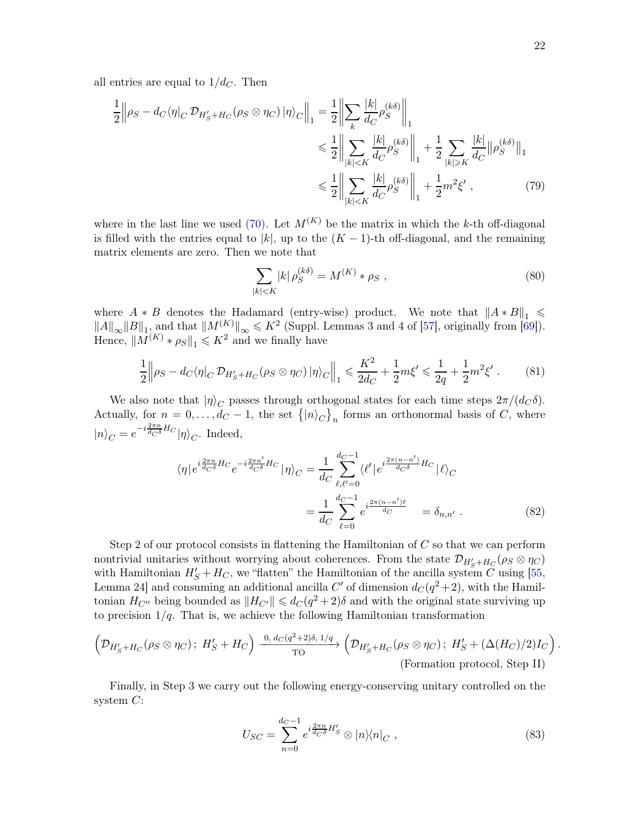all entries are equal to  $1/d<sub>C</sub>$ . Then

$$
\frac{1}{2} \left\| \rho_S - d_C \langle \eta \rangle_C \mathcal{D}_{H'_S + H_C}(\rho_S \otimes \eta_C) \left| \eta \rangle_C \right| \right\|_1 = \frac{1}{2} \left\| \sum_k \frac{|k|}{d_C} \rho_S^{(k\delta)} \right\|_1
$$
  

$$
\leq \frac{1}{2} \left\| \sum_{|k| < K} \frac{|k|}{d_C} \rho_S^{(k\delta)} \right\|_1 + \frac{1}{2} \sum_{|k| \geq K} \frac{|k|}{d_C} \|\rho_S^{(k\delta)}\|_1
$$
  

$$
\leq \frac{1}{2} \left\| \sum_{|k| < K} \frac{|k|}{d_C} \rho_S^{(k\delta)} \right\|_1 + \frac{1}{2} m^2 \xi', \tag{79}
$$

where in the last line we used [\(70\).](#page-19-0) Let  $M^{(K)}$  be the matrix in which the k-th off-diagonal is filled with the entries equal to |k|, up to the  $(K-1)$ -th off-diagonal, and the remaining matrix elements are zero. Then we note that

<span id="page-21-0"></span>
$$
\sum_{|k| < K} |k| \, \rho_S^{(k\delta)} = M^{(K)} \ast \rho_S \;, \tag{80}
$$

where  $A * B$  denotes the Hadamard (entry-wise) product. We note that  $||A * B||_1 \le$  $||A||_{\infty} ||B||_1$ , and that  $||M^{(K)}||_{\infty} \leq K^2$  (Suppl. Lemmas 3 and 4 of [\[57\]](#page-59-12), originally from [\[69\]](#page-60-1)). Hence,  $||M^{(K)} * \rho_S||_1 \leq K^2$  and we finally have

$$
\frac{1}{2} \left\| \rho_S - d_C \langle \eta |_C \mathcal{D}_{H'_S + H_C}(\rho_S \otimes \eta_C) | \eta \rangle_C \right\|_1 \leq \frac{K^2}{2d_C} + \frac{1}{2} m \xi' \leq \frac{1}{2q} + \frac{1}{2} m^2 \xi' . \tag{81}
$$

We also note that  $|\eta\rangle_C$  passes through orthogonal states for each time steps  $2\pi/(d_C\delta)$ . Actually, for  $n = 0, \ldots, d_C - 1$ , the set  $\{|n\rangle_C\}_n$  forms an orthonormal basis of C, where  $|n\rangle_C = e^{-i\frac{2\pi n}{d_C \delta}H_C}|\eta\rangle_C$ . Indeed,

$$
\langle \eta | e^{i \frac{2\pi n}{d_C \delta} H_C} e^{-i \frac{2\pi n'}{d_C \delta} H_C} | \eta \rangle_C = \frac{1}{d_C} \sum_{\ell, \ell'=0}^{d_C - 1} \langle \ell' | e^{i \frac{2\pi (n - n')}{d_C \delta} H_C} | \ell \rangle_C
$$

$$
= \frac{1}{d_C} \sum_{\ell=0}^{d_C - 1} e^{i \frac{2\pi (n - n')\ell}{d_C}} = \delta_{n, n'} . \tag{82}
$$

Step 2 of our protocol consists in flattening the Hamiltonian of  $C$  so that we can perform nontrivial unitaries without worrying about coherences. From the state  $\mathcal{D}_{H'_{S}+H_{C}}(\rho_{S} \otimes \eta_{C})$ with Hamiltonian  $H'_{S} + H_{C}$ , we "flatten" the Hamiltonian of the ancilla system C using [\[55](#page-59-10), Lemma 24 and consuming an additional ancilla C' of dimension  $d_C(q^2+2)$ , with the Hamiltonian  $H_{C''}$  being bounded as  $||H_{C'}|| \leq d_C(q^2+2)\delta$  and with the original state surviving up to precision  $1/q$ . That is, we achieve the following Hamiltonian transformation

$$
\left(\mathcal{D}_{H'_S+H_C}(\rho_S \otimes \eta_C); H'_S+H_C\right) \xrightarrow{\begin{subarray}{c} 0, d_C(q^2+2)\delta, 1/q \\ \text{TO} \end{subarray}} \left(\mathcal{D}_{H'_S+H_C}(\rho_S \otimes \eta_C); H'_S+(\Delta(H_C)/2)I_C\right).
$$
\n(Fromation protocol, Step II)

Finally, in Step 3 we carry out the following energy-conserving unitary controlled on the system  $C$ :

$$
U_{SC} = \sum_{n=0}^{d_C - 1} e^{i\frac{2\pi n}{d_C \delta} H_S'} \otimes |n\rangle\langle n|_C , \qquad (83)
$$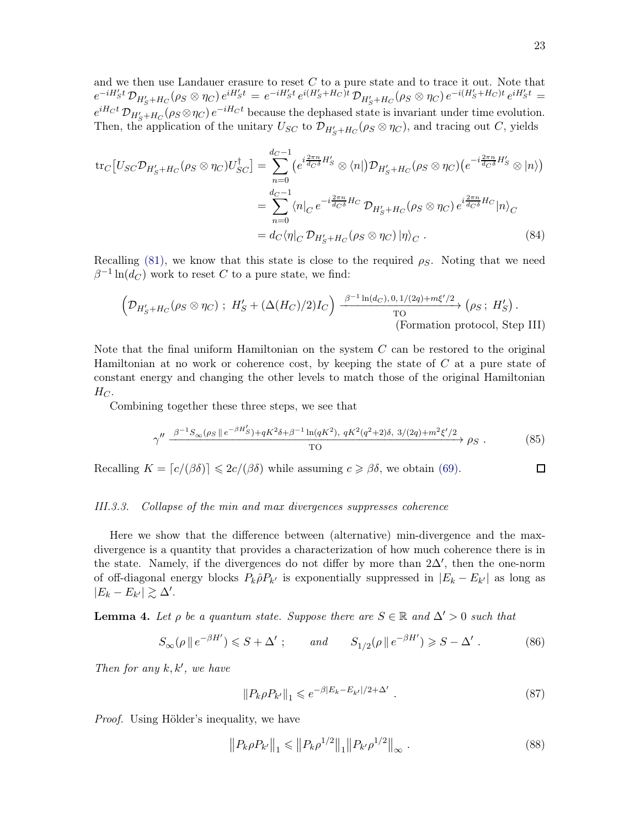and we then use Landauer erasure to reset  $C$  to a pure state and to trace it out. Note that  $e^{-iH'_{S}t} \mathcal{D}_{H'_{S}+H_{C}}(\rho_{S} \otimes \eta_{C}) e^{iH'_{S}t} = e^{-iH'_{S}t} e^{i(H'_{S}+H_{C})t} \mathcal{D}_{H'_{S}+H_{C}}(\rho_{S} \otimes \eta_{C}) e^{-i(H'_{S}+H_{C})t} e^{iH'_{S}t} =$  $e^{iH_Ct} \mathcal{D}_{H'_S+H_C}(\rho_S \otimes \eta_C) e^{-iH_Ct}$  because the dephased state is invariant under time evolution. Then, the application of the unitary  $U_{SC}$  to  $\mathcal{D}_{H'_{S}+H_{C}}(\rho_{S} \otimes \eta_{C})$ , and tracing out C, yields

$$
\text{tr}_{C}\left[U_{SC}\mathcal{D}_{H'_{S}+H_{C}}(\rho_{S}\otimes\eta_{C})U_{SC}^{\dagger}\right] = \sum_{n=0}^{d_{C}-1} \left(e^{i\frac{2\pi n}{d_{C}\delta}H'_{S}}\otimes\langle n|)\mathcal{D}_{H'_{S}+H_{C}}(\rho_{S}\otimes\eta_{C})\left(e^{-i\frac{2\pi n}{d_{C}\delta}H'_{S}}\otimes|n\rangle\right)\right)
$$

$$
=\sum_{n=0}^{d_{C}-1} \langle n|_{C}e^{-i\frac{2\pi n}{d_{C}\delta}H_{C}}\mathcal{D}_{H'_{S}+H_{C}}(\rho_{S}\otimes\eta_{C})e^{i\frac{2\pi n}{d_{C}\delta}H_{C}}|n\rangle_{C}
$$

$$
= d_{C}\langle \eta|_{C}\mathcal{D}_{H'_{S}+H_{C}}(\rho_{S}\otimes\eta_{C})|\eta\rangle_{C}. \tag{84}
$$

Recalling [\(81\),](#page-21-0) we know that this state is close to the required  $\rho_S$ . Noting that we need  $\beta^{-1}\ln(d_C)$  work to reset C to a pure state, we find:

$$
\left(\mathcal{D}_{H'_S+H_C}(\rho_S \otimes \eta_C)\; ;\; H'_S + (\Delta(H_C)/2)I_C\right) \xrightarrow{\beta^{-1}\ln(d_C), 0, 1/(2q)+m\xi'/2} (\rho_S\; ;\; H'_S).
$$
\n(Formation protocol, Step III)

Note that the final uniform Hamiltonian on the system  $C$  can be restored to the original Hamiltonian at no work or coherence cost, by keeping the state of  $C$  at a pure state of constant energy and changing the other levels to match those of the original Hamiltonian  $H_C$ .

Combining together these three steps, we see that

$$
\gamma'' \xrightarrow{\beta^{-1}S_{\infty}(\rho_S \parallel e^{-\beta H_S'}) + qK^2\delta + \beta^{-1}\ln(qK^2), \ qK^2(q^2+2)\delta, \ 3/(2q) + m^2\xi'/2} \rho_S. \tag{85}
$$

Recalling  $K = [c/(\beta \delta)] \leq 2c/(\beta \delta)$  while assuming  $c \geq \beta \delta$ , we obtain [\(69\).](#page-18-2)

#### <span id="page-22-0"></span>III.3.3. Collapse of the min and max divergences suppresses coherence

Here we show that the difference between (alternative) min-divergence and the maxdivergence is a quantity that provides a characterization of how much coherence there is in the state. Namely, if the divergences do not differ by more than  $2\Delta'$ , then the one-norm of off-diagonal energy blocks  $P_k \hat{\rho} P_{k'}$  is exponentially suppressed in  $|E_k - E_{k'}|$  as long as  $|E_k - E_{k'}| \gtrsim \Delta'.$ 

<span id="page-22-1"></span>**Lemma 4.** Let  $\rho$  be a quantum state. Suppose there are  $S \in \mathbb{R}$  and  $\Delta' > 0$  such that

$$
S_{\infty}(\rho \parallel e^{-\beta H'}) \leq S + \Delta' \ ; \qquad \text{and} \qquad S_{1/2}(\rho \parallel e^{-\beta H'}) \geq S - \Delta' \ . \tag{86}
$$

Then for any  $k, k'$ , we have

$$
||P_k \rho P_{k'}||_1 \leqslant e^{-\beta |E_k - E_{k'}|/2 + \Delta'} \tag{87}
$$

Proof. Using Hölder's inequality, we have

$$
||P_k \rho P_{k'}||_1 \le ||P_k \rho^{1/2}||_1 ||P_{k'} \rho^{1/2}||_{\infty}.
$$
\n(88)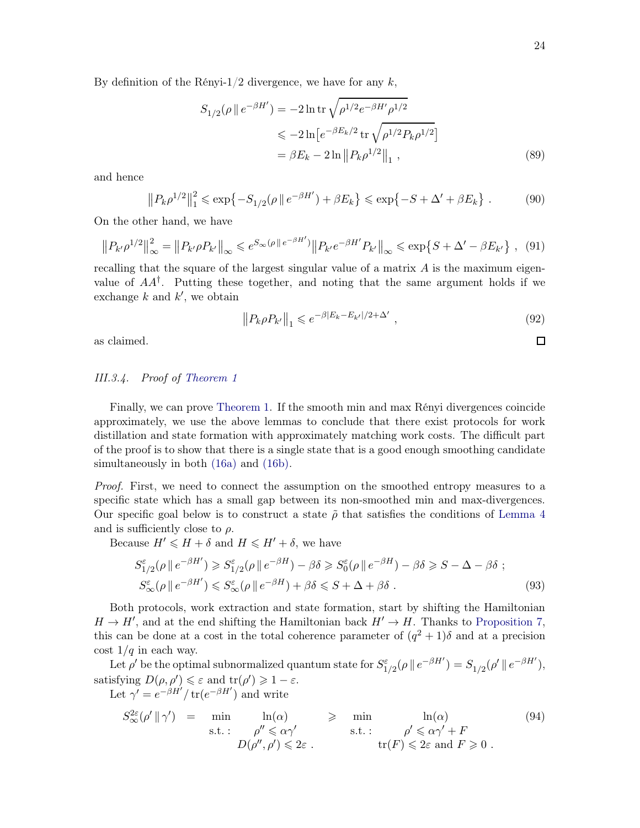$\Box$ 

By definition of the Rényi-1/2 divergence, we have for any  $k$ ,

$$
S_{1/2}(\rho \parallel e^{-\beta H'}) = -2 \ln \text{tr} \sqrt{\rho^{1/2} e^{-\beta H'} \rho^{1/2}}
$$
  
\n
$$
\leq -2 \ln \left[ e^{-\beta E_k/2} \text{tr} \sqrt{\rho^{1/2} P_k \rho^{1/2}} \right]
$$
  
\n
$$
= \beta E_k - 2 \ln \| P_k \rho^{1/2} \|_1 , \qquad (89)
$$

and hence

$$
||P_k \rho^{1/2}||_1^2 \le \exp\{-S_{1/2}(\rho || e^{-\beta H'}) + \beta E_k\} \le \exp\{-S + \Delta' + \beta E_k\}.
$$
 (90)

On the other hand, we have

$$
||P_{k'}\rho^{1/2}||_{\infty}^2 = ||P_{k'}\rho P_{k'}||_{\infty} \leq e^{S_{\infty}(\rho || e^{-\beta H'})} ||P_{k'}e^{-\beta H'}P_{k'}||_{\infty} \leq \exp\{S + \Delta' - \beta E_{k'}\}, \quad (91)
$$

recalling that the square of the largest singular value of a matrix  $A$  is the maximum eigenvalue of AA† . Putting these together, and noting that the same argument holds if we exchange  $k$  and  $k'$ , we obtain

$$
||P_k \rho P_{k'}||_1 \leqslant e^{-\beta |E_k - E_{k'}|/2 + \Delta'}, \qquad (92)
$$

as claimed.

## <span id="page-23-0"></span>III.3.4. Proof of [Theorem 1](#page-13-1)

Finally, we can prove [Theorem 1.](#page-13-1) If the smooth min and max Rényi divergences coincide approximately, we use the above lemmas to conclude that there exist protocols for work distillation and state formation with approximately matching work costs. The difficult part of the proof is to show that there is a single state that is a good enough smoothing candidate simultaneously in both  $(16a)$  and  $(16b)$ .

Proof. First, we need to connect the assumption on the smoothed entropy measures to a specific state which has a small gap between its non-smoothed min and max-divergences. Our specific goal below is to construct a state  $\tilde{\rho}$  that satisfies the conditions of [Lemma 4](#page-22-1) and is sufficiently close to  $\rho$ .

Because  $H' \leq H + \delta$  and  $H \leq H' + \delta$ , we have

$$
S_{1/2}^{\varepsilon}(\rho \parallel e^{-\beta H'}) \geqslant S_{1/2}^{\varepsilon}(\rho \parallel e^{-\beta H}) - \beta \delta \geqslant S_{0}^{\varepsilon}(\rho \parallel e^{-\beta H}) - \beta \delta \geqslant S - \Delta - \beta \delta ;
$$
  

$$
S_{\infty}^{\varepsilon}(\rho \parallel e^{-\beta H'}) \leqslant S_{\infty}^{\varepsilon}(\rho \parallel e^{-\beta H}) + \beta \delta \leqslant S + \Delta + \beta \delta .
$$
 (93)

Both protocols, work extraction and state formation, start by shifting the Hamiltonian  $H \to H'$ , and at the end shifting the Hamiltonian back  $H' \to H$ . Thanks to [Proposition 7,](#page-15-1) this can be done at a cost in the total coherence parameter of  $(q^2+1)\delta$  and at a precision cost  $1/q$  in each way.

Let  $\rho'$  be the optimal subnormalized quantum state for  $S^{\varepsilon}_{1/2}(\rho \, \| \, e^{-\beta H'}) = S_{1/2}(\rho' \, \| \, e^{-\beta H'}),$ satisfying  $D(\rho, \rho') \leq \varepsilon$  and  $tr(\rho') \geq 1 - \varepsilon$ .

Let  $\gamma' = e^{-\beta H'} / \text{tr}(e^{-\beta H'})$  and write

$$
S_{\infty}^{2\varepsilon}(\rho' \|\gamma') = \min_{\text{s.t. : } \rho'' \leq \alpha \gamma'} \ln(\alpha) \geq \min_{\rho' \leq \alpha \gamma' + F} \ln(\alpha) \tag{94}
$$
  

$$
D(\rho'', \rho') \leq 2\varepsilon \quad \text{st. : } \rho' \leq \alpha \gamma' + F
$$
  

$$
\text{tr}(F) \leq 2\varepsilon \text{ and } F \geq 0 .
$$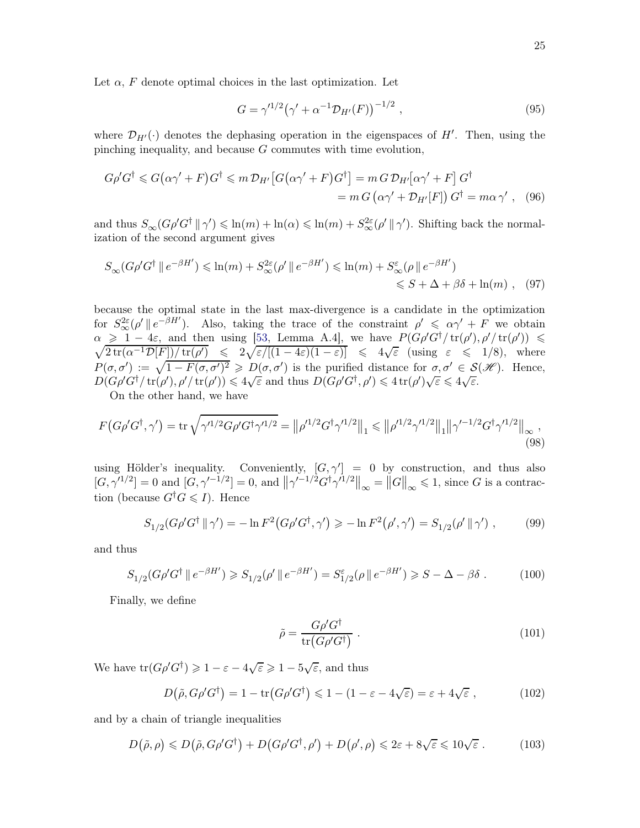$$
G = \gamma^{1/2} (\gamma' + \alpha^{-1} \mathcal{D}_{H'}(F))^{-1/2} , \qquad (95)
$$

where  $\mathcal{D}_{H'}(\cdot)$  denotes the dephasing operation in the eigenspaces of H'. Then, using the pinching inequality, and because  $G$  commutes with time evolution,

$$
G\rho' G^{\dagger} \leq G(\alpha\gamma' + F)G^{\dagger} \leq m \mathcal{D}_{H'}[G(\alpha\gamma' + F)G^{\dagger}] = m G \mathcal{D}_{H'}[\alpha\gamma' + F] G^{\dagger}
$$
  
=  $m G(\alpha\gamma' + \mathcal{D}_{H'}[F]) G^{\dagger} = m\alpha\gamma'$ , (96)

and thus  $S_{\infty}(G\rho'G^{\dagger} \parallel \gamma') \leq \ln(m) + \ln(\alpha) \leq \ln(m) + S_{\infty}^{2\varepsilon}(\rho' \parallel \gamma')$ . Shifting back the normalization of the second argument gives

$$
S_{\infty}(G\rho'G^{\dagger} \parallel e^{-\beta H'}) \le \ln(m) + S_{\infty}^{2\varepsilon}(\rho' \parallel e^{-\beta H'}) \le \ln(m) + S_{\infty}^{\varepsilon}(\rho \parallel e^{-\beta H'})
$$
  
\$\leq S + \Delta + \beta \delta + \ln(m)\$ , (97)

because the optimal state in the last max-divergence is a candidate in the optimization for  $S^2_{\infty}(\rho' \parallel e^{-\beta H'})$ . Also, taking the trace of the constraint  $\rho' \leq \alpha \gamma' + F$  we obtain  $\alpha \geq 1-4\varepsilon$ , and then using [\[53,](#page-59-8) Lemma A.4], we have  $P(G\rho'G^{\dagger}/\text{tr}(\rho'), \rho'/\text{tr}(\rho')$  $\sqrt{ }$  $)) \le$  $\frac{2 \operatorname{tr}(\alpha^{-1} \mathcal{D}[F])/ \operatorname{tr}(\rho')}{2 \sqrt{\varepsilon / [(1-4\varepsilon)(1-\varepsilon)]}} \leq 4 \sqrt{\varepsilon} \text{ (using } \varepsilon \leq 1/8), \text{ where}$  $P(\sigma, \sigma') := \sqrt{1 - F(\sigma, \sigma')^2} \geqslant D(\sigma, \sigma')$  is the purified distance for  $\sigma, \sigma' \in \mathcal{S}(\mathcal{H})$ . Hence,  $D(G\rho'G^{\dagger}/\text{tr}(\rho'),\rho'/\text{tr}(\rho')) \leq 4\sqrt{\varepsilon}$  and thus  $D(G\rho'G^{\dagger},\rho') \leq 4\text{tr}(\rho')\sqrt{\varepsilon} \leq 4\sqrt{\varepsilon}$ .

On the other hand, we have

$$
F\left(G\rho'G^{\dagger},\gamma'\right) = \text{tr}\,\sqrt{\gamma'^{1/2}G\rho'G^{\dagger}\gamma'^{1/2}} = \left\|\rho'^{1/2}G^{\dagger}\gamma'^{1/2}\right\|_{1} \leqslant \left\|\rho'^{1/2}\gamma'^{1/2}\right\|_{1}\left\|\gamma'^{-1/2}G^{\dagger}\gamma'^{1/2}\right\|_{\infty},\tag{98}
$$

using Hölder's inequality. Conveniently,  $[G, \gamma'] = 0$  by construction, and thus also  $[G, \gamma'^{1/2}] = 0$  and  $[G, \gamma'^{-1/2}] = 0$ , and  $\|\gamma'^{-1/2}G^{\dagger}\gamma'^{1/2}\|_{\infty} = \|G\|_{\infty} \leq 1$ , since G is a contraction (because  $G^{\dagger}G \leq I$ ). Hence

$$
S_{1/2}(G\rho'G^{\dagger} \|\gamma') = -\ln F^2(G\rho'G^{\dagger}, \gamma') \ge -\ln F^2(\rho', \gamma') = S_{1/2}(\rho' \|\gamma') ,\qquad (99)
$$

and thus

$$
S_{1/2}(G\rho'G^{\dagger} \parallel e^{-\beta H'}) \ge S_{1/2}(\rho' \parallel e^{-\beta H'}) = S_{1/2}^{\varepsilon}(\rho \parallel e^{-\beta H'}) \ge S - \Delta - \beta \delta.
$$
 (100)

Finally, we define

$$
\tilde{\rho} = \frac{G\rho' G^{\dagger}}{\text{tr}(G\rho' G^{\dagger})} \ . \tag{101}
$$

We have  $tr(G\rho' G^{\dagger}) \geq 1 - \varepsilon - 4\sqrt{\varepsilon} \geq 1 - 5\sqrt{\varepsilon}$ , and thus

$$
D(\tilde{\rho}, G\rho' G^{\dagger}) = 1 - \text{tr}(G\rho' G^{\dagger}) \leq 1 - (1 - \varepsilon - 4\sqrt{\varepsilon}) = \varepsilon + 4\sqrt{\varepsilon} , \qquad (102)
$$

and by a chain of triangle inequalities

$$
D(\tilde{\rho}, \rho) \le D(\tilde{\rho}, G\rho' G^{\dagger}) + D(G\rho' G^{\dagger}, \rho') + D(\rho', \rho) \le 2\varepsilon + 8\sqrt{\varepsilon} \le 10\sqrt{\varepsilon}.
$$
 (103)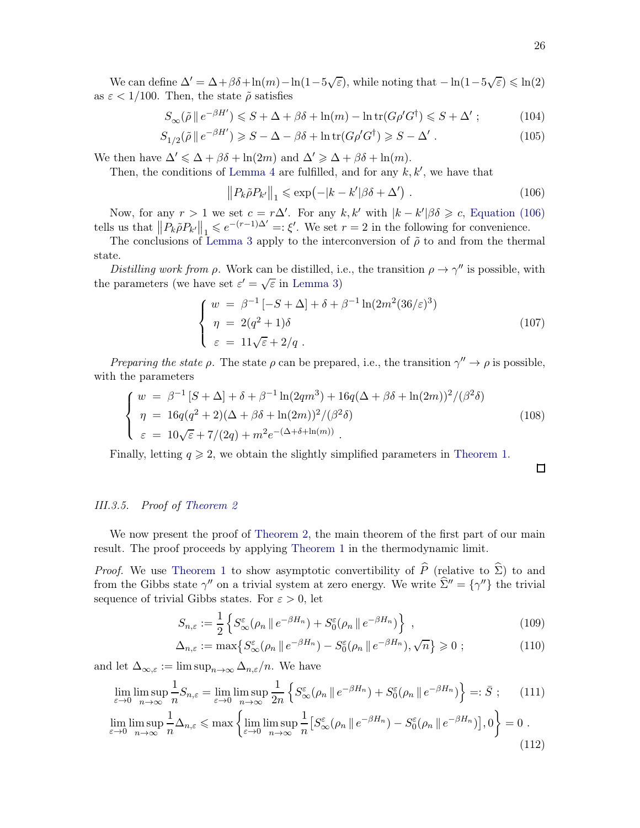We can define  $\Delta' = \Delta + \beta \delta + \ln(m) - \ln(1 - 5\sqrt{\varepsilon})$ , while noting that  $-\ln(1 - 5\sqrt{\varepsilon}) \leq \ln(2)$ as  $\varepsilon < 1/100$ . Then, the state  $\tilde{\rho}$  satisfies

$$
S_{\infty}(\tilde{\rho} \parallel e^{-\beta H'}) \leqslant S + \Delta + \beta \delta + \ln(m) - \ln \text{tr}(G \rho' G^{\dagger}) \leqslant S + \Delta' ; \qquad (104)
$$

$$
S_{1/2}(\tilde{\rho} \parallel e^{-\beta H'}) \ge S - \Delta - \beta \delta + \ln \text{tr}(G \rho' G^{\dagger}) \ge S - \Delta' \ . \tag{105}
$$

We then have  $\Delta' \leq \Delta + \beta \delta + \ln(2m)$  and  $\Delta' \geq \Delta + \beta \delta + \ln(m)$ .

Then, the conditions of [Lemma 4](#page-22-1) are fulfilled, and for any  $k, k'$ , we have that

$$
||P_k\tilde{\rho}P_{k'}||_1 \le \exp(-|k-k'|)\delta + \Delta'). \tag{106}
$$

Now, for any  $r > 1$  we set  $c = r\Delta'$ . For any  $k, k'$  with  $|k - k'| \beta \delta \geq c$ , [Equation \(106\)](#page-25-1) tells us that  $||P_k \tilde{\rho} P_{k'}||_1 \leqslant e^{-(r-1)\Delta'} =: \xi'.$  We set  $r = 2$  in the following for convenience.

The conclusions of [Lemma 3](#page-18-3) apply to the interconversion of  $\tilde{\rho}$  to and from the thermal state.

Distilling work from  $\rho$ . Work can be distilled, i.e., the transition  $\rho \to \gamma''$  is possible, with the parameters (we have set  $\varepsilon' = \sqrt{\varepsilon}$  in [Lemma 3\)](#page-18-3)

$$
\begin{cases}\nw = \beta^{-1} [-S + \Delta] + \delta + \beta^{-1} \ln(2m^2 (36/\varepsilon)^3) \\
\eta = 2(q^2 + 1)\delta \\
\varepsilon = 11\sqrt{\varepsilon} + 2/q .\n\end{cases}
$$
\n(107)

*Preparing the state*  $\rho$ *.* The state  $\rho$  can be prepared, i.e., the transition  $\gamma'' \to \rho$  is possible, with the parameters

$$
\begin{cases}\nw = \beta^{-1} [S + \Delta] + \delta + \beta^{-1} \ln(2qm^3) + 16q(\Delta + \beta\delta + \ln(2m))^2 / (\beta^2\delta) \\
\eta = 16q(q^2 + 2)(\Delta + \beta\delta + \ln(2m))^2 / (\beta^2\delta) \\
\varepsilon = 10\sqrt{\varepsilon} + 7/(2q) + m^2 e^{-(\Delta + \delta + \ln(m))}.\n\end{cases} (108)
$$

Finally, letting  $q \geq 2$ , we obtain the slightly simplified parameters in [Theorem 1.](#page-13-1)

<span id="page-25-1"></span> $\Box$ 

(112)

### <span id="page-25-0"></span>III.3.5. Proof of [Theorem 2](#page-13-2)

We now present the proof of [Theorem 2,](#page-13-2) the main theorem of the first part of our main result. The proof proceeds by applying [Theorem 1](#page-13-1) in the thermodynamic limit.

*Proof.* We use [Theorem 1](#page-13-1) to show asymptotic convertibility of  $\widehat{P}$  (relative to  $\widehat{\Sigma}$ ) to and from the Gibbs state  $\gamma''$  on a trivial system at zero energy. We write  $\Sigma'' = {\gamma''}$  the trivial sequence of trivial Gibbs states. For  $\varepsilon > 0$ , let

$$
S_{n,\varepsilon} := \frac{1}{2} \left\{ S_{\infty}^{\varepsilon}(\rho_n \, \| \, e^{-\beta H_n}) + S_0^{\varepsilon}(\rho_n \, \| \, e^{-\beta H_n}) \right\} \;, \tag{109}
$$

$$
\Delta_{n,\varepsilon} := \max \left\{ S_{\infty}^{\varepsilon}(\rho_n \, \| \, e^{-\beta H_n}) - S_0^{\varepsilon}(\rho_n \, \| \, e^{-\beta H_n}), \sqrt{n} \right\} \geqslant 0 \; ; \tag{110}
$$

and let  $\Delta_{\infty,\varepsilon} := \limsup_{n \to \infty} \Delta_{n,\varepsilon}/n$ . We have

$$
\lim_{\varepsilon \to 0} \limsup_{n \to \infty} \frac{1}{n} S_{n,\varepsilon} = \lim_{\varepsilon \to 0} \limsup_{n \to \infty} \frac{1}{2n} \left\{ S_{\infty}^{\varepsilon}(\rho_n \parallel e^{-\beta H_n}) + S_0^{\varepsilon}(\rho_n \parallel e^{-\beta H_n}) \right\} =: \bar{S} ; \quad (111)
$$
\n
$$
\lim_{\varepsilon \to 0} \limsup_{n \to \infty} \frac{1}{n} \Delta_{n,\varepsilon} \leq \max \left\{ \lim_{\varepsilon \to 0} \limsup_{n \to \infty} \frac{1}{n} \left[ S_{\infty}^{\varepsilon}(\rho_n \parallel e^{-\beta H_n}) - S_0^{\varepsilon}(\rho_n \parallel e^{-\beta H_n}) \right], 0 \right\} = 0 .
$$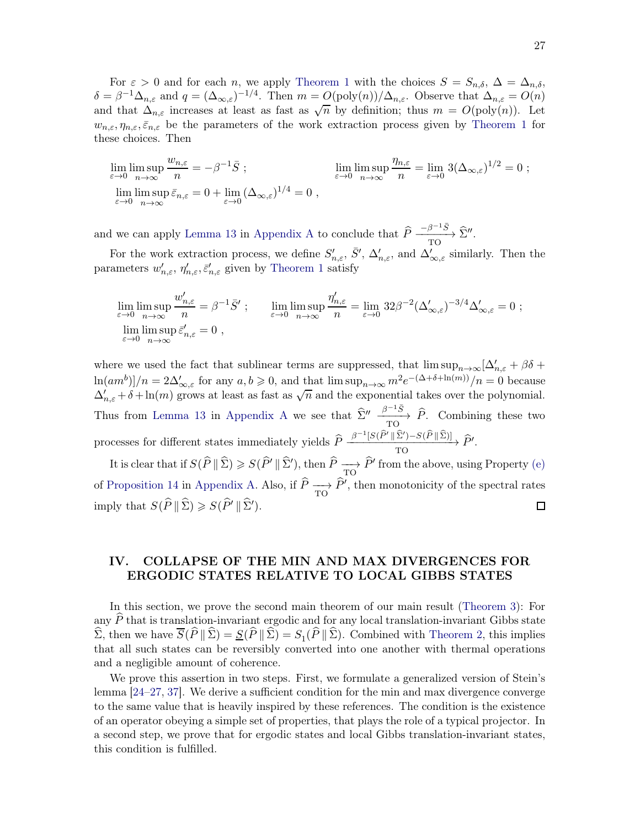For  $\varepsilon > 0$  and for each n, we apply [Theorem 1](#page-13-1) with the choices  $S = S_{n,\delta}$ ,  $\Delta = \Delta_{n,\delta}$ ,  $\delta = \beta^{-1} \Delta_{n,\varepsilon}$  and  $q = (\Delta_{\infty,\varepsilon})^{-1/4}$ . Then  $m = O(\text{poly}(n))/\Delta_{n,\varepsilon}$ . Observe that  $\Delta_{n,\varepsilon} = O(n)$ and that  $\Delta_{n,\varepsilon}$  increases at least as fast as  $\sqrt{n}$  by definition; thus  $m = O(\text{poly}(n))$ . Let  $w_{n,\varepsilon}, \eta_{n,\varepsilon}, \bar{\varepsilon}_{n,\varepsilon}$  be the parameters of the work extraction process given by [Theorem 1](#page-13-1) for these choices. Then

$$
\lim_{\varepsilon \to 0} \limsup_{n \to \infty} \frac{w_{n,\varepsilon}}{n} = -\beta^{-1} \bar{S} ; \qquad \lim_{\varepsilon \to 0} \limsup_{n \to \infty} \frac{\eta_{n,\varepsilon}}{n} = \lim_{\varepsilon \to 0} 3(\Delta_{\infty,\varepsilon})^{1/2} = 0 ;
$$
  
\n
$$
\lim_{\varepsilon \to 0} \limsup_{n \to \infty} \bar{\varepsilon}_{n,\varepsilon} = 0 + \lim_{\varepsilon \to 0} (\Delta_{\infty,\varepsilon})^{1/4} = 0 ,
$$

and we can apply [Lemma 13](#page-44-0) in [Appendix A](#page-37-1) to conclude that  $\hat{P} \frac{-\beta^{-1}\bar{S}}{T\Omega}$  $\frac{-\rho}{TQ} \to \Sigma''$ .

For the work extraction process, we define  $S'_{n,\varepsilon}$ ,  $\bar{S}'$ ,  $\Delta'_{n,\varepsilon}$ , and  $\Delta'_{\infty,\varepsilon}$  similarly. Then the parameters  $w'_{n,\varepsilon}$ ,  $\eta'_{n,\varepsilon}$ ,  $\bar{\varepsilon}'_{n,\varepsilon}$  given by [Theorem 1](#page-13-1) satisfy

$$
\lim_{\varepsilon \to 0} \limsup_{n \to \infty} \frac{w'_{n,\varepsilon}}{n} = \beta^{-1} \bar{S}' ; \qquad \lim_{\varepsilon \to 0} \limsup_{n \to \infty} \frac{\eta'_{n,\varepsilon}}{n} = \lim_{\varepsilon \to 0} 32 \beta^{-2} (\Delta'_{\infty,\varepsilon})^{-3/4} \Delta'_{\infty,\varepsilon} = 0 ;
$$
  
\n
$$
\lim_{\varepsilon \to 0} \limsup_{n \to \infty} \bar{\varepsilon}'_{n,\varepsilon} = 0 ,
$$

where we used the fact that sublinear terms are suppressed, that  $\limsup_{n\to\infty} [\Delta'_{n,\varepsilon} + \beta \delta +$  $\ln(am^b]/n = 2\Delta'_{\infty,\varepsilon}$  for any  $a, b \geq 0$ , and that  $\limsup_{n\to\infty} m^2 e^{-(\Delta+\delta+\ln(m))}/n = 0$  because  $\Delta'_{n,\varepsilon} + \delta + \ln(m)$  grows at least as fast as  $\sqrt{n}$  and the exponential takes over the polynomial. Thus from [Lemma 13](#page-44-0) in [Appendix A](#page-37-1) we see that  $\hat{\Sigma}'' \xrightarrow[\text{TO}]{\beta^{-1}\bar{S}} \hat{P}$ . Combining these two TO processes for different states immediately yields  $\hat{P} \frac{\beta^{-1}[S(\hat{P}' || \hat{\Sigma}') - S(\hat{P} || \hat{\Sigma})]}{TO}$  $\xrightarrow{p} \xrightarrow{p} \xrightarrow{p} \xrightarrow{p} P'.$ 

It is clear that if  $S(P \parallel \Sigma) \ge S(P' \parallel \Sigma')$ , then  $P \longrightarrow P'$  from the above, using Property [\(e\)](#page-42-0) of [Proposition 14](#page-42-1) in [Appendix A.](#page-37-1) Also, if  $P \longrightarrow P'$ , then monotonicity of the spectral rates imply that  $S(P \| \Sigma) \geqslant S(P' \| \Sigma').$  $\Box$ 

# <span id="page-26-0"></span>IV. COLLAPSE OF THE MIN AND MAX DIVERGENCES FOR ERGODIC STATES RELATIVE TO LOCAL GIBBS STATES

In this section, we prove the second main theorem of our main result [\(Theorem 3\)](#page-31-0): For any  $\hat{P}$  that is translation-invariant ergodic and for any local translation-invariant Gibbs state  $\Sigma$ , then we have  $S(P||\Sigma) = S(P||\Sigma) = S_1(P||\Sigma)$ . Combined with [Theorem 2,](#page-13-2) this implies that all such states can be reversibly converted into one another with thermal operations and a negligible amount of coherence.

We prove this assertion in two steps. First, we formulate a generalized version of Stein's lemma [\[24](#page-58-2)[–27](#page-58-1), [37](#page-58-14)]. We derive a sufficient condition for the min and max divergence converge to the same value that is heavily inspired by these references. The condition is the existence of an operator obeying a simple set of properties, that plays the role of a typical projector. In a second step, we prove that for ergodic states and local Gibbs translation-invariant states, this condition is fulfilled.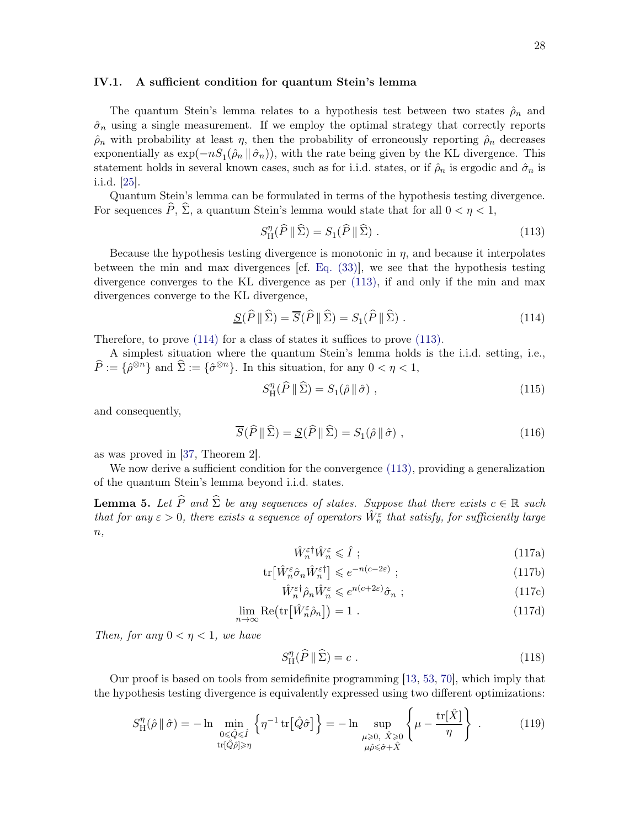#### <span id="page-27-0"></span>IV.1. A sufficient condition for quantum Stein's lemma

The quantum Stein's lemma relates to a hypothesis test between two states  $\hat{\rho}_n$  and  $\hat{\sigma}_n$  using a single measurement. If we employ the optimal strategy that correctly reports  $\rho_n$  with probability at least  $\eta$ , then the probability of erroneously reporting  $\rho_n$  decreases exponentially as  $\exp(-nS_1(\hat{\rho}_n \|\hat{\sigma}_n))$ , with the rate being given by the KL divergence. This statement holds in several known cases, such as for i.i.d. states, or if  $\hat{\rho}_n$  is ergodic and  $\hat{\sigma}_n$  is i.i.d. [\[25\]](#page-58-3).

Quantum Stein's lemma can be formulated in terms of the hypothesis testing divergence. For sequences  $\widehat{P}$ ,  $\widehat{\Sigma}$ , a quantum Stein's lemma would state that for all  $0 < \eta < 1$ ,

<span id="page-27-1"></span>
$$
S_{\rm H}^{\eta}(\widehat{P} \parallel \widehat{\Sigma}) = S_1(\widehat{P} \parallel \widehat{\Sigma}) \ . \tag{113}
$$

Because the hypothesis testing divergence is monotonic in  $\eta$ , and because it interpolates between the min and max divergences [cf. [Eq. \(33\)\]](#page-8-2), we see that the hypothesis testing divergence converges to the KL divergence as per [\(113\),](#page-27-1) if and only if the min and max divergences converge to the KL divergence,

$$
\underline{S}(\widehat{P} \|\widehat{\Sigma}) = \overline{S}(\widehat{P} \|\widehat{\Sigma}) = S_1(\widehat{P} \|\widehat{\Sigma}) . \tag{114}
$$

Therefore, to prove [\(114\)](#page-27-2) for a class of states it suffices to prove [\(113\).](#page-27-1)

A simplest situation where the quantum Stein's lemma holds is the i.i.d. setting, i.e.,  $\widehat{P} := \{\widehat{\rho}^{\otimes n}\}\$  and  $\widehat{\Sigma} := \{\widehat{\sigma}^{\otimes n}\}\$ . In this situation, for any  $0 < \eta < 1$ ,

<span id="page-27-2"></span>
$$
S_{\rm H}^{\eta}(\widehat{P} \|\widehat{\Sigma}) = S_1(\widehat{\rho} \|\widehat{\sigma}) \;, \tag{115}
$$

and consequently,

$$
\overline{S}(\hat{P} \| \hat{\Sigma}) = \underline{S}(\hat{P} \| \hat{\Sigma}) = S_1(\hat{\rho} \| \hat{\sigma}), \qquad (116)
$$

as was proved in [\[37](#page-58-14), Theorem 2].

<span id="page-27-4"></span>We now derive a sufficient condition for the convergence [\(113\),](#page-27-1) providing a generalization of the quantum Stein's lemma beyond i.i.d. states.

**Lemma 5.** Let  $\widehat{P}$  and  $\widehat{\Sigma}$  be any sequences of states. Suppose that there exists  $c \in \mathbb{R}$  such that for any  $\varepsilon > 0$ , there exists a sequence of operators  $\hat{W}_n^{\varepsilon}$  that satisfy, for sufficiently large  $n,$ 

<span id="page-27-8"></span><span id="page-27-7"></span><span id="page-27-6"></span><span id="page-27-5"></span>
$$
\hat{W}_n^{\varepsilon \dagger} \hat{W}_n^{\varepsilon} \leqslant \hat{I} \tag{117a}
$$

$$
\text{tr}\left[\hat{W}_n^{\varepsilon} \hat{\sigma}_n \hat{W}_n^{\varepsilon\dagger}\right] \leqslant e^{-n(c-2\varepsilon)} \tag{117b}
$$

$$
\hat{W}_n^{\varepsilon \dagger} \hat{\rho}_n \hat{W}_n^{\varepsilon} \leqslant e^{n(c+2\varepsilon)} \hat{\sigma}_n ; \qquad (117c)
$$

$$
\lim_{n \to \infty} \text{Re}\big(\text{tr}\big[\hat{W}_n^{\varepsilon}\hat{\rho}_n\big]\big) = 1 \tag{117d}
$$

Then, for any  $0 < \eta < 1$ , we have

<span id="page-27-3"></span>
$$
S_{\rm H}^{\eta}(\widehat{P} \parallel \widehat{\Sigma}) = c \tag{118}
$$

Our proof is based on tools from semidefinite programming [\[13,](#page-57-14) [53,](#page-59-8) [70\]](#page-60-2), which imply that the hypothesis testing divergence is equivalently expressed using two different optimizations:

$$
S_{\mathrm{H}}^{\eta}(\hat{\rho} \parallel \hat{\sigma}) = -\ln \min_{\substack{0 \leq \hat{Q} \leq \hat{I} \\ \text{tr}[\hat{Q}\hat{\rho}] \geq \eta}} \left\{ \eta^{-1} \operatorname{tr}[\hat{Q}\hat{\sigma}] \right\} = -\ln \sup_{\substack{\mu \geq 0, \ \hat{X} \geq 0 \\ \mu \hat{\rho} \leq \hat{\sigma} + \hat{X}}} \left\{ \mu - \frac{\operatorname{tr}[\hat{X}]}{\eta} \right\} . \tag{119}
$$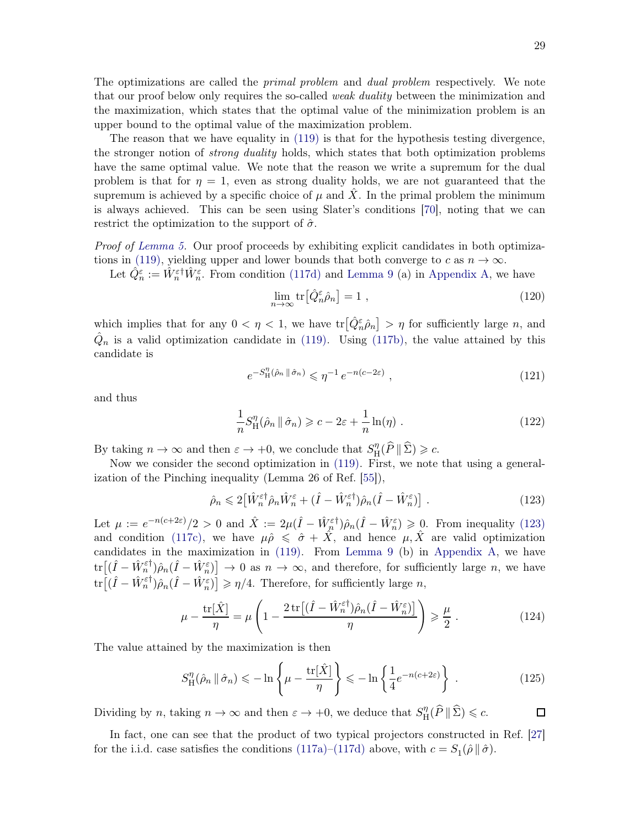The optimizations are called the *primal problem* and *dual problem* respectively. We note that our proof below only requires the so-called *weak duality* between the minimization and the maximization, which states that the optimal value of the minimization problem is an upper bound to the optimal value of the maximization problem.

The reason that we have equality in [\(119\)](#page-27-3) is that for the hypothesis testing divergence, the stronger notion of *strong duality* holds, which states that both optimization problems have the same optimal value. We note that the reason we write a supremum for the dual problem is that for  $\eta = 1$ , even as strong duality holds, we are not guaranteed that the supremum is achieved by a specific choice of  $\mu$  and X. In the primal problem the minimum is always achieved. This can be seen using Slater's conditions [\[70\]](#page-60-2), noting that we can restrict the optimization to the support of  $\hat{\sigma}$ .

Proof of [Lemma 5.](#page-27-4) Our proof proceeds by exhibiting explicit candidates in both optimiza-tions in [\(119\),](#page-27-3) yielding upper and lower bounds that both converge to c as  $n \to \infty$ .

Let  $\hat{Q}_n^{\varepsilon} := \hat{W}_n^{\varepsilon \dagger} \hat{W}_n^{\varepsilon}$ . From condition [\(117d\)](#page-27-5) and [Lemma 9](#page-38-0) (a) in [Appendix A,](#page-37-1) we have

$$
\lim_{n \to \infty} \text{tr} \left[ \hat{Q}_n^{\varepsilon} \hat{\rho}_n \right] = 1 \tag{120}
$$

which implies that for any  $0 < \eta < 1$ , we have  $\text{tr}\left[ \hat{Q}_{n}^{\varepsilon} \hat{\rho}_{n} \right] > \eta$  for sufficiently large n, and  $\hat{Q}_n$  is a valid optimization candidate in [\(119\).](#page-27-3) Using [\(117b\),](#page-27-6) the value attained by this candidate is

$$
e^{-S_{\mathcal{H}}^{\eta}(\hat{\rho}_n \, \|\, \hat{\sigma}_n)} \leqslant \eta^{-1} \, e^{-n(c-2\varepsilon)} \;, \tag{121}
$$

and thus

<span id="page-28-0"></span>
$$
\frac{1}{n}S_{\mathrm{H}}^{\eta}(\hat{\rho}_n \mid \hat{\sigma}_n) \geqslant c - 2\varepsilon + \frac{1}{n}\ln(\eta) . \tag{122}
$$

By taking  $n \to \infty$  and then  $\varepsilon \to +0$ , we conclude that  $S_{\text{H}}^{\eta}$  $_{\rm H}^{\eta}(P \parallel \Sigma) \geqslant c.$ 

Now we consider the second optimization in [\(119\).](#page-27-3) First, we note that using a generalization of the Pinching inequality (Lemma 26 of Ref. [\[55](#page-59-10)]),

$$
\hat{\rho}_n \leq 2 \left[ \hat{W}_n^{\varepsilon \dagger} \hat{\rho}_n \hat{W}_n^{\varepsilon} + (\hat{I} - \hat{W}_n^{\varepsilon \dagger}) \hat{\rho}_n (\hat{I} - \hat{W}_n^{\varepsilon}) \right]. \tag{123}
$$

Let  $\mu := e^{-n(c+2\varepsilon)}/2 > 0$  and  $\hat{X} := 2\mu(\hat{I} - \hat{W}_{n}^{\varepsilon\dagger})\hat{\rho}_{n}(\hat{I} - \hat{W}_{n}^{\varepsilon}) \geq 0$ . From inequality [\(123\)](#page-28-0) and condition [\(117c\),](#page-27-7) we have  $\mu \hat{\rho} \leq \hat{\sigma} + \hat{X}$ , and hence  $\mu, \hat{X}$  are valid optimization candidates in the maximization in [\(119\).](#page-27-3) From [Lemma 9](#page-38-0) (b) in [Appendix A,](#page-37-1) we have  $\text{tr}\big[(\hat{I} - \hat{W}_n^{\varepsilon\dagger})\hat{\rho}_n(\hat{I} - \hat{W}_n^{\varepsilon})\big] \to 0$  as  $n \to \infty$ , and therefore, for sufficiently large n, we have  $\text{tr}\big[(\hat{I} - \hat{W}_n^{\varepsilon\dagger})\hat{\rho}_n(\hat{I} - \hat{W}_n^{\varepsilon})\big] \geqslant \eta/4.$  Therefore, for sufficiently large n,

$$
\mu - \frac{\text{tr}[\hat{X}]}{\eta} = \mu \left( 1 - \frac{2 \text{tr}[(\hat{I} - \hat{W}_n^{\varepsilon\dagger})\hat{\rho}_n(\hat{I} - \hat{W}_n^{\varepsilon})]}{\eta} \right) \geqslant \frac{\mu}{2} . \tag{124}
$$

The value attained by the maximization is then

$$
S_{\mathrm{H}}^{\eta}(\hat{\rho}_n \mid \hat{\sigma}_n) \leq -\ln\left\{\mu - \frac{\mathrm{tr}[\hat{X}]}{\eta}\right\} \leq -\ln\left\{\frac{1}{4}e^{-n(c+2\varepsilon)}\right\} \,. \tag{125}
$$

Dividing by n, taking  $n \to \infty$  and then  $\varepsilon \to +0$ , we deduce that  $S_{\text{H}}^{\eta}$  $_{\rm H}^{\eta}(P \parallel \Sigma) \leqslant c.$  $\Box$ 

In fact, one can see that the product of two typical projectors constructed in Ref. [\[27](#page-58-1)] for the i.i.d. case satisfies the conditions  $(117a)-(117d)$  $(117a)-(117d)$  above, with  $c = S_1(\hat{\rho} \|\hat{\sigma})$ .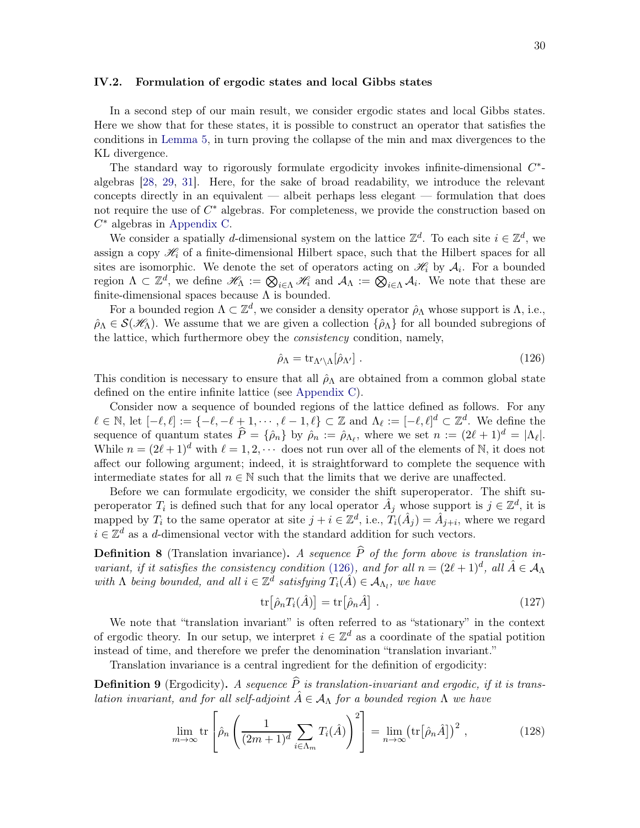#### <span id="page-29-0"></span>IV.2. Formulation of ergodic states and local Gibbs states

In a second step of our main result, we consider ergodic states and local Gibbs states. Here we show that for these states, it is possible to construct an operator that satisfies the conditions in [Lemma 5,](#page-27-4) in turn proving the collapse of the min and max divergences to the KL divergence.

The standard way to rigorously formulate ergodicity invokes infinite-dimensional  $C^*$ algebras [\[28](#page-58-4), [29](#page-58-16), [31](#page-58-5)]. Here, for the sake of broad readability, we introduce the relevant concepts directly in an equivalent — albeit perhaps less elegant — formulation that does not require the use of  $C^*$  algebras. For completeness, we provide the construction based on  $C^*$  algebras in [Appendix C.](#page-47-0)

We consider a spatially d-dimensional system on the lattice  $\mathbb{Z}^d$ . To each site  $i \in \mathbb{Z}^d$ , we assign a copy  $\mathcal{H}_i$  of a finite-dimensional Hilbert space, such that the Hilbert spaces for all sites are isomorphic. We denote the set of operators acting on  $\mathcal{H}_i$  by  $\mathcal{A}_i$ . For a bounded region  $\Lambda \subset \mathbb{Z}^d$ , we define  $\mathscr{H}_{\Lambda} := \bigotimes_{i \in \Lambda} \mathscr{H}_i$  and  $\mathcal{A}_{\Lambda} := \bigotimes_{i \in \Lambda} \mathcal{A}_i$ . We note that these are finite-dimensional spaces because  $\Lambda$  is bounded.

For a bounded region  $\Lambda \subset \mathbb{Z}^d$ , we consider a density operator  $\hat{\rho}_{\Lambda}$  whose support is  $\Lambda$ , i.e.,  $\rho_{\Lambda} \in \mathcal{S}(\mathscr{H}_{\Lambda})$ . We assume that we are given a collection  $\{\hat{\rho}_{\Lambda}\}\$ for all bounded subregions of the lattice, which furthermore obey the consistency condition, namely,

<span id="page-29-1"></span>
$$
\hat{\rho}_{\Lambda} = \text{tr}_{\Lambda' \setminus \Lambda} [\hat{\rho}_{\Lambda'}] \ . \tag{126}
$$

This condition is necessary to ensure that all  $\hat{\rho}_{\Lambda}$  are obtained from a common global state defined on the entire infinite lattice (see [Appendix C\)](#page-47-0).

Consider now a sequence of bounded regions of the lattice defined as follows. For any  $\ell \in \mathbb{N}$ , let  $[-\ell, \ell] := \{-\ell, -\ell + 1, \cdots, \ell-1, \ell\} \subset \mathbb{Z}$  and  $\Lambda_{\ell} := [-\ell, \ell]^d \subset \mathbb{Z}^d$ . We define the sequence of quantum states  $\hat{P} = \{\hat{\rho}_n\}$  by  $\hat{\rho}_n := \hat{\rho}_{\Lambda_\ell}$ , where we set  $n := (2\ell + 1)^d = |\Lambda_\ell|$ . While  $n = (2\ell + 1)^d$  with  $\ell = 1, 2, \cdots$  does not run over all of the elements of N, it does not affect our following argument; indeed, it is straightforward to complete the sequence with intermediate states for all  $n \in \mathbb{N}$  such that the limits that we derive are unaffected.

Before we can formulate ergodicity, we consider the shift superoperator. The shift superoperator  $T_i$  is defined such that for any local operator  $\hat{A}_j$  whose support is  $j \in \mathbb{Z}^d$ , it is mapped by  $T_i$  to the same operator at site  $j + i \in \mathbb{Z}^d$ , i.e.,  $T_i(\hat{A}_j) = \hat{A}_{j+i}$ , where we regard  $i \in \mathbb{Z}^d$  as a d-dimensional vector with the standard addition for such vectors.

**Definition 8** (Translation invariance). A sequence  $\hat{P}$  of the form above is translation in-variant, if it satisfies the consistency condition [\(126\)](#page-29-1), and for all  $n = (2\ell + 1)^d$ , all  $\hat{A} \in \mathcal{A}_{\Lambda}$ with  $\Lambda$  being bounded, and all  $i \in \mathbb{Z}^d$  satisfying  $T_i(\hat{A}) \in \mathcal{A}_{\Lambda_l}$ , we have

<span id="page-29-2"></span>
$$
\operatorname{tr}\left[\hat{\rho}_n T_i(\hat{A})\right] = \operatorname{tr}\left[\hat{\rho}_n \hat{A}\right] \,. \tag{127}
$$

We note that "translation invariant" is often referred to as "stationary" in the context of ergodic theory. In our setup, we interpret  $i \in \mathbb{Z}^d$  as a coordinate of the spatial potition instead of time, and therefore we prefer the denomination "translation invariant."

<span id="page-29-3"></span>Translation invariance is a central ingredient for the definition of ergodicity:

**Definition 9** (Ergodicity). A sequence  $\hat{P}$  is translation-invariant and ergodic, if it is translation invariant, and for all self-adjoint  $\hat{A} \in A_{\Lambda}$  for a bounded region  $\Lambda$  we have

$$
\lim_{m \to \infty} \text{tr}\left[\hat{\rho}_n \left(\frac{1}{(2m+1)^d} \sum_{i \in \Lambda_m} T_i(\hat{A})\right)^2\right] = \lim_{n \to \infty} \left(\text{tr}\left[\hat{\rho}_n \hat{A}\right]\right)^2, \tag{128}
$$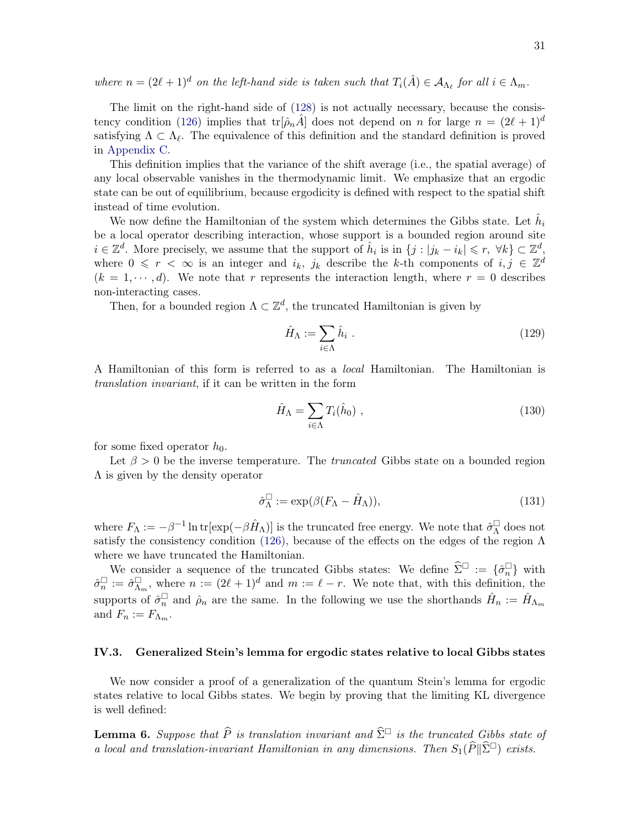where  $n = (2\ell + 1)^d$  on the left-hand side is taken such that  $T_i(\hat{A}) \in A_{\Lambda_{\ell}}$  for all  $i \in \Lambda_m$ .

The limit on the right-hand side of [\(128\)](#page-29-2) is not actually necessary, because the consis-tency condition [\(126\)](#page-29-1) implies that  $tr[\hat{\rho}_nA]$  does not depend on n for large  $n = (2\ell + 1)^d$ satisfying  $\Lambda \subset \Lambda_{\ell}$ . The equivalence of this definition and the standard definition is proved in [Appendix C.](#page-47-0)

This definition implies that the variance of the shift average (i.e., the spatial average) of any local observable vanishes in the thermodynamic limit. We emphasize that an ergodic state can be out of equilibrium, because ergodicity is defined with respect to the spatial shift instead of time evolution.

We now define the Hamiltonian of the system which determines the Gibbs state. Let  $\hat{h}_i$ be a local operator describing interaction, whose support is a bounded region around site  $i \in \mathbb{Z}^d$ . More precisely, we assume that the support of  $\hat{h}_i$  is in  $\{j : |j_k - i_k| \leq r, \forall k\} \subset \mathbb{Z}^d$ , where  $0 \leq r < \infty$  is an integer and  $i_k$ ,  $j_k$  describe the k-th components of  $i, j \in \mathbb{Z}^d$  $(k = 1, \dots, d)$ . We note that r represents the interaction length, where  $r = 0$  describes non-interacting cases.

Then, for a bounded region  $\Lambda \subset \mathbb{Z}^d$ , the truncated Hamiltonian is given by

$$
\hat{H}_{\Lambda} := \sum_{i \in \Lambda} \hat{h}_i \tag{129}
$$

A Hamiltonian of this form is referred to as a local Hamiltonian. The Hamiltonian is translation invariant, if it can be written in the form

$$
\hat{H}_{\Lambda} = \sum_{i \in \Lambda} T_i(\hat{h}_0) , \qquad (130)
$$

for some fixed operator  $h_0$ .

Let  $\beta > 0$  be the inverse temperature. The *truncated* Gibbs state on a bounded region  $\Lambda$  is given by the density operator

<span id="page-30-1"></span>
$$
\hat{\sigma}_{\Lambda}^{\Box} := \exp(\beta (F_{\Lambda} - \hat{H}_{\Lambda})), \tag{131}
$$

where  $F_{\Lambda} := -\beta^{-1} \ln \text{tr}[\exp(-\beta \hat{H}_{\Lambda})]$  is the truncated free energy. We note that  $\hat{\sigma}_{\Lambda}^{\Box}$  does not satisfy the consistency condition [\(126\),](#page-29-1) because of the effects on the edges of the region  $\Lambda$ where we have truncated the Hamiltonian.

We consider a sequence of the truncated Gibbs states: We define  $\widehat{\Sigma}^{\square} := {\{\widehat{\sigma}_n^{\square}\}}$  with  $\hat{\sigma}_n^{\square} := \hat{\sigma}_{\Lambda_m}^{\square}$ , where  $n := (2\ell + 1)^d$  and  $m := \ell - r$ . We note that, with this definition, the supports of  $\hat{\sigma}_n^{\square}$  and  $\hat{\rho}_n$  are the same. In the following we use the shorthands  $\hat{H}_n := \hat{H}_{\Lambda_m}$ and  $F_n := F_{\Lambda_m}$ .

#### <span id="page-30-0"></span>IV.3. Generalized Stein's lemma for ergodic states relative to local Gibbs states

We now consider a proof of a generalization of the quantum Stein's lemma for ergodic states relative to local Gibbs states. We begin by proving that the limiting KL divergence is well defined:

<span id="page-30-2"></span>**Lemma 6.** Suppose that  $\widehat{P}$  is translation invariant and  $\widehat{\Sigma}^{\square}$  is the truncated Gibbs state of a local and translation-invariant Hamiltonian in any dimensions. Then  $S_1(\widehat{P}||\widehat{\Sigma}^{\Box})$  exists.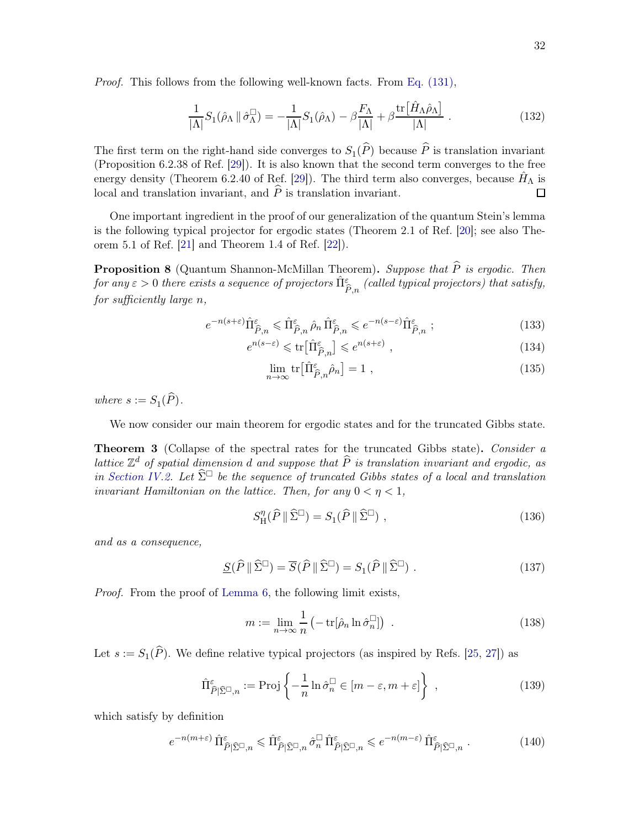Proof. This follows from the following well-known facts. From [Eq. \(131\),](#page-30-1)

$$
\frac{1}{|\Lambda|}S_1(\hat{\rho}_\Lambda \|\hat{\sigma}_\Lambda^\square) = -\frac{1}{|\Lambda|}S_1(\hat{\rho}_\Lambda) - \beta \frac{F_\Lambda}{|\Lambda|} + \beta \frac{\text{tr}\big[\hat{H}_\Lambda \hat{\rho}_\Lambda\big]}{|\Lambda|} \,. \tag{132}
$$

The first term on the right-hand side converges to  $S_1(P)$  because P is translation invariant (Proposition 6.2.38 of Ref. [\[29](#page-58-16)]). It is also known that the second term converges to the free energy density (Theorem 6.2.40 of Ref. [\[29](#page-58-16)]). The third term also converges, because  $\hat{H}_{\Lambda}$  is local and translation invariant, and  $\hat{P}$  is translation invariant. □

One important ingredient in the proof of our generalization of the quantum Stein's lemma is the following typical projector for ergodic states (Theorem 2.1 of Ref. [\[20](#page-57-9)]; see also Theorem 5.1 of Ref. [\[21](#page-57-17)] and Theorem 1.4 of Ref. [\[22\]](#page-57-10)).

<span id="page-31-6"></span>**Proposition 8** (Quantum Shannon-McMillan Theorem). Suppose that  $\widehat{P}$  is ergodic. Then  ${\it for~any~} \varepsilon > 0 ~ there~ exists~ a~ sequence~ of~ projectors~ ${\hat \Pi}^\varepsilon_{{\hat P},n}~(called~ typical~projectors)~that~satisfy,$$ for sufficiently large n,

$$
e^{-n(s+\varepsilon)}\hat{\Pi}^{\varepsilon}_{\hat{P},n} \leq \hat{\Pi}^{\varepsilon}_{\hat{P},n} \,\hat{\rho}_n \,\hat{\Pi}^{\varepsilon}_{\hat{P},n} \leqslant e^{-n(s-\varepsilon)}\hat{\Pi}^{\varepsilon}_{\hat{P},n} \tag{133}
$$

$$
e^{n(s-\varepsilon)} \leqslant \text{tr}\left[\hat{\Pi}^{\varepsilon}_{\hat{P},n}\right] \leqslant e^{n(s+\varepsilon)} \tag{134}
$$

<span id="page-31-5"></span><span id="page-31-4"></span><span id="page-31-2"></span>
$$
\lim_{n \to \infty} \text{tr} \left[ \hat{\Pi}^{\varepsilon}_{\hat{P},n} \hat{\rho}_n \right] = 1 \tag{135}
$$

where  $s := S_1(P)$ .

<span id="page-31-0"></span>We now consider our main theorem for ergodic states and for the truncated Gibbs state.

Theorem 3 (Collapse of the spectral rates for the truncated Gibbs state). Consider a lattice  $\mathbb{Z}^d$  of spatial dimension d and suppose that  $\widehat{P}$  is translation invariant and ergodic, as in [Section IV.2.](#page-29-0) Let  $\widehat{\Sigma}^{\square}$  be the sequence of truncated Gibbs states of a local and translation invariant Hamiltonian on the lattice. Then, for any  $0 < \eta < 1$ ,

<span id="page-31-1"></span>
$$
S_{\rm H}^{\eta}(\widehat{P} \parallel \widehat{\Sigma}^{\square}) = S_1(\widehat{P} \parallel \widehat{\Sigma}^{\square}) \tag{136}
$$

and as a consequence,

$$
\underline{S}(\widehat{P} \|\widehat{\Sigma}^{\square}) = \overline{S}(\widehat{P} \|\widehat{\Sigma}^{\square}) = S_1(\widehat{P} \|\widehat{\Sigma}^{\square}) . \tag{137}
$$

Proof. From the proof of [Lemma 6,](#page-30-2) the following limit exists,

<span id="page-31-3"></span>
$$
m := \lim_{n \to \infty} \frac{1}{n} \left( -\operatorname{tr}[\hat{\rho}_n \ln \hat{\sigma}_n^{\Box}] \right) \tag{138}
$$

Let  $s := S_1(\widehat{P})$ . We define relative typical projectors (as inspired by Refs. [\[25](#page-58-3), [27](#page-58-1)]) as

$$
\hat{\Pi}_{\hat{P}|\hat{\Sigma}^{\Box},n}^{\varepsilon} := \text{Proj}\left\{-\frac{1}{n}\ln \hat{\sigma}_n^{\Box} \in [m-\varepsilon, m+\varepsilon]\right\} \tag{139}
$$

which satisfy by definition

$$
e^{-n(m+\varepsilon)}\,\hat{\Pi}^{\varepsilon}_{\hat{P}|\hat{\Sigma}^{\square},n} \leqslant \hat{\Pi}^{\varepsilon}_{\hat{P}|\hat{\Sigma}^{\square},n} \,\hat{\sigma}_n^{\square}\,\hat{\Pi}^{\varepsilon}_{\hat{P}|\hat{\Sigma}^{\square},n} \leqslant e^{-n(m-\varepsilon)}\,\hat{\Pi}^{\varepsilon}_{\hat{P}|\hat{\Sigma}^{\square},n} \,.
$$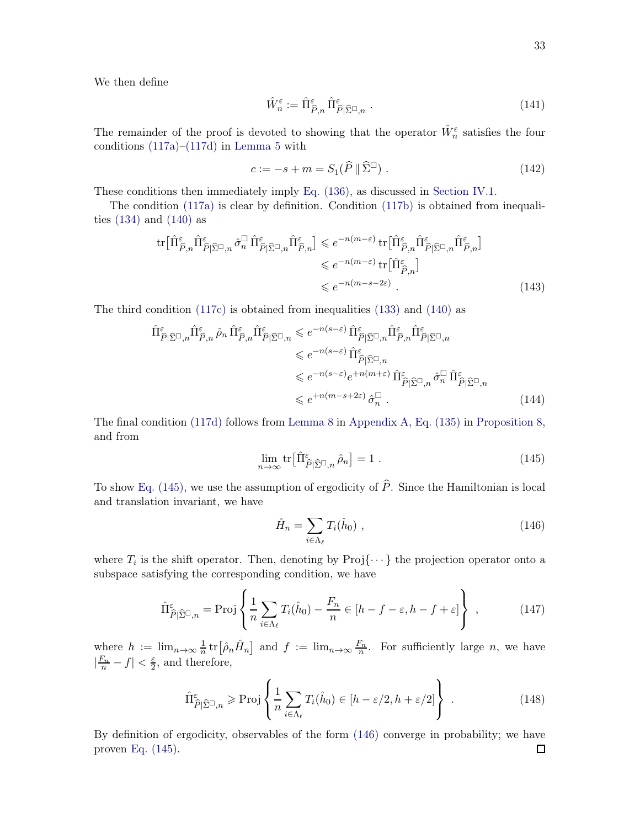We then define

$$
\hat{W}_n^{\varepsilon} := \hat{\Pi}_{\hat{P},n}^{\varepsilon} \hat{\Pi}_{\hat{P}|\hat{\Sigma}^{\square},n}^{\varepsilon} .
$$
\n(141)

The remainder of the proof is devoted to showing that the operator  $\hat{W}_n^{\varepsilon}$  satisfies the four conditions [\(117a\)](#page-27-8)[–\(117d\)](#page-27-5) in [Lemma 5](#page-27-4) with

$$
c := -s + m = S_1(\widehat{P} \parallel \widehat{\Sigma}^{\square}) \tag{142}
$$

These conditions then immediately imply [Eq. \(136\),](#page-31-1) as discussed in [Section IV.1.](#page-27-0)

The condition [\(117a\)](#page-27-8) is clear by definition. Condition [\(117b\)](#page-27-6) is obtained from inequalities  $(134)$  and  $(140)$  as

$$
\operatorname{tr}\left[\hat{\Pi}_{\hat{P},n}^{\varepsilon}\hat{\Pi}_{\hat{P}|\hat{\Sigma}^{\square},n}^{\varepsilon}\hat{\sigma}_{n}^{\square}\hat{\Pi}_{\hat{P}|\hat{\Sigma}^{\square},n}^{\varepsilon}\hat{\Pi}_{\hat{P},n}^{\varepsilon}\right] \leqslant e^{-n(m-\varepsilon)}\operatorname{tr}\left[\hat{\Pi}_{\hat{P},n}^{\varepsilon}\hat{\Pi}_{\hat{P}|\hat{\Sigma}^{\square},n}^{\varepsilon}\hat{\Pi}_{\hat{P},n}^{\varepsilon}\right]
$$

$$
\leqslant e^{-n(m-\varepsilon)}\operatorname{tr}\left[\hat{\Pi}_{\hat{P},n}^{\varepsilon}\right]
$$

$$
\leqslant e^{-n(m-s-2\varepsilon)}.
$$
(143)

The third condition [\(117c\)](#page-27-7) is obtained from inequalities [\(133\)](#page-31-4) and [\(140\)](#page-31-3) as

$$
\hat{\Pi}^{\varepsilon}_{\hat{P}|\hat{\Sigma}^{\square},n} \hat{\Pi}^{\varepsilon}_{\hat{P},n} \hat{\rho}_n \hat{\Pi}^{\varepsilon}_{\hat{P}|\hat{\Sigma}^{\square},n} \leq e^{-n(s-\varepsilon)} \hat{\Pi}^{\varepsilon}_{\hat{P}|\hat{\Sigma}^{\square},n} \hat{\Pi}^{\varepsilon}_{\hat{P}|\hat{\Sigma}^{\square},n}
$$
\n
$$
\leq e^{-n(s-\varepsilon)} \hat{\Pi}^{\varepsilon}_{\hat{P}|\hat{\Sigma}^{\square},n}
$$
\n
$$
\leq e^{-n(s-\varepsilon)} e^{+n(m+\varepsilon)} \hat{\Pi}^{\varepsilon}_{\hat{P}|\hat{\Sigma}^{\square},n} \hat{\sigma}_n^{\square} \hat{\Pi}^{\varepsilon}_{\hat{P}|\hat{\Sigma}^{\square},n}
$$
\n
$$
\leq e^{+n(m-s+2\varepsilon)} \hat{\sigma}_n^{\square} .
$$
\n(144)

The final condition [\(117d\)](#page-27-5) follows from [Lemma 8](#page-38-1) in [Appendix A,](#page-37-1) [Eq. \(135\)](#page-31-5) in [Proposition 8,](#page-31-6) and from

$$
\lim_{n \to \infty} \text{tr} \left[ \hat{\Pi}^{\varepsilon}_{\hat{P} | \hat{\Sigma}^{\Box}, n} \hat{\rho}_n \right] = 1 \tag{145}
$$

To show [Eq. \(145\),](#page-32-0) we use the assumption of ergodicity of  $\hat{P}$ . Since the Hamiltonian is local and translation invariant, we have

<span id="page-32-1"></span><span id="page-32-0"></span>
$$
\hat{H}_n = \sum_{i \in \Lambda_\ell} T_i(\hat{h}_0) \tag{146}
$$

where  $T_i$  is the shift operator. Then, denoting by  $\text{Proj}\{\cdots\}$  the projection operator onto a subspace satisfying the corresponding condition, we have

$$
\hat{\Pi}_{\hat{P}|\hat{\Sigma}^{\Box},n}^{\varepsilon} = \text{Proj}\left\{\frac{1}{n}\sum_{i\in\Lambda_{\ell}}T_{i}(\hat{h}_{0}) - \frac{F_{n}}{n}\in[h-f-\varepsilon,h-f+\varepsilon]\right\},\qquad(147)
$$

where  $h := \lim_{n \to \infty} \frac{1}{n}$  $\frac{1}{n}$  tr $\left[\hat{\rho}_n\hat{H}_n\right]$  and  $f := \lim_{n\to\infty} \frac{F_n}{n}$ . For sufficiently large n, we have  $\left|\frac{F_n}{n} - f\right| < \frac{\varepsilon}{2}$  $\frac{\varepsilon}{2}$ , and therefore,

$$
\hat{\Pi}_{\hat{P}|\hat{\Sigma}^{\Box},n}^{\varepsilon} \ge \operatorname{Proj}\left\{\frac{1}{n}\sum_{i\in\Lambda_{\ell}}T_{i}(\hat{h}_{0})\in[h-\varepsilon/2,h+\varepsilon/2]\right\}.
$$
\n(148)

By definition of ergodicity, observables of the form [\(146\)](#page-32-1) converge in probability; we have proven [Eq. \(145\).](#page-32-0)口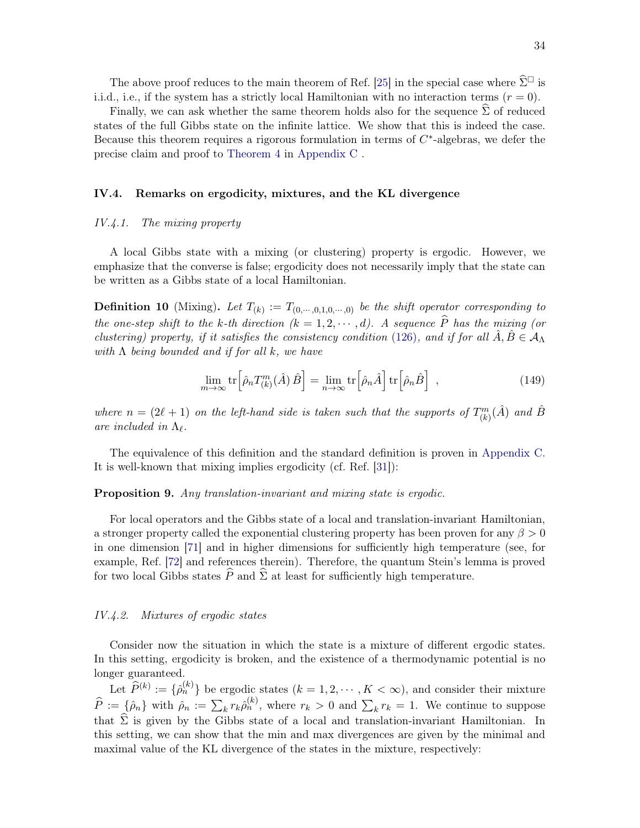The above proof reduces to the main theorem of Ref. [\[25](#page-58-3)] in the special case where  $\widehat{\Sigma}^{\square}$  is i.i.d., i.e., if the system has a strictly local Hamiltonian with no interaction terms  $(r = 0)$ .

Finally, we can ask whether the same theorem holds also for the sequence  $\Sigma$  of reduced states of the full Gibbs state on the infinite lattice. We show that this is indeed the case. Because this theorem requires a rigorous formulation in terms of  $C^*$ -algebras, we defer the precise claim and proof to [Theorem 4](#page-51-0) in [Appendix C](#page-47-0) .

#### <span id="page-33-0"></span>IV.4. Remarks on ergodicity, mixtures, and the KL divergence

#### <span id="page-33-1"></span>IV.4.1. The mixing property

A local Gibbs state with a mixing (or clustering) property is ergodic. However, we emphasize that the converse is false; ergodicity does not necessarily imply that the state can be written as a Gibbs state of a local Hamiltonian.

**Definition 10** (Mixing). Let  $T_{(k)} := T_{(0,\cdots,0,1,0,\cdots,0)}$  be the shift operator corresponding to the one-step shift to the k-th direction  $(k = 1, 2, \dots, d)$ . A sequence  $\widehat{P}$  has the mixing (or clustering) property, if it satisfies the consistency condition [\(126\)](#page-29-1), and if for all  $\hat{A}, \hat{B} \in A_{\Lambda}$ with  $\Lambda$  being bounded and if for all k, we have

<span id="page-33-4"></span>
$$
\lim_{m \to \infty} \text{tr} \left[ \hat{\rho}_n T_{(k)}^m(\hat{A}) \,\hat{B} \right] = \lim_{n \to \infty} \text{tr} \left[ \hat{\rho}_n \hat{A} \right] \text{tr} \left[ \hat{\rho}_n \hat{B} \right] \;, \tag{149}
$$

where  $n = (2\ell + 1)$  on the left-hand side is taken such that the supports of  $T_{(k)}^m(\hat{A})$  and  $\hat{B}$ are included in  $\Lambda_{\ell}$ .

The equivalence of this definition and the standard definition is proven in [Appendix C.](#page-47-0) It is well-known that mixing implies ergodicity (cf. Ref. [\[31](#page-58-5)]):

#### **Proposition 9.** Any translation-invariant and mixing state is ergodic.

For local operators and the Gibbs state of a local and translation-invariant Hamiltonian, a stronger property called the exponential clustering property has been proven for any  $\beta > 0$ in one dimension [\[71](#page-60-3)] and in higher dimensions for sufficiently high temperature (see, for example, Ref. [\[72\]](#page-60-4) and references therein). Therefore, the quantum Stein's lemma is proved for two local Gibbs states  $\widehat{P}$  and  $\widehat{\Sigma}$  at least for sufficiently high temperature.

#### <span id="page-33-2"></span>IV.4.2. Mixtures of ergodic states

Consider now the situation in which the state is a mixture of different ergodic states. In this setting, ergodicity is broken, and the existence of a thermodynamic potential is no longer guaranteed.

<span id="page-33-3"></span>Let  $\widehat{P}^{(k)} := \{ \widehat{\rho}_n^{(k)} \}$  be ergodic states  $(k = 1, 2, \dots, K < \infty)$ , and consider their mixture  $\widehat{P} := \{\hat{\rho}_n\}$  with  $\hat{\rho}_n := \sum_k r_k \hat{\rho}_n^{(k)}$ , where  $r_k > 0$  and  $\sum_k r_k = 1$ . We continue to suppose that  $\Sigma$  is given by the Gibbs state of a local and translation-invariant Hamiltonian. In this setting, we can show that the min and max divergences are given by the minimal and maximal value of the KL divergence of the states in the mixture, respectively: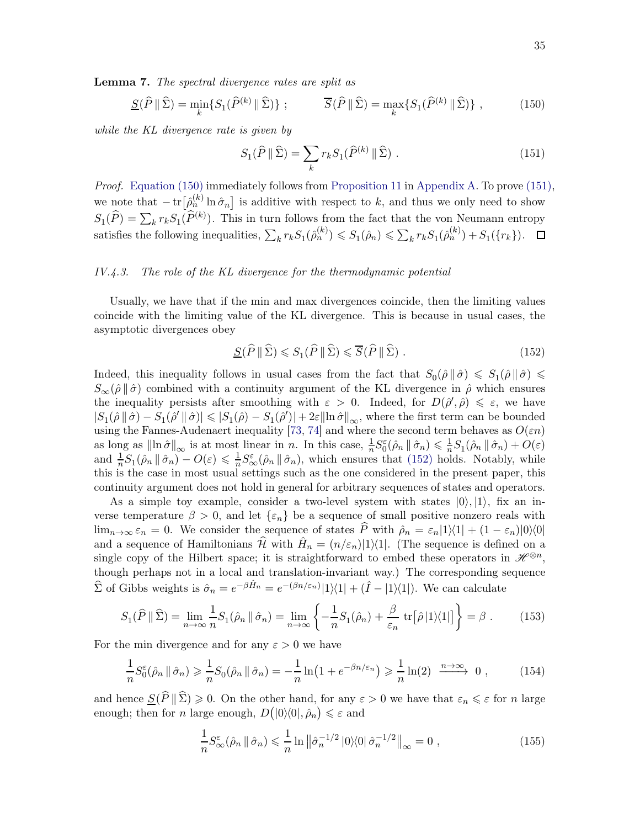Lemma 7. The spectral divergence rates are split as

$$
\underline{S}(\widehat{P} \|\widehat{\Sigma}) = \min_{k} \{ S_1(\widehat{P}^{(k)} \|\widehat{\Sigma}) \} ; \qquad \overline{S}(\widehat{P} \|\widehat{\Sigma}) = \max_{k} \{ S_1(\widehat{P}^{(k)} \|\widehat{\Sigma}) \} , \qquad (150)
$$

while the KL divergence rate is given by

<span id="page-34-2"></span><span id="page-34-1"></span>
$$
S_1(\widehat{P} \parallel \widehat{\Sigma}) = \sum_k r_k S_1(\widehat{P}^{(k)} \parallel \widehat{\Sigma}) . \tag{151}
$$

Proof. [Equation \(150\)](#page-34-1) immediately follows from [Proposition 11](#page-38-2) in [Appendix A.](#page-37-1) To prove [\(151\),](#page-34-2) we note that  $-\text{tr}\left[\hat{\rho}_n^{(k)}\ln\hat{\sigma}_n\right]$  is additive with respect to k, and thus we only need to show  $S_1(\widehat{P}) = \sum_k r_k S_1(\widehat{P}^{(k)})$ . This in turn follows from the fact that the von Neumann entropy satisfies the following inequalities,  $\sum_k r_k S_1(\hat{\rho}_n^{(k)}) \leqslant S_1(\hat{\rho}_n) \leqslant \sum_k r_k S_1(\hat{\rho}_n^{(k)}) + S_1({r_k}).$ 

#### <span id="page-34-0"></span>IV.4.3. The role of the KL divergence for the thermodynamic potential

Usually, we have that if the min and max divergences coincide, then the limiting values coincide with the limiting value of the KL divergence. This is because in usual cases, the asymptotic divergences obey

<span id="page-34-3"></span>
$$
\underline{S}(\widehat{P} \|\widehat{\Sigma}) \leqslant S_1(\widehat{P} \|\widehat{\Sigma}) \leqslant \overline{S}(\widehat{P} \|\widehat{\Sigma}) . \tag{152}
$$

Indeed, this inequality follows in usual cases from the fact that  $S_0(\hat{\rho} \|\hat{\sigma}) \leq S_1(\hat{\rho} \|\hat{\sigma}) \leq$  $S_{\infty}(\hat{\rho} \|\hat{\sigma})$  combined with a continuity argument of the KL divergence in  $\hat{\rho}$  which ensures the inequality persists after smoothing with  $\varepsilon > 0$ . Indeed, for  $D(\hat{\rho}', \hat{\rho}) \leq \varepsilon$ , we have  $|S_1(\hat{\rho} \parallel \hat{\sigma}) - S_1(\hat{\rho}' \parallel \hat{\sigma})| \leq |S_1(\hat{\rho}) - S_1(\hat{\rho}')| + 2\varepsilon \|\ln \hat{\sigma}\|_{\infty}$ , where the first term can be bounded using the Fannes-Audenaert inequality [\[73,](#page-60-5) [74\]](#page-60-6) and where the second term behaves as  $O(\varepsilon n)$ as long as  $\|\ln \hat{\sigma}\|_{\infty}$  is at most linear in n. In this case,  $\frac{1}{n} S_0^{\varepsilon}(\hat{\rho}_n \|\hat{\sigma}_n) \leq \frac{1}{n} S_1(\hat{\rho}_n \|\hat{\sigma}_n) + O(\varepsilon)$ and  $\frac{1}{n}S_1(\hat{\rho}_n \mid \hat{\sigma}_n) - O(\varepsilon) \leq \frac{1}{n}$  $\frac{1}{n}S_{\infty}^{\varepsilon}(\hat{\rho}_n \|\hat{\sigma}_n)$ , which ensures that [\(152\)](#page-34-3) holds. Notably, while this is the case in most usual settings such as the one considered in the present paper, this continuity argument does not hold in general for arbitrary sequences of states and operators.

As a simple toy example, consider a two-level system with states  $|0\rangle, |1\rangle$ , fix an inverse temperature  $\beta > 0$ , and let  $\{\varepsilon_n\}$  be a sequence of small positive nonzero reals with  $\lim_{n\to\infty} \varepsilon_n = 0$ . We consider the sequence of states  $\hat{P}$  with  $\hat{\rho}_n = \varepsilon_n|1\rangle\langle1| + (1 - \varepsilon_n)|0\rangle\langle0|$ and a sequence of Hamiltonians  $\hat{\mathcal{H}}$  with  $\hat{H}_n = (n/\varepsilon_n)|1\rangle\langle 1|$ . (The sequence is defined on a single copy of the Hilbert space; it is straightforward to embed these operators in  $\mathscr{H}^{\otimes n}$ , though perhaps not in a local and translation-invariant way.) The corresponding sequence  $\hat{\Sigma}$  of Gibbs weights is  $\hat{\sigma}_n = e^{-\beta \hat{H}_n} = e^{-(\beta n/\varepsilon_n)}|1\rangle\langle 1| + (\hat{I} - |1\rangle\langle 1|)$ . We can calculate

$$
S_1(\widehat{P} \|\widehat{\Sigma}) = \lim_{n \to \infty} \frac{1}{n} S_1(\widehat{\rho}_n \|\widehat{\sigma}_n) = \lim_{n \to \infty} \left\{ -\frac{1}{n} S_1(\widehat{\rho}_n) + \frac{\beta}{\varepsilon_n} \operatorname{tr}[\widehat{\rho} \, | \, 1 \rangle \langle 1| \right\} = \beta \; . \tag{153}
$$

For the min divergence and for any  $\varepsilon > 0$  we have

$$
\frac{1}{n}S_0^{\varepsilon}(\hat{\rho}_n \parallel \hat{\sigma}_n) \ge \frac{1}{n}S_0(\hat{\rho}_n \parallel \hat{\sigma}_n) = -\frac{1}{n}\ln\left(1 + e^{-\beta n/\varepsilon_n}\right) \ge \frac{1}{n}\ln(2) \xrightarrow{n \to \infty} 0 ,\qquad (154)
$$

and hence  $\underline{S}(\widehat{P} \|\widehat{\Sigma}) \geq 0$ . On the other hand, for any  $\varepsilon > 0$  we have that  $\varepsilon_n \leqslant \varepsilon$  for n large enough; then for *n* large enough,  $D(|0\rangle\langle 0|, \hat{\rho}_n) \leq \varepsilon$  and

$$
\frac{1}{n} S_{\infty}^{\varepsilon}(\hat{\rho}_n \parallel \hat{\sigma}_n) \leq \frac{1}{n} \ln \left\| \hat{\sigma}_n^{-1/2} \right\| 0 \rangle \langle 0 \vert \hat{\sigma}_n^{-1/2} \right\|_{\infty} = 0 , \qquad (155)
$$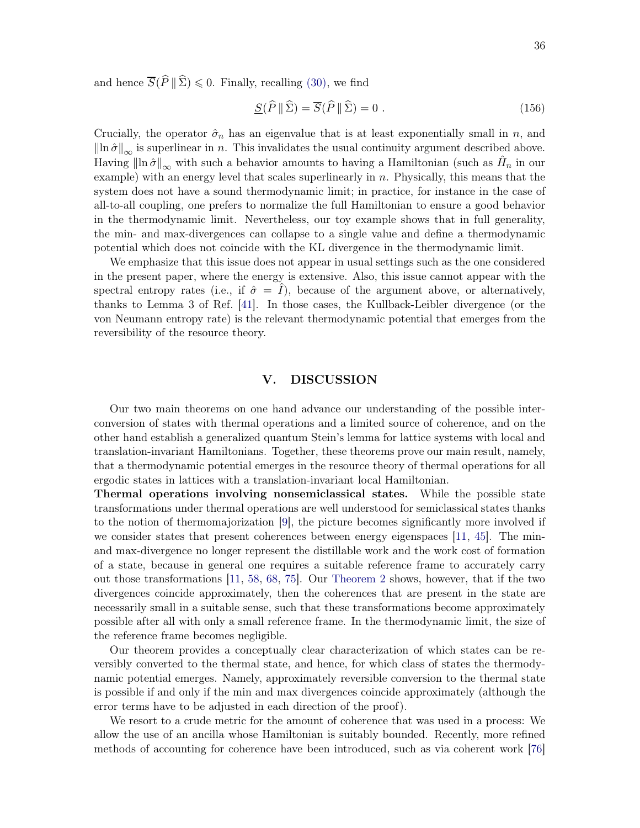and hence  $\overline{S}(\widehat{P} \parallel \widehat{\Sigma}) \leq 0$ . Finally, recalling [\(30\),](#page-8-3) we find

$$
\underline{S}(\widehat{P} \|\widehat{\Sigma}) = \overline{S}(\widehat{P} \|\widehat{\Sigma}) = 0.
$$
 (156)

Crucially, the operator  $\hat{\sigma}_n$  has an eigenvalue that is at least exponentially small in n, and  $\left\| \ln \hat{\sigma} \right\|_{\infty}$  is superlinear in n. This invalidates the usual continuity argument described above. Having  $\|\ln \hat{\sigma}\|_{\infty}$  with such a behavior amounts to having a Hamiltonian (such as  $\hat{H}_n$  in our example) with an energy level that scales superlinearly in  $n$ . Physically, this means that the system does not have a sound thermodynamic limit; in practice, for instance in the case of all-to-all coupling, one prefers to normalize the full Hamiltonian to ensure a good behavior in the thermodynamic limit. Nevertheless, our toy example shows that in full generality, the min- and max-divergences can collapse to a single value and define a thermodynamic potential which does not coincide with the KL divergence in the thermodynamic limit.

We emphasize that this issue does not appear in usual settings such as the one considered in the present paper, where the energy is extensive. Also, this issue cannot appear with the spectral entropy rates (i.e., if  $\hat{\sigma} = I$ ), because of the argument above, or alternatively, thanks to Lemma 3 of Ref. [\[41\]](#page-58-17). In those cases, the Kullback-Leibler divergence (or the von Neumann entropy rate) is the relevant thermodynamic potential that emerges from the reversibility of the resource theory.

## <span id="page-35-0"></span>V. DISCUSSION

Our two main theorems on one hand advance our understanding of the possible interconversion of states with thermal operations and a limited source of coherence, and on the other hand establish a generalized quantum Stein's lemma for lattice systems with local and translation-invariant Hamiltonians. Together, these theorems prove our main result, namely, that a thermodynamic potential emerges in the resource theory of thermal operations for all ergodic states in lattices with a translation-invariant local Hamiltonian.

Thermal operations involving nonsemiclassical states. While the possible state transformations under thermal operations are well understood for semiclassical states thanks to the notion of thermomajorization [\[9](#page-57-15)], the picture becomes significantly more involved if we consider states that present coherences between energy eigenspaces [\[11,](#page-57-18) [45\]](#page-59-0). The minand max-divergence no longer represent the distillable work and the work cost of formation of a state, because in general one requires a suitable reference frame to accurately carry out those transformations [\[11](#page-57-18), [58](#page-59-21), [68,](#page-60-0) [75](#page-60-7)]. Our [Theorem 2](#page-13-2) shows, however, that if the two divergences coincide approximately, then the coherences that are present in the state are necessarily small in a suitable sense, such that these transformations become approximately possible after all with only a small reference frame. In the thermodynamic limit, the size of the reference frame becomes negligible.

Our theorem provides a conceptually clear characterization of which states can be reversibly converted to the thermal state, and hence, for which class of states the thermodynamic potential emerges. Namely, approximately reversible conversion to the thermal state is possible if and only if the min and max divergences coincide approximately (although the error terms have to be adjusted in each direction of the proof).

We resort to a crude metric for the amount of coherence that was used in a process: We allow the use of an ancilla whose Hamiltonian is suitably bounded. Recently, more refined methods of accounting for coherence have been introduced, such as via coherent work [\[76](#page-60-8)]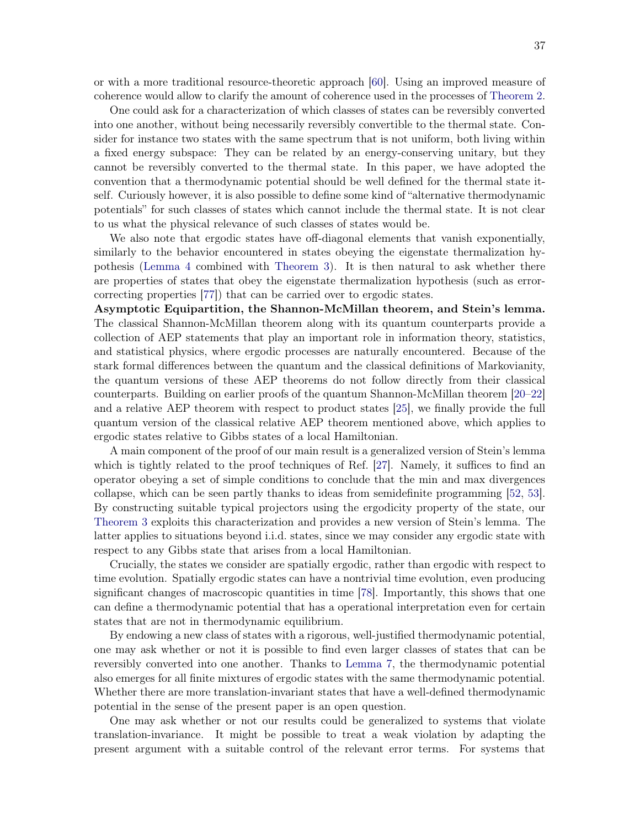or with a more traditional resource-theoretic approach [\[60](#page-59-13)]. Using an improved measure of coherence would allow to clarify the amount of coherence used in the processes of [Theorem 2.](#page-13-2)

One could ask for a characterization of which classes of states can be reversibly converted into one another, without being necessarily reversibly convertible to the thermal state. Consider for instance two states with the same spectrum that is not uniform, both living within a fixed energy subspace: They can be related by an energy-conserving unitary, but they cannot be reversibly converted to the thermal state. In this paper, we have adopted the convention that a thermodynamic potential should be well defined for the thermal state itself. Curiously however, it is also possible to define some kind of "alternative thermodynamic potentials" for such classes of states which cannot include the thermal state. It is not clear to us what the physical relevance of such classes of states would be.

We also note that ergodic states have off-diagonal elements that vanish exponentially, similarly to the behavior encountered in states obeying the eigenstate thermalization hypothesis [\(Lemma 4](#page-22-1) combined with [Theorem 3\)](#page-31-0). It is then natural to ask whether there are properties of states that obey the eigenstate thermalization hypothesis (such as errorcorrecting properties [\[77](#page-60-9)]) that can be carried over to ergodic states.

Asymptotic Equipartition, the Shannon-McMillan theorem, and Stein's lemma. The classical Shannon-McMillan theorem along with its quantum counterparts provide a collection of AEP statements that play an important role in information theory, statistics, and statistical physics, where ergodic processes are naturally encountered. Because of the stark formal differences between the quantum and the classical definitions of Markovianity, the quantum versions of these AEP theorems do not follow directly from their classical counterparts. Building on earlier proofs of the quantum Shannon-McMillan theorem [\[20](#page-57-9)[–22](#page-57-10)] and a relative AEP theorem with respect to product states [\[25\]](#page-58-3), we finally provide the full quantum version of the classical relative AEP theorem mentioned above, which applies to ergodic states relative to Gibbs states of a local Hamiltonian.

A main component of the proof of our main result is a generalized version of Stein's lemma which is tightly related to the proof techniques of Ref. [\[27\]](#page-58-1). Namely, it suffices to find an operator obeying a set of simple conditions to conclude that the min and max divergences collapse, which can be seen partly thanks to ideas from semidefinite programming [\[52](#page-59-7), [53](#page-59-8)]. By constructing suitable typical projectors using the ergodicity property of the state, our [Theorem 3](#page-31-0) exploits this characterization and provides a new version of Stein's lemma. The latter applies to situations beyond i.i.d. states, since we may consider any ergodic state with respect to any Gibbs state that arises from a local Hamiltonian.

Crucially, the states we consider are spatially ergodic, rather than ergodic with respect to time evolution. Spatially ergodic states can have a nontrivial time evolution, even producing significant changes of macroscopic quantities in time [\[78](#page-60-10)]. Importantly, this shows that one can define a thermodynamic potential that has a operational interpretation even for certain states that are not in thermodynamic equilibrium.

By endowing a new class of states with a rigorous, well-justified thermodynamic potential, one may ask whether or not it is possible to find even larger classes of states that can be reversibly converted into one another. Thanks to [Lemma 7,](#page-33-3) the thermodynamic potential also emerges for all finite mixtures of ergodic states with the same thermodynamic potential. Whether there are more translation-invariant states that have a well-defined thermodynamic potential in the sense of the present paper is an open question.

One may ask whether or not our results could be generalized to systems that violate translation-invariance. It might be possible to treat a weak violation by adapting the present argument with a suitable control of the relevant error terms. For systems that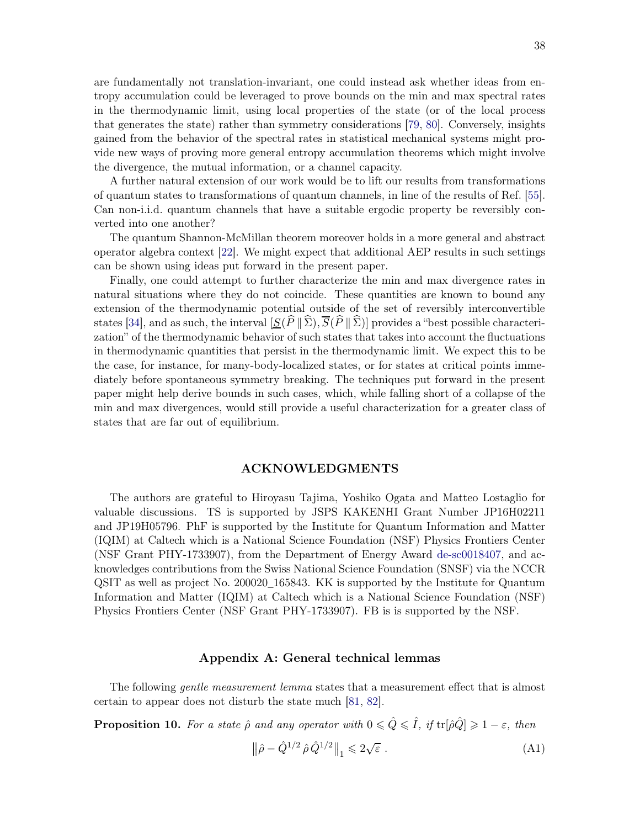are fundamentally not translation-invariant, one could instead ask whether ideas from entropy accumulation could be leveraged to prove bounds on the min and max spectral rates in the thermodynamic limit, using local properties of the state (or of the local process that generates the state) rather than symmetry considerations [\[79](#page-60-11), [80](#page-60-12)]. Conversely, insights gained from the behavior of the spectral rates in statistical mechanical systems might provide new ways of proving more general entropy accumulation theorems which might involve the divergence, the mutual information, or a channel capacity.

A further natural extension of our work would be to lift our results from transformations of quantum states to transformations of quantum channels, in line of the results of Ref. [\[55](#page-59-10)]. Can non-i.i.d. quantum channels that have a suitable ergodic property be reversibly converted into one another?

The quantum Shannon-McMillan theorem moreover holds in a more general and abstract operator algebra context [\[22\]](#page-57-10). We might expect that additional AEP results in such settings can be shown using ideas put forward in the present paper.

Finally, one could attempt to further characterize the min and max divergence rates in natural situations where they do not coincide. These quantities are known to bound any extension of the thermodynamic potential outside of the set of reversibly interconvertible states [\[34\]](#page-58-8), and as such, the interval  $[S(\hat{P} \|\hat{\Sigma}), \overline{S}(\hat{P} \|\hat{\Sigma})]$  provides a "best possible characterization" of the thermodynamic behavior of such states that takes into account the fluctuations in thermodynamic quantities that persist in the thermodynamic limit. We expect this to be the case, for instance, for many-body-localized states, or for states at critical points immediately before spontaneous symmetry breaking. The techniques put forward in the present paper might help derive bounds in such cases, which, while falling short of a collapse of the min and max divergences, would still provide a useful characterization for a greater class of states that are far out of equilibrium.

## <span id="page-37-0"></span>ACKNOWLEDGMENTS

The authors are grateful to Hiroyasu Tajima, Yoshiko Ogata and Matteo Lostaglio for valuable discussions. TS is supported by JSPS KAKENHI Grant Number JP16H02211 and JP19H05796. PhF is supported by the Institute for Quantum Information and Matter (IQIM) at Caltech which is a National Science Foundation (NSF) Physics Frontiers Center (NSF Grant PHY-1733907), from the Department of Energy Award [de-sc0018407,](http://arxiv.org/abs/de-sc/0018407) and acknowledges contributions from the Swiss National Science Foundation (SNSF) via the NCCR QSIT as well as project No. 200020\_165843. KK is supported by the Institute for Quantum Information and Matter (IQIM) at Caltech which is a National Science Foundation (NSF) Physics Frontiers Center (NSF Grant PHY-1733907). FB is is supported by the NSF.

## <span id="page-37-1"></span>Appendix A: General technical lemmas

<span id="page-37-2"></span>The following *gentle measurement lemma* states that a measurement effect that is almost certain to appear does not disturb the state much [\[81](#page-60-13), [82](#page-60-14)].

**Proposition 10.** For a state  $\hat{\rho}$  and any operator with  $0 \leq \hat{Q} \leq \hat{I}$ , if  $tr[\hat{\rho}\hat{Q}] \geq 1 - \varepsilon$ , then

$$
\left\|\hat{\rho} - \hat{Q}^{1/2} \,\hat{\rho} \,\hat{Q}^{1/2}\right\|_{1} \leqslant 2\sqrt{\varepsilon} \; . \tag{A1}
$$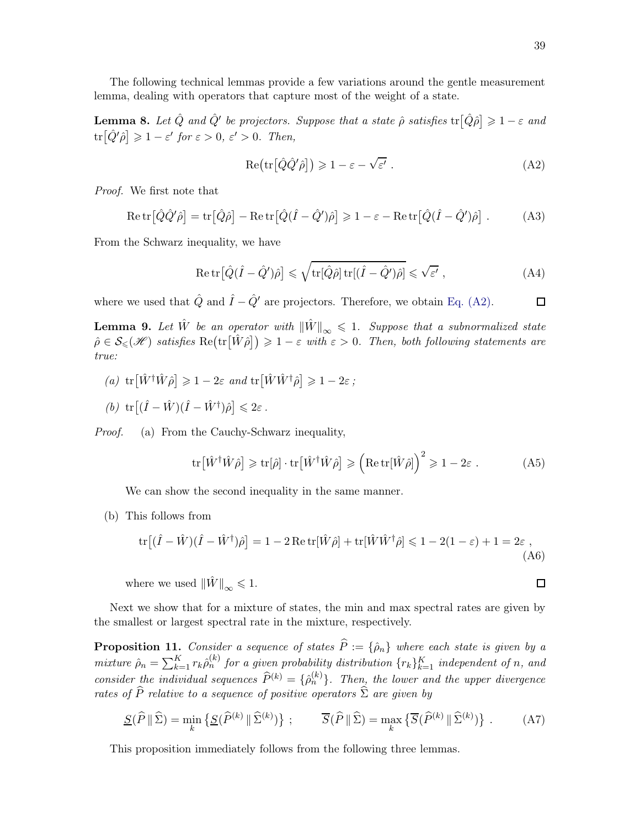<span id="page-38-1"></span>The following technical lemmas provide a few variations around the gentle measurement lemma, dealing with operators that capture most of the weight of a state.

**Lemma 8.** Let  $\hat{Q}$  and  $\hat{Q}'$  be projectors. Suppose that a state  $\hat{\rho}$  satisfies  $tr[\hat{Q}\hat{\rho}] \geq 1-\varepsilon$  and  $\text{tr}\big[\hat{Q}'\hat{\rho}\big] \geqslant 1-\varepsilon'$  for  $\varepsilon > 0$ ,  $\varepsilon' > 0$ . Then,

$$
Re\bigl(\mathrm{tr}\bigl[\hat{Q}\hat{Q}'\hat{\rho}\bigr]\bigr) \geqslant 1 - \varepsilon - \sqrt{\varepsilon'} . \tag{A2}
$$

Proof. We first note that

$$
\operatorname{Re}\operatorname{tr}\big[\hat{Q}\hat{Q}'\hat{\rho}\big] = \operatorname{tr}\big[\hat{Q}\hat{\rho}\big] - \operatorname{Re}\operatorname{tr}\big[\hat{Q}(\hat{I} - \hat{Q}')\hat{\rho}\big] \ge 1 - \varepsilon - \operatorname{Re}\operatorname{tr}\big[\hat{Q}(\hat{I} - \hat{Q}')\hat{\rho}\big] \ . \tag{A3}
$$

From the Schwarz inequality, we have

$$
\operatorname{Re}\operatorname{tr}\big[\hat{Q}(\hat{I} - \hat{Q}')\hat{\rho}\big] \leq \sqrt{\operatorname{tr}[\hat{Q}\hat{\rho}]\operatorname{tr}[(\hat{I} - \hat{Q}')\hat{\rho}]} \leq \sqrt{\varepsilon'},\tag{A4}
$$

<span id="page-38-0"></span>where we used that  $\hat{Q}$  and  $\hat{I} - \hat{Q}'$  are projectors. Therefore, we obtain [Eq. \(A2\).](#page-38-3)

**Lemma 9.** Let  $\hat{W}$  be an operator with  $\|\hat{W}\|_{\infty} \leq 1$ . Suppose that a subnormalized state  $\hat{\rho} \in \mathcal{S}_{\leqslant}(\mathcal{H})$  satisfies  $\text{Re}(\text{tr}\big[\hat{W}\hat{\rho}\big]) \geqslant 1-\varepsilon$  with  $\varepsilon > 0$ . Then, both following statements are true:

- (a)  $\text{tr}\big[\hat{W}^{\dagger}\hat{W}\hat{\rho}\big] \geqslant 1 2\varepsilon$  and  $\text{tr}\big[\hat{W}\hat{W}^{\dagger}\hat{\rho}\big] \geqslant 1 2\varepsilon$ ;
- (b)  $\text{tr}\left[ (\hat{I} \hat{W})(\hat{I} \hat{W}^{\dagger})\hat{\rho} \right] \leq 2\varepsilon$ .

Proof. (a) From the Cauchy-Schwarz inequality,

$$
\text{tr}\big[\hat{W}^{\dagger}\hat{W}\hat{\rho}\big] \geqslant \text{tr}[\hat{\rho}] \cdot \text{tr}\big[\hat{W}^{\dagger}\hat{W}\hat{\rho}\big] \geqslant \left(\text{Re}\,\text{tr}[\hat{W}\hat{\rho}]\right)^{2} \geqslant 1 - 2\varepsilon .\tag{A5}
$$

We can show the second inequality in the same manner.

(b) This follows from

$$
\operatorname{tr}\left[ (\hat{I} - \hat{W})(\hat{I} - \hat{W}^{\dagger})\hat{\rho} \right] = 1 - 2 \operatorname{Re} \operatorname{tr}[\hat{W}\hat{\rho}] + \operatorname{tr}[\hat{W}\hat{W}^{\dagger}\hat{\rho}] \le 1 - 2(1 - \varepsilon) + 1 = 2\varepsilon ,
$$
\n(A6)

where we used  $\|\hat{W}\|_{\infty} \leq 1$ .

<span id="page-38-2"></span>Next we show that for a mixture of states, the min and max spectral rates are given by the smallest or largest spectral rate in the mixture, respectively.

**Proposition 11.** Consider a sequence of states  $\hat{P} := \{\hat{\rho}_n\}$  where each state is given by a mixture  $\hat{\rho}_n = \sum_{k=1}^K r_k \hat{\rho}_n^{(k)}$  for a given probability distribution  $\{r_k\}_{k=1}^K$  independent of n, and consider the individual sequences  $\widehat{P}^{(k)} = {\widehat{\rho}_n^{(k)}}$ . Then, the lower and the upper divergence rates of P relative to a sequence of positive operators  $\Sigma$  are given by

$$
\underline{S}(\widehat{P} \|\widehat{\Sigma}) = \min_{k} \left\{ \underline{S}(\widehat{P}^{(k)} \|\widehat{\Sigma}^{(k)}) \right\}; \qquad \overline{S}(\widehat{P} \|\widehat{\Sigma}) = \max_{k} \left\{ \overline{S}(\widehat{P}^{(k)} \|\widehat{\Sigma}^{(k)}) \right\}. \tag{A7}
$$

<span id="page-38-4"></span>This proposition immediately follows from the following three lemmas.

<span id="page-38-3"></span> $\Box$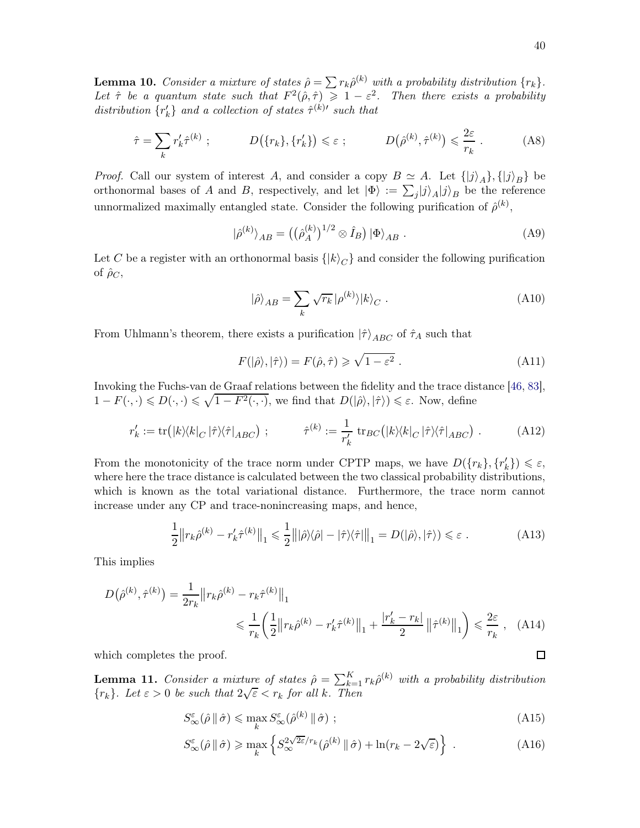**Lemma 10.** Consider a mixture of states  $\hat{\rho} = \sum r_k \hat{\rho}^{(k)}$  with a probability distribution  $\{r_k\}$ . Let  $\hat{\tau}$  be a quantum state such that  $F^2(\hat{\rho}, \hat{\tau}) \geq 1 - \varepsilon^2$ . Then there exists a probability distribution  $\{r'_k\}$  and a collection of states  $\hat{\tau}^{(k)'}$  such that

$$
\hat{\tau} = \sum_{k} r'_{k} \hat{\tau}^{(k)} ; \qquad D(\{r_{k}\}, \{r'_{k}\}) \leq \varepsilon ; \qquad D(\hat{\rho}^{(k)}, \hat{\tau}^{(k)}) \leq \frac{2\varepsilon}{r_{k}} . \qquad (A8)
$$

*Proof.* Call our system of interest A, and consider a copy  $B \simeq A$ . Let  $\{|j\rangle_A\}, \{|j\rangle_B\}$  be orthonormal bases of A and B, respectively, and let  $|\Phi\rangle := \sum_j |j\rangle_A |j\rangle_B$  be the reference unnormalized maximally entangled state. Consider the following purification of  $\hat{\rho}^{(k)}$ ,

$$
|\hat{\rho}^{(k)}\rangle_{AB} = ((\hat{\rho}_A^{(k)})^{1/2} \otimes \hat{I}_B) | \Phi \rangle_{AB} . \tag{A9}
$$

Let C be a register with an orthonormal basis  $\{ |k\rangle_C \}$  and consider the following purification of  $\rho_C$ ,

$$
|\hat{\rho}\rangle_{AB} = \sum_{k} \sqrt{r_k} |\rho^{(k)}\rangle |k\rangle_C . \tag{A10}
$$

From Uhlmann's theorem, there exists a purification  $|\hat{\tau}\rangle_{ABC}$  of  $\hat{\tau}_A$  such that

$$
F(|\hat{\rho}\rangle,|\hat{\tau}\rangle) = F(\hat{\rho},\hat{\tau}) \ge \sqrt{1 - \varepsilon^2} \ . \tag{A11}
$$

Invoking the Fuchs-van de Graaf relations between the fidelity and the trace distance [\[46](#page-59-1), [83](#page-60-15)],  $1 - F(\cdot, \cdot) \leq D(\cdot, \cdot) \leq \sqrt{1 - F^2(\cdot, \cdot)}$ , we find that  $D(|\hat{\rho}\rangle, |\hat{\tau}\rangle) \leq \varepsilon$ . Now, define

$$
r'_{k} := \text{tr}(|k\rangle\langle k|_{C}|\hat{\tau}\rangle\langle\hat{\tau}|_{ABC}) ; \qquad \hat{\tau}^{(k)} := \frac{1}{r'_{k}} \text{tr}_{BC}(|k\rangle\langle k|_{C}|\hat{\tau}\rangle\langle\hat{\tau}|_{ABC}) . \qquad (A12)
$$

From the monotonicity of the trace norm under CPTP maps, we have  $D({r_k}, {r'_k}) \le \varepsilon$ , where here the trace distance is calculated between the two classical probability distributions, which is known as the total variational distance. Furthermore, the trace norm cannot increase under any CP and trace-nonincreasing maps, and hence,

$$
\frac{1}{2} \left\| r_k \hat{\rho}^{(k)} - r'_k \hat{\tau}^{(k)} \right\|_1 \leq \frac{1}{2} \left\| |\hat{\rho}\rangle\langle\hat{\rho}| - |\hat{\tau}\rangle\langle\hat{\tau}| \right\|_1 = D(|\hat{\rho}\rangle, |\hat{\tau}\rangle) \leq \varepsilon \tag{A13}
$$

This implies

$$
D(\hat{\rho}^{(k)}, \hat{\tau}^{(k)}) = \frac{1}{2r_k} ||r_k \hat{\rho}^{(k)} - r_k \hat{\tau}^{(k)}||_1
$$
  

$$
\leq \frac{1}{r_k} \left( \frac{1}{2} ||r_k \hat{\rho}^{(k)} - r'_k \hat{\tau}^{(k)}||_1 + \frac{|r'_k - r_k|}{2} ||\hat{\tau}^{(k)}||_1 \right) \leq \frac{2\varepsilon}{r_k}, \quad (A14)
$$

which completes the proof.

**Lemma 11.** Consider a mixture of states  $\hat{\rho} = \sum_{k=1}^{K} r_k \hat{\rho}^{(k)}$  with a probability distribution  ${r_k}$ . Let  $\varepsilon > 0$  be such that  $2\sqrt{\varepsilon} < r_k$  for all k. Then

<span id="page-39-0"></span>
$$
S_{\infty}^{\varepsilon}(\hat{\rho} \, \| \, \hat{\sigma}) \leq \max_{k} S_{\infty}^{\varepsilon}(\hat{\rho}^{(k)} \, \| \, \hat{\sigma}) \; ; \tag{A15}
$$

<span id="page-39-1"></span>
$$
S_{\infty}^{\varepsilon}(\hat{\rho} \, \| \, \hat{\sigma}) \ge \max_{k} \left\{ S_{\infty}^{2\sqrt{2\varepsilon}/r_k}(\hat{\rho}^{(k)} \, \| \, \hat{\sigma}) + \ln(r_k - 2\sqrt{\varepsilon}) \right\} \ . \tag{A16}
$$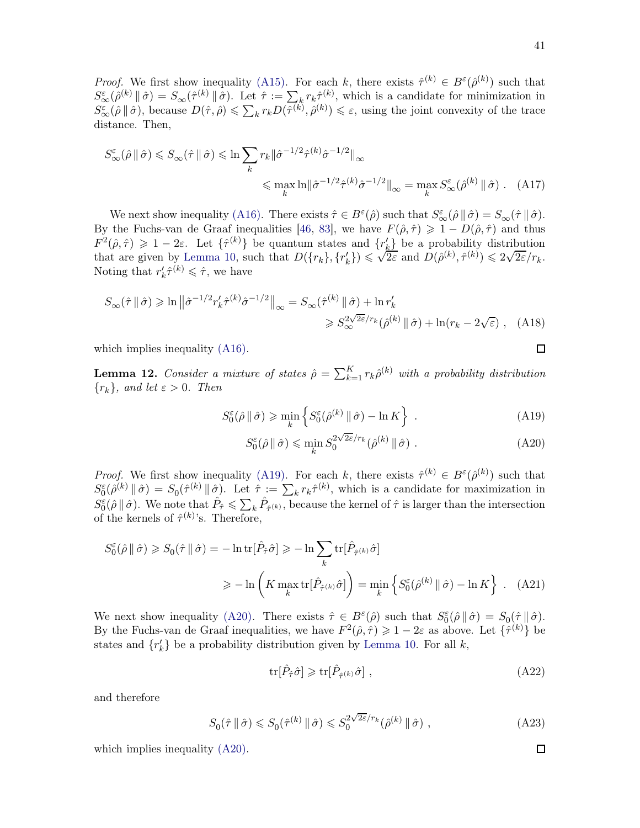*Proof.* We first show inequality [\(A15\).](#page-39-0) For each k, there exists  $\hat{\tau}^{(k)} \in B^{\varepsilon}(\hat{\rho}^{(k)})$  such that  $S^{\varepsilon}_{\infty}(\hat{\rho}^{(k)} \| \hat{\sigma}) = S_{\infty}(\hat{\tau}^{(k)} \| \hat{\sigma}).$  Let  $\hat{\tau} := \sum_{k} r_k \hat{\tau}^{(k)}$ , which is a candidate for minimization in  $S^{\varepsilon}_{\infty}(\hat{\rho} \|\hat{\sigma})$ , because  $D(\hat{\tau}, \hat{\rho}) \leq \sum_{k} r_k D(\hat{\tau}^{(k)}, \hat{\rho}^{(k)}) \leq \varepsilon$ , using the joint convexity of the trace distance. Then,

$$
S_{\infty}^{\varepsilon}(\hat{\rho} \parallel \hat{\sigma}) \leq S_{\infty}(\hat{\tau} \parallel \hat{\sigma}) \leq \ln \sum_{k} r_{k} \|\hat{\sigma}^{-1/2} \hat{\tau}^{(k)} \hat{\sigma}^{-1/2} \|_{\infty}
$$
  

$$
\leq \max_{k} \ln \|\hat{\sigma}^{-1/2} \hat{\tau}^{(k)} \hat{\sigma}^{-1/2} \|_{\infty} = \max_{k} S_{\infty}^{\varepsilon}(\hat{\rho}^{(k)} \parallel \hat{\sigma}). \quad (A17)
$$

We next show inequality [\(A16\).](#page-39-1) There exists  $\hat{\tau} \in B^{\varepsilon}(\hat{\rho})$  such that  $S^{\varepsilon}_{\infty}(\hat{\rho} \|\hat{\sigma}) = S_{\infty}(\hat{\tau} \|\hat{\sigma})$ . By the Fuchs-van de Graaf inequalities [\[46,](#page-59-1) [83](#page-60-15)], we have  $F(\hat{\rho}, \hat{\tau}) \geq 1 - D(\hat{\rho}, \hat{\tau})$  and thus  $F^2(\hat{\rho}, \hat{\tau}) \geq 1 - 2\varepsilon$ . Let  $\{\hat{\tau}^{(k)}\}$  be quantum states and  $\{r_k^{\prime}\}\$ be a probability distribution that are given by [Lemma 10,](#page-38-4) such that  $D({r_k}, {r'_k}) \leq \sqrt{2\varepsilon}$  and  $D(\hat{\rho}^{(k)}, \hat{\tau}^{(k)}) \leq 2\sqrt{2\varepsilon}/r_k$ . Noting that  $r'_k \hat{\tau}^{(k)} \leq \hat{\tau}$ , we have

$$
S_{\infty}(\hat{\tau} \parallel \hat{\sigma}) \ge \ln \left\| \hat{\sigma}^{-1/2} r'_{k} \hat{\tau}^{(k)} \hat{\sigma}^{-1/2} \right\|_{\infty} = S_{\infty}(\hat{\tau}^{(k)} \parallel \hat{\sigma}) + \ln r'_{k}
$$
  

$$
\ge S_{\infty}^{2\sqrt{2\varepsilon}}/r_{k}(\hat{\rho}^{(k)} \parallel \hat{\sigma}) + \ln(r_{k} - 2\sqrt{\varepsilon}), \quad (A18)
$$

which implies inequality  $(A16)$ .

**Lemma 12.** Consider a mixture of states  $\hat{\rho} = \sum_{k=1}^{K} r_k \hat{\rho}^{(k)}$  with a probability distribution  ${r_k}$ , and let  $\varepsilon > 0$ . Then

$$
S_0^{\varepsilon}(\hat{\rho} \parallel \hat{\sigma}) \geqslant \min_{k} \left\{ S_0^{\varepsilon}(\hat{\rho}^{(k)} \parallel \hat{\sigma}) - \ln K \right\} \ . \tag{A19}
$$

$$
S_0^{\varepsilon}(\hat{\rho} \, \| \, \hat{\sigma}) \leqslant \min_k S_0^{2\sqrt{2\varepsilon}/r_k}(\hat{\rho}^{(k)} \, \| \, \hat{\sigma}) \; . \tag{A20}
$$

*Proof.* We first show inequality [\(A19\).](#page-40-0) For each k, there exists  $\hat{\tau}^{(k)} \in B^{\varepsilon}(\hat{\rho}^{(k)})$  such that  $S_0^{\varepsilon}(\hat{\rho}^{(k)} \| \hat{\sigma}) = S_0(\hat{\tau}^{(k)} \| \hat{\sigma})$ . Let  $\hat{\tau} := \sum_k r_k \hat{\tau}^{(k)}$ , which is a candidate for maximization in  $S_0^{\varepsilon}(\hat{\rho} \|\hat{\sigma})$ . We note that  $\hat{P}_{\hat{\tau}} \leq \sum_k \hat{P}_{\hat{\tau}^{(k)}}$ , because the kernel of  $\hat{\tau}$  is larger than the intersection of the kernels of  $\hat{\tau}^{(k)}$ 's. Therefore,

$$
S_0^{\varepsilon}(\hat{\rho} \parallel \hat{\sigma}) \geq S_0(\hat{\tau} \parallel \hat{\sigma}) = -\ln \text{tr}[\hat{P}_{\hat{\tau}} \hat{\sigma}] \geq -\ln \sum_{k} \text{tr}[\hat{P}_{\hat{\tau}^{(k)}} \hat{\sigma}]
$$

$$
\geq -\ln \left( K \max_{k} \text{tr}[\hat{P}_{\hat{\tau}^{(k)}} \hat{\sigma}] \right) = \min_{k} \left\{ S_0^{\varepsilon}(\hat{\rho}^{(k)} \parallel \hat{\sigma}) - \ln K \right\} . \quad (A21)
$$

We next show inequality [\(A20\).](#page-40-1) There exists  $\hat{\tau} \in B^{\varepsilon}(\hat{\rho})$  such that  $S_0^{\varepsilon}(\hat{\rho} \|\hat{\sigma}) = S_0(\hat{\tau} \|\hat{\sigma})$ . By the Fuchs-van de Graaf inequalities, we have  $F^2(\hat{\rho}, \hat{\tau}) \geq 1 - 2\varepsilon$  as above. Let  $\{\hat{\tau}^{(k)}\}$  be states and  $\{r'_{k}\}\$ be a probability distribution given by [Lemma 10.](#page-38-4) For all k,

$$
\text{tr}[\hat{P}_{\hat{\tau}}\hat{\sigma}] \geqslant \text{tr}[\hat{P}_{\hat{\tau}^{(k)}}\hat{\sigma}], \qquad (A22)
$$

and therefore

$$
S_0(\hat{\tau} \parallel \hat{\sigma}) \leqslant S_0(\hat{\tau}^{(k)} \parallel \hat{\sigma}) \leqslant S_0^{2\sqrt{2\varepsilon}/r_k}(\hat{\rho}^{(k)} \parallel \hat{\sigma}), \qquad (A23)
$$

which implies inequality [\(A20\).](#page-40-1)

<span id="page-40-1"></span><span id="page-40-0"></span> $\Box$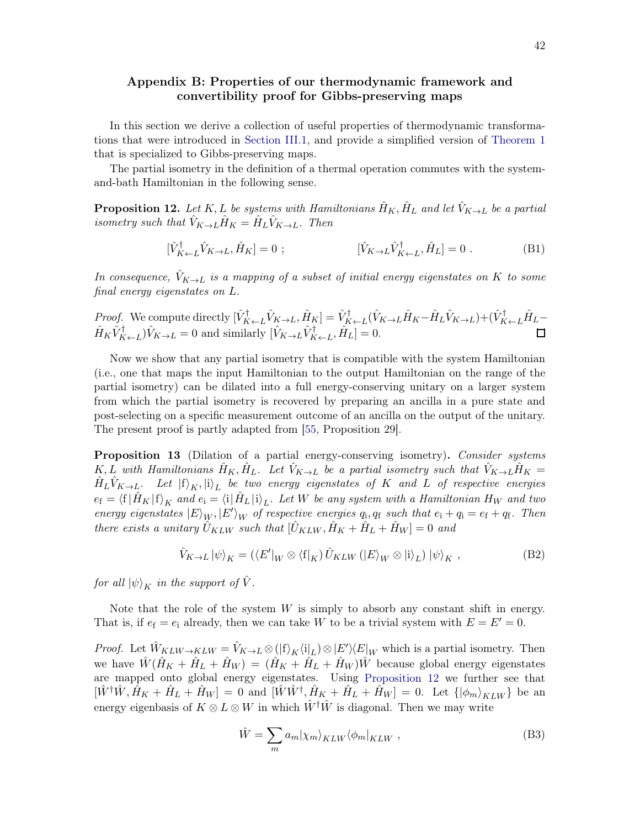# <span id="page-41-0"></span>Appendix B: Properties of our thermodynamic framework and convertibility proof for Gibbs-preserving maps

In this section we derive a collection of useful properties of thermodynamic transformations that were introduced in [Section III.1,](#page-8-1) and provide a simplified version of [Theorem 1](#page-13-1) that is specialized to Gibbs-preserving maps.

<span id="page-41-2"></span>The partial isometry in the definition of a thermal operation commutes with the systemand-bath Hamiltonian in the following sense.

**Proposition 12.** Let K, L be systems with Hamiltonians  $\hat{H}_K$ ,  $\hat{H}_L$  and let  $\hat{V}_{K\to L}$  be a partial isometry such that  $\hat{V}_{K\to L}\hat{H}_K = \hat{H}_L\hat{V}_{K\to L}$ . Then

$$
[\hat{V}_{K \leftarrow L}^{\dagger} \hat{V}_{K \rightarrow L}, \hat{H}_{K}] = 0 ; \qquad [\hat{V}_{K \rightarrow L} \hat{V}_{K \leftarrow L}^{\dagger}, \hat{H}_{L}] = 0 . \qquad (B1)
$$

In consequence,  $V_{K\to L}$  is a mapping of a subset of initial energy eigenstates on K to some final energy eigenstates on L.

Proof. We compute directly  $[\hat{V}_{K\leftarrow L}^{\dagger} \hat{V}_{K\rightarrow L}, \hat{H}_{K}^{\dagger} = \hat{V}_{K\leftarrow L}^{\dagger} (\hat{V}_{K\rightarrow L} \hat{H}_{K} - \hat{H}_{L} \hat{V}_{K\rightarrow L}) + (\hat{V}_{K\leftarrow L}^{\dagger} \hat{H}_{L} - \hat{H}_{K\leftarrow L} \hat{V}_{K\leftarrow L})]$  $\hat{H}_K \hat{V}_{K \leftarrow L}^{\dagger} \hat{V}_{K \rightarrow L} = 0$  and similarly  $[\hat{V}_{K \rightarrow L} \hat{V}_{K \leftarrow L}^{\dagger}, \hat{H}_L] = 0.$ 

Now we show that any partial isometry that is compatible with the system Hamiltonian (i.e., one that maps the input Hamiltonian to the output Hamiltonian on the range of the partial isometry) can be dilated into a full energy-conserving unitary on a larger system from which the partial isometry is recovered by preparing an ancilla in a pure state and post-selecting on a specific measurement outcome of an ancilla on the output of the unitary. The present proof is partly adapted from [\[55,](#page-59-10) Proposition 29].

<span id="page-41-1"></span>**Proposition 13** (Dilation of a partial energy-conserving isometry). Consider systems  $K, L$  with Hamiltonians  $\hat{H}_K, \hat{H}_L$ . Let  $\hat{V}_{K\to L}$  be a partial isometry such that  $\hat{V}_{K\to L}\hat{H}_K =$  $\hat{H}_L \hat{V}_{K\to L}$ . Let  $\ket{{\rm f}}_K, \ket{{\rm i}}_L$  be two energy eigenstates of K and L of respective energies  $e_f = \langle f | \hat{H}_K | f \rangle_K$  and  $e_i = \langle i | \hat{H}_L | i \rangle_L$ . Let W be any system with a Hamiltonian H<sub>W</sub> and two energy eigenstates  $|E\rangle_W$ ,  $|E'\rangle_W$  of respective energies  $q_i$ ,  $q_f$  such that  $e_i + q_i = e_f + q_f$ . Then there exists a unitary  $\hat{U}_{KLW}$  such that  $[\hat{U}_{KLW}, \hat{H}_K + \hat{H}_L + \hat{H}_W] = 0$  and

$$
\hat{V}_{K \to L} |\psi\rangle_K = (\langle E' |_{W} \otimes \langle f |_{K}) \hat{U}_{KLW} (|E\rangle_W \otimes |i\rangle_L) |\psi\rangle_K ,
$$
\n(B2)

for all  $|\psi\rangle_K$  in the support of  $\hat{V}$ .

Note that the role of the system  $W$  is simply to absorb any constant shift in energy. That is, if  $e_f = e_i$  already, then we can take W to be a trivial system with  $E = E' = 0$ .

*Proof.* Let  $\hat{W}_{KLW\to KLW} = \hat{V}_{K\to L} \otimes (f_K\langle i_L \rangle) \otimes |E'\rangle \langle E|_W$  which is a partial isometry. Then we have  $\hat{W}(\hat{H}_K + \hat{H}_L + \hat{H}_W) = (\hat{H}_K + \hat{H}_L + \hat{H}_W)\hat{W}$  because global energy eigenstates are mapped onto global energy eigenstates. Using [Proposition 12](#page-41-2) we further see that  $[\hat{W}^{\dagger} \hat{W}, \hat{H}_K + \hat{H}_L + \hat{H}_W] = 0$  and  $[\hat{W} \hat{W}^{\dagger}, \hat{H}_K + \hat{H}_L + \hat{H}_W] = 0$ . Let  $\{ |\phi_m\rangle_{KLW} \}$  be an energy eigenbasis of  $K \otimes L \otimes W$  in which  $\hat{W}^{\dagger} \hat{W}$  is diagonal. Then we may write

<span id="page-41-3"></span>
$$
\hat{W} = \sum_{m} a_{m} |\chi_{m}\rangle_{KLW} \langle \phi_{m}|_{KLW} , \qquad (B3)
$$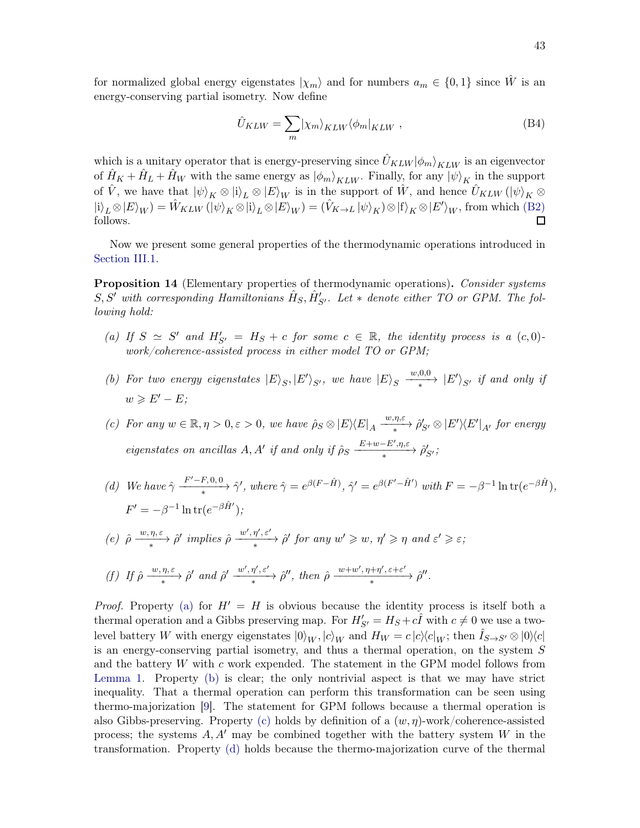for normalized global energy eigenstates  $|\chi_m\rangle$  and for numbers  $a_m \in \{0,1\}$  since W is an energy-conserving partial isometry. Now define

$$
\hat{U}_{KLW} = \sum_{m} |\chi_m\rangle_{KLW} \langle \phi_m|_{KLW} , \qquad (B4)
$$

which is a unitary operator that is energy-preserving since  $\hat{U}_{KLW}|\phi_m\rangle_{KLW}$  is an eigenvector of  $\hat{H}_K + \hat{H}_L + \hat{H}_W$  with the same energy as  $|\phi_m\rangle_{KLW}$ . Finally, for any  $|\psi\rangle_K$  in the support of  $\hat{V}$ , we have that  $|\psi\rangle_K \otimes |i\rangle_L \otimes |E\rangle_W$  is in the support of  $\hat{W}$ , and hence  $\hat{U}_{KLW} (|\psi\rangle_K \otimes$  $|i\rangle_L \otimes |E\rangle_W$ ) =  $\hat{W}_{KLW} (|\psi\rangle_K \otimes |i\rangle_L \otimes |E\rangle_W) = (\hat{V}_{K \to L} |\psi\rangle_K) \otimes |f\rangle_K \otimes |E'\rangle_W$ , from which [\(B2\)](#page-41-3) follows.

<span id="page-42-1"></span>Now we present some general properties of the thermodynamic operations introduced in [Section III.1.](#page-8-1)

**Proposition 14** (Elementary properties of thermodynamic operations). Consider systems  $S, S'$  with corresponding Hamiltonians  $\hat{H}_S, \hat{H}'_{S'}$ . Let  $*$  denote either TO or GPM. The following hold:

- <span id="page-42-2"></span>(a) If  $S \simeq S'$  and  $H'_{S'} = H_S + c$  for some  $c \in \mathbb{R}$ , the identity process is a  $(c, 0)$ . work/coherence-assisted process in either model TO or GPM;
- <span id="page-42-3"></span>(b) For two energy eigenstates  $|E\rangle_{S}, |E'\rangle_{S'}$ , we have  $|E\rangle_{S} \xrightarrow{w,0,0}$  $\frac{(-\infty,0,0)}{*}$  |E''s<sub>S'</sub> if and only if  $w \geqslant E'-E$ ;

<span id="page-42-4"></span>(c) For any  $w \in \mathbb{R}, \eta > 0, \varepsilon > 0$ , we have  $\hat{\rho}_S \otimes |E\rangle\langle E|_A \frac{w, \eta, \varepsilon}{*}$  $\longrightarrow \frac{\omega, \eta, c}{\ast}$   $\hat{\rho}'_{S'} \otimes |E'\rangle\langle E'|_{A'}$  for energy eigenstates on ancillas A, A' if and only if  $\hat{\rho}_S \frac{E+w-E',\eta,\varepsilon}{\varepsilon}$  $\frac{D+w-D}{\rightarrow} \hat{\rho}'_{S'}$ 

- <span id="page-42-5"></span>(d) We have  $\hat{\gamma} \frac{F'-F,0,0}{r}$  $\frac{F'-F,0,0}{\ast}$   $\hat{\gamma}'$ , where  $\hat{\gamma} = e^{\beta(F-\hat{H})}$ ,  $\hat{\gamma}' = e^{\beta(F'-\hat{H}')}$  with  $F = -\beta^{-1} \ln \text{tr}(e^{-\beta \hat{H}})$ ,  $F' = -\beta^{-1} \ln \text{tr}(e^{-\beta \hat{H}'})$ ;
- <span id="page-42-0"></span>(e)  $\hat{\rho} \frac{w, \eta, \varepsilon}{\hat{\rho}}$  $\frac{w, \eta, \varepsilon}{\ast}$   $\hat{\rho}'$  implies  $\hat{\rho}$   $\frac{w', \eta', \varepsilon'}{\ast}$  $\frac{w, \eta, \varepsilon}{\ast}$   $\hat{\rho}'$  for any  $w' \geq w$ ,  $\eta' \geq \eta$  and  $\varepsilon' \geq \varepsilon$ ;
- <span id="page-42-6"></span>(f) If  $\hat{\rho} \xrightarrow{w, \eta, \varepsilon} \hat{\rho}'$  and  $\hat{\rho}' \xrightarrow{w', \eta', \varepsilon'}$  $\frac{w', \eta', \varepsilon'}{\ast}$   $\hat{\rho}''$ , then  $\hat{\rho} \xrightarrow{w+w', \eta+\eta', \varepsilon+\varepsilon'}$  $\frac{w+w, \eta+\eta, \varepsilon+c}{*}$   $\hat{\rho}''$ .

*Proof.* Property [\(a\)](#page-42-2) for  $H' = H$  is obvious because the identity process is itself both a thermal operation and a Gibbs preserving map. For  $H'_{S'} = H_S + c\hat{I}$  with  $c \neq 0$  we use a twolevel battery W with energy eigenstates  $|0\rangle_W, |c\rangle_W$  and  $H_W = c |c\rangle\langle c|_W$ ; then  $I_{S\rightarrow S'} \otimes |0\rangle\langle c|$ is an energy-conserving partial isometry, and thus a thermal operation, on the system S and the battery  $W$  with c work expended. The statement in the GPM model follows from [Lemma 1.](#page-10-0) Property [\(b\)](#page-42-3) is clear; the only nontrivial aspect is that we may have strict inequality. That a thermal operation can perform this transformation can be seen using thermo-majorization [\[9](#page-57-15)]. The statement for GPM follows because a thermal operation is also Gibbs-preserving. Property [\(c\)](#page-42-4) holds by definition of a  $(w, \eta)$ -work/coherence-assisted process; the systems  $A, A'$  may be combined together with the battery system W in the transformation. Property [\(d\)](#page-42-5) holds because the thermo-majorization curve of the thermal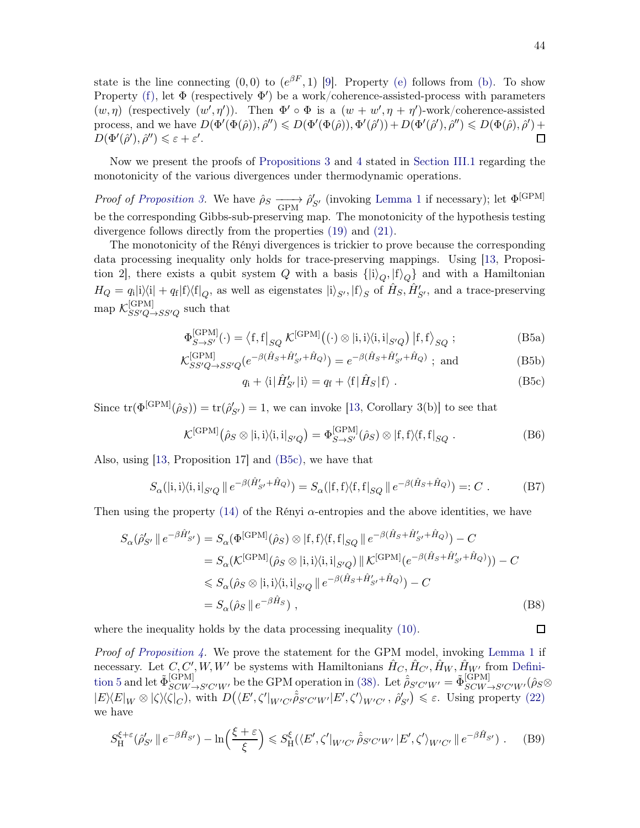state is the line connecting  $(0,0)$  to  $(e^{\beta F},1)$  [\[9\]](#page-57-15). Property [\(e\)](#page-42-0) follows from [\(b\).](#page-42-3) To show Property [\(f\),](#page-42-6) let  $\Phi$  (respectively  $\Phi'$ ) be a work/coherence-assisted-process with parameters  $(w, \eta)$  (respectively  $(w', \eta')$ ). Then  $\Phi' \circ \Phi$  is a  $(w + w', \eta + \eta')$ -work/coherence-assisted process, and we have  $D(\Phi'(\Phi(\hat{\rho})), \hat{\rho}'') \leq D(\Phi'(\Phi(\hat{\rho})), \Phi'(\hat{\rho}')) + D(\Phi'(\hat{\rho}'), \hat{\rho}'') \leq D(\Phi(\hat{\rho}), \hat{\rho}') +$  $\Box$  $D(\Phi'(\hat{\rho}'), \hat{\rho}'') \leqslant \varepsilon + \varepsilon'.$ 

Now we present the proofs of [Propositions 3](#page-10-1) and [4](#page-12-0) stated in [Section III.1](#page-8-1) regarding the monotonicity of the various divergences under thermodynamic operations.

*Proof of [Proposition 3.](#page-10-1)* We have  $\hat{\rho}_S \longrightarrow \hat{\rho}'_{S'}$  (invoking [Lemma 1](#page-10-0) if necessary); let  $\Phi^{[\text{GPM}]}$ be the corresponding Gibbs-sub-preserving map. The monotonicity of the hypothesis testing divergence follows directly from the properties [\(19\)](#page-51-2) and [\(21\).](#page-46-0)

The monotonicity of the Rényi divergences is trickier to prove because the corresponding data processing inequality only holds for trace-preserving mappings. Using [\[13](#page-57-14), Proposition 2, there exists a qubit system Q with a basis  $\{|i\rangle_{Q},|f\rangle_{Q}\}$  and with a Hamiltonian  $H_Q = q_i|i\rangle\langle i| + q_f|f\rangle\langle f|_Q$ , as well as eigenstates  $|i\rangle_{S'}$ ,  $|f\rangle_S$  of  $\hat{H}_S$ ,  $\hat{H}'_{S'}$ , and a trace-preserving  $\mathrm{map}~\mathcal{K}_{SS'Q-}^{[\text{GPM}]}$  $SS'Q \rightarrow SS'Q$  such that

$$
\Phi_{S \to S'}^{[\text{GPM}]}(\cdot) = \left\langle f, f \right|_{SQ} \mathcal{K}^{[\text{GPM}]}((\cdot) \otimes |i, i \rangle \langle i, i|_{S'Q}) \left| f, f \right\rangle_{SQ};
$$
\n(B5a)

$$
\mathcal{K}_{SS'Q \to SS'Q}^{[\text{GPM}]}(e^{-\beta(\hat{H}_S + \hat{H}'_{S'} + \hat{H}_Q)}) = e^{-\beta(\hat{H}_S + \hat{H}'_{S'} + \hat{H}_Q)} \text{; and} \tag{B5b}
$$

<span id="page-43-0"></span>
$$
q_{\rm i} + \langle \rm i | \hat{H}'_{S'} | \rm i \rangle = q_{\rm f} + \langle \rm f | \hat{H}_S | \rm f \rangle . \tag{B5c}
$$

Since  $\text{tr}(\Phi^{\text{[GPM]}}(\hat{\rho}_S)) = \text{tr}(\hat{\rho}'_{S'}) = 1$ , we can invoke [\[13,](#page-57-14) Corollary 3(b)] to see that

$$
\mathcal{K}^{[\text{GPM}]}(\hat{\rho}_S \otimes |i, i\rangle\langle i, i|_{S'Q}) = \Phi_{S \to S'}^{[\text{GPM}]}(\hat{\rho}_S) \otimes |f, f\rangle\langle f, f|_{SQ}.
$$
 (B6)

Also, using [\[13,](#page-57-14) Proposition 17] and [\(B5c\),](#page-43-0) we have that

$$
S_{\alpha}(|i,i\rangle\langle i,i|_{S'Q} || e^{-\beta(\hat{H}'_{S'} + \hat{H}_Q)}) = S_{\alpha}(|f,f\rangle\langle f,f|_{SQ} || e^{-\beta(\hat{H}_S + \hat{H}_Q)}) =: C.
$$
 (B7)

Then using the property  $(14)$  of the Rényi  $\alpha$ -entropies and the above identities, we have

$$
S_{\alpha}(\hat{\rho}'_{S'} \parallel e^{-\beta \hat{H}'_{S'}}) = S_{\alpha}(\Phi^{[\text{GPM}]}(\hat{\rho}_S) \otimes |f, f\rangle \langle f, f|_{SQ} \parallel e^{-\beta(\hat{H}_S + \hat{H}'_{S'} + \hat{H}_Q)}) - C
$$
  
\n
$$
= S_{\alpha}(\mathcal{K}^{[\text{GPM}]}(\hat{\rho}_S \otimes |i, i\rangle \langle i, i|_{S'Q}) \parallel \mathcal{K}^{[\text{GPM}]}(e^{-\beta(\hat{H}_S + \hat{H}'_{S'} + \hat{H}_Q)})) - C
$$
  
\n
$$
\leq S_{\alpha}(\hat{\rho}_S \otimes |i, i\rangle \langle i, i|_{S'Q} \parallel e^{-\beta(\hat{H}_S + \hat{H}'_{S'} + \hat{H}_Q)}) - C
$$
  
\n
$$
= S_{\alpha}(\hat{\rho}_S \parallel e^{-\beta \hat{H}_S}), \tag{B8}
$$

where the inequality holds by the data processing inequality [\(10\).](#page-5-1)

Proof of [Proposition 4.](#page-12-0) We prove the statement for the GPM model, invoking [Lemma 1](#page-10-0) if necessary. Let  $C, C', W, W'$  [be systems with Hamiltonians](#page-11-0)  $\hat{H}_C, \hat{H}_{C'}, \hat{H}_W, \hat{H}_{W'}$  from Definition 5 and let  $\tilde{\Phi}_{SCW \to S'C'W'}^{[\text{GPM}]}$  be the GPM operation in [\(38\).](#page-11-1) Let  $\tilde{\rho}_{S'C'W'} = \tilde{\Phi}_{SCW \to S'C'W'}^{[\text{GPM}]}(\hat{\rho}_{S} \otimes$  $|E\rangle\langle E|_W \otimes |\zeta\rangle\langle\zeta|_C$ , with  $D(\langle E', \zeta'|_{W'C'}\hat{\tilde{\rho}}_{S'C'W'}|E', \zeta'\rangle_{W'C'} , \hat{\rho}'_{S'} ) \leq \varepsilon$ . Using property [\(22\)](#page-46-1) we have

$$
S_{\mathrm{H}}^{\xi+\varepsilon}(\hat{\rho}'_{S'}\parallel e^{-\beta\hat{H}_{S'}}) - \ln\left(\frac{\xi+\varepsilon}{\xi}\right) \leqslant S_{\mathrm{H}}^{\xi}(\langle E',\zeta'|_{W'C'}\hat{\tilde{\rho}}_{S'C'W'}|E',\zeta'\rangle_{W'C'}\parallel e^{-\beta\hat{H}_{S'}}) \ . \tag{B9}
$$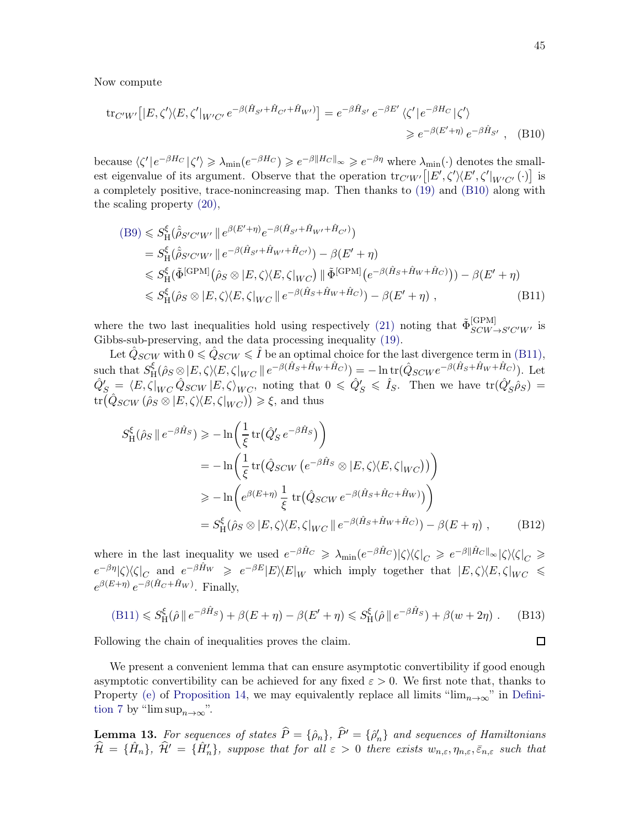Now compute

$$
\text{tr}_{C'W'}\big[|E,\zeta'\rangle\langle E,\zeta'|_{W'C'}e^{-\beta(\hat{H}_{S'}+\hat{H}_{C'}+\hat{H}_{W'})}\big] = e^{-\beta\hat{H}_{S'}}e^{-\beta E'}\langle\zeta'|e^{-\beta H_C}|\zeta'\rangle
$$
  

$$
\geq e^{-\beta(E'+\eta)}e^{-\beta\hat{H}_{S'}}, \quad \text{(B10)}
$$

because  $\langle \zeta' | e^{-\beta H_C} | \zeta' \rangle \geq \lambda_{\min} (e^{-\beta H_C}) \geq e^{-\beta \| H_C \|_{\infty}} \geq e^{-\beta \eta}$  where  $\lambda_{\min}(\cdot)$  denotes the smallest eigenvalue of its argument. Observe that the operation  $\text{tr}_{C'W'}([E',\zeta'\rangle\langle E',\zeta'|_{W'C'}(\cdot)]$  is a completely positive, trace-nonincreasing map. Then thanks to [\(19\)](#page-51-2) and [\(B10\)](#page-55-0) along with the scaling property [\(20\),](#page-51-3)

$$
(B9) \leq S_{\text{H}}^{\xi}(\hat{\rho}_{S'C'W'} || e^{\beta(E'+\eta)} e^{-\beta(\hat{H}_{S'} + \hat{H}_{W'} + \hat{H}_{C'})})
$$
  
\n
$$
= S_{\text{H}}^{\xi}(\hat{\rho}_{S'C'W'} || e^{-\beta(\hat{H}_{S'} + \hat{H}_{W'} + \hat{H}_{C'})}) - \beta(E' + \eta)
$$
  
\n
$$
\leq S_{\text{H}}^{\xi}(\tilde{\Phi}^{[\text{GPM}]}(\hat{\rho}_{S} \otimes | E, \zeta) \langle E, \zeta |_{WC}) || \tilde{\Phi}^{[\text{GPM}]}(e^{-\beta(\hat{H}_{S} + \hat{H}_{W} + \hat{H}_{C})})) - \beta(E' + \eta)
$$
  
\n
$$
\leq S_{\text{H}}^{\xi}(\hat{\rho}_{S} \otimes | E, \zeta) \langle E, \zeta |_{WC} || e^{-\beta(\hat{H}_{S} + \hat{H}_{W} + \hat{H}_{C})}) - \beta(E' + \eta),
$$
\n(B11)

where the two last inequalities hold using respectively [\(21\)](#page-46-0) noting that  $\tilde{\Phi}_{SCW \to S'C'W'}^{[\text{GPM}]}$  is Gibbs-sub-preserving, and the data processing inequality [\(19\).](#page-51-2)

Let  $\hat Q_{SCW}$  with  $0 \leqslant \hat Q_{SCW} \leqslant \hat I$  be an optimal choice for the last divergence term in [\(B11\),](#page-55-2) such that  $S_{\rm F}^{\xi}$  $\frac{\partial \xi}{\partial H}(\hat{\rho}_S \otimes |E,\zeta\rangle \langle E,\zeta|_{WC} \parallel e^{-\beta(\hat{H}_S+\hat{H}_W+\hat{H}_C)}) = -\ln \text{tr}(\hat{Q}_{SCW}e^{-\beta(\hat{H}_S+\hat{H}_W+\hat{H}_C)})$ . Let  $\hat{Q}'_{S} = \langle E, \zeta |_{WC} \hat{Q}_{SCW} | E, \zeta \rangle_{WC},$  noting that  $0 \le \hat{Q}'_{S} \le \hat{I}_{S}.$  Then we have  $\text{tr}(\hat{Q}'_{S}\hat{\rho}_{S}) =$  $\text{tr}(\hat{Q}_{SCW}(\hat{\rho}_S \otimes |E,\zeta\rangle\langle E,\zeta|_{WC})) \geq \xi$ , and thus

$$
S_{\mathrm{H}}^{\xi}(\hat{\rho}_{S} \parallel e^{-\beta \hat{H}_{S}}) \ge -\ln\left(\frac{1}{\xi} \operatorname{tr}(\hat{Q}_{S}^{\prime} e^{-\beta \hat{H}_{S}})\right)
$$
  
\n
$$
= -\ln\left(\frac{1}{\xi} \operatorname{tr}(\hat{Q}_{SCW} \left(e^{-\beta \hat{H}_{S}} \otimes |E, \zeta \rangle \langle E, \zeta|_{WC}\right))\right)
$$
  
\n
$$
\ge -\ln\left(e^{\beta(E+\eta)} \frac{1}{\xi} \operatorname{tr}(\hat{Q}_{SCW} e^{-\beta(\hat{H}_{S} + \hat{H}_{C} + \hat{H}_{W})})\right)
$$
  
\n
$$
= S_{\mathrm{H}}^{\xi}(\hat{\rho}_{S} \otimes |E, \zeta \rangle \langle E, \zeta|_{WC} \| e^{-\beta(\hat{H}_{S} + \hat{H}_{W} + \hat{H}_{C})}) - \beta(E + \eta), \qquad (B12)
$$

where in the last inequality we used  $e^{-\beta \hat{H}_C} \geq \lambda_{\min}(e^{-\beta \hat{H}_C}) |\zeta\rangle\langle\zeta|_C \geq e^{-\beta ||\hat{H}_C||_{\infty}} |\zeta\rangle\langle\zeta|_C \geq$  $e^{-\beta \eta} |\zeta\rangle \langle \zeta|_C$  and  $e^{-\beta \hat{H}_W} \geq e^{-\beta E} |E\rangle \langle E|_W$  which imply together that  $|E, \zeta\rangle \langle E, \zeta|_{WC} \leq$  $e^{\beta(E+\eta)} e^{-\beta(\hat{H}_C+\hat{H}_W)}$ . Finally,

$$
(B11) \leq S_{\mathcal{H}}^{\xi}(\hat{\rho} \parallel e^{-\beta \hat{H}_S}) + \beta(E + \eta) - \beta(E' + \eta) \leq S_{\mathcal{H}}^{\xi}(\hat{\rho} \parallel e^{-\beta \hat{H}_S}) + \beta(w + 2\eta) \tag{B13}
$$

Following the chain of inequalities proves the claim.

We present a convenient lemma that can ensure asymptotic convertibility if good enough asymptotic convertibility can be achieved for any fixed  $\varepsilon > 0$ . We first note that, thanks to Property [\(e\)](#page-42-0) of [Proposition 14](#page-42-1)[, we may equivalently replace all limits "](#page-12-1) $\lim_{n\to\infty}$ " in Definition 7 by "lim  $\sup_{n\to\infty}$ ".

<span id="page-44-0"></span>**Lemma 13.** For sequences of states  $P = {\hat{\rho}_n}$ ,  $P' = {\hat{\rho}'_n}$  and sequences of Hamiltonians  $\hat{\mathcal{H}} = {\hat{H}_n}, \hat{\mathcal{H}}' = {\hat{H}'_n},$  suppose that for all  $\varepsilon > 0$  there exists  $w_{n,\varepsilon}, \eta_{n,\varepsilon}, \bar{\varepsilon}_{n,\varepsilon}$  such that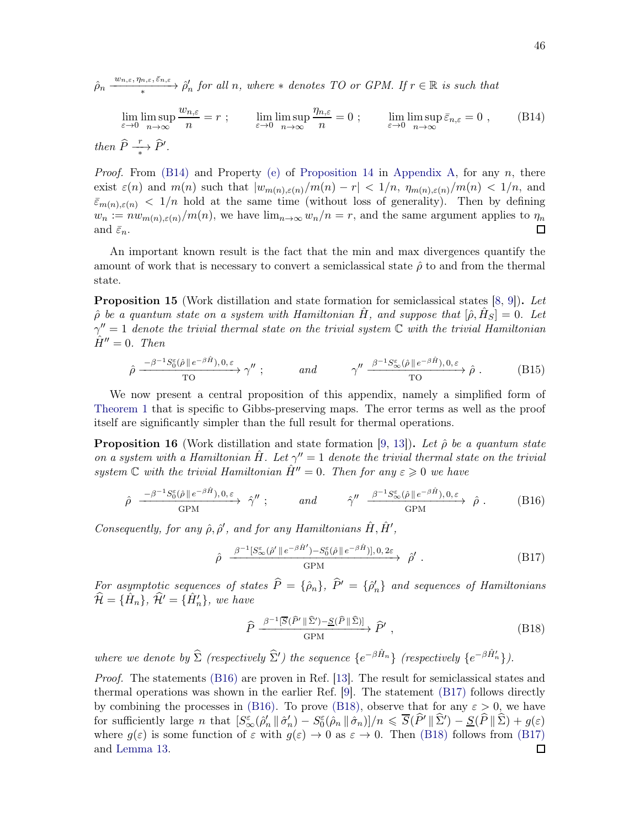$\hat{\rho}_n \stackrel{w_{n,\varepsilon},\eta_{n,\varepsilon},\bar{\varepsilon}_{n,\varepsilon}}{\vphantom{\sum\limits_{\alpha\in\mathbb{R}}}}$  $\frac{w_{n,\varepsilon},\eta_{n,\varepsilon},\varepsilon_{n,\varepsilon}}{*}$   $\hat{\rho}'_n$  for all n, where  $*$  denotes TO or GPM. If  $r \in \mathbb{R}$  is such that

$$
\lim_{\varepsilon \to 0} \limsup_{n \to \infty} \frac{w_{n,\varepsilon}}{n} = r \; ; \qquad \lim_{\varepsilon \to 0} \limsup_{n \to \infty} \frac{\eta_{n,\varepsilon}}{n} = 0 \; ; \qquad \lim_{\varepsilon \to 0} \limsup_{n \to \infty} \bar{\varepsilon}_{n,\varepsilon} = 0 \; , \qquad \text{(B14)}
$$
\n
$$
\text{then } \hat{P} \xrightarrow[\varepsilon]{r} \hat{P'}.
$$

*Proof.* From  $(B14)$  and Property [\(e\)](#page-42-0) of [Proposition 14](#page-42-1) in [Appendix A,](#page-37-1) for any n, there exist  $\varepsilon(n)$  and  $m(n)$  such that  $|w_{m(n),\varepsilon(n)}/m(n) - r| < 1/n$ ,  $\eta_{m(n),\varepsilon(n)}/m(n) < 1/n$ , and  $\bar{\varepsilon}_{m(n),\varepsilon(n)} < 1/n$  hold at the same time (without loss of generality). Then by defining  $w_n := nw_{m(n),\varepsilon(n)}/m(n)$ , we have  $\lim_{n\to\infty} w_n/n = r$ , and the same argument applies to  $\eta_n$  and  $\bar{\varepsilon}_n$ . and  $\bar{\varepsilon}_n$ .

An important known result is the fact that the min and max divergences quantify the amount of work that is necessary to convert a semiclassical state  $\hat{\rho}$  to and from the thermal state.

**Proposition 15** (Work distillation and state formation for semiclassical states [\[8](#page-57-16), [9](#page-57-15)]). Let  $\hat{\rho}$  be a quantum state on a system with Hamiltonian  $\hat{H}$ , and suppose that  $[\hat{\rho}, \hat{H}_S] = 0$ . Let  $\gamma'' = 1$  denote the trivial thermal state on the trivial system  $\mathbb C$  with the trivial Hamiltonian  $\ddot{H}'' = 0$ . Then

$$
\hat{\rho} \xrightarrow{\quad -\beta^{-1}S_0^{\varepsilon}(\hat{\rho} \parallel e^{-\beta \hat{H}}), 0, \varepsilon} \gamma'' ; \qquad \text{and} \qquad \gamma'' \xrightarrow{\quad \beta^{-1}S_{\infty}^{\varepsilon}(\hat{\rho} \parallel e^{-\beta \hat{H}}), 0, \varepsilon} \hat{\rho} . \qquad (B15)
$$

We now present a central proposition of this appendix, namely a simplified form of [Theorem 1](#page-13-1) that is specific to Gibbs-preserving maps. The error terms as well as the proof itself are significantly simpler than the full result for thermal operations.

**Proposition 16** (Work distillation and state formation [\[9,](#page-57-15) [13](#page-57-14)]). Let  $\hat{\rho}$  be a quantum state on a system with a Hamiltonian  $\hat{H}$ . Let  $\gamma'' = 1$  denote the trivial thermal state on the trivial system C with the trivial Hamiltonian  $\hat{H}'' = 0$ . Then for any  $\varepsilon \geq 0$  we have

$$
\hat{\rho} \xrightarrow{\quad -\beta^{-1}S_0^{\varepsilon}(\hat{\rho} \parallel e^{-\beta \hat{H}}), 0, \varepsilon} \hat{\gamma}'' ; \qquad \text{and} \qquad \hat{\gamma}'' \xrightarrow{\quad \beta^{-1}S_{\infty}^{\varepsilon}(\hat{\rho} \parallel e^{-\beta \hat{H}}), 0, \varepsilon} \hat{\rho} . \qquad (B16)
$$

Consequently, for any  $\hat{\rho}, \hat{\rho}'$ , and for any Hamiltonians  $\hat{H}, \hat{H}'$ ,

 $\overline{I}$ 

$$
\hat{\rho} \xrightarrow{\beta^{-1}[S_{\infty}^{\varepsilon}(\hat{\rho}' \parallel e^{-\beta \hat{H}'}) - S_{0}^{\varepsilon}(\hat{\rho} \parallel e^{-\beta \hat{H}})], 0, 2\varepsilon} \hat{\rho}'.
$$
\n(B17)

For asymptotic sequences of states  $P = {\hat{\rho}_n}$ ,  $P' = {\hat{\rho}'_n}$  and sequences of Hamiltonians  $\widehat{\mathcal{H}} = {\hat{H}_n}, \widehat{\mathcal{H}}' = {\hat{H}'_n},$  we have

$$
\hat{P} \xrightarrow{\beta^{-1} [\overline{S}(\hat{P}' \parallel \hat{\Sigma}') - \underline{S}(\hat{P} \parallel \hat{\Sigma})]} \hat{P}',
$$
\n(B18)

where we denote by  $\widehat{\Sigma}$  (respectively  $\widehat{\Sigma}'$ ) the sequence  $\{e^{-\beta \hat{H}_n}\}\$  (respectively  $\{e^{-\beta \hat{H}'_n}\}\$ ).

Proof. The statements [\(B16\)](#page-56-4) are proven in Ref. [\[13](#page-57-14)]. The result for semiclassical states and thermal operations was shown in the earlier Ref. [\[9\]](#page-57-15). The statement [\(B17\)](#page-56-5) follows directly by combining the processes in [\(B16\).](#page-56-4) To prove [\(B18\),](#page-56-2) observe that for any  $\varepsilon > 0$ , we have for sufficiently large n that  $[S^{\varepsilon}_{\infty}(\hat{\rho}'_{n} \|\hat{\sigma}'_{n}) - S^{\varepsilon}_{0}(\hat{\rho}_{n} \|\hat{\sigma}_{n})]/n \leq \overline{S}(\hat{P}' \|\hat{\Sigma}') - \underline{S}(\hat{P} \|\hat{\Sigma}) + g(\varepsilon)$ where  $g(\varepsilon)$  is some function of  $\varepsilon$  with  $g(\varepsilon) \to 0$  as  $\varepsilon \to 0$ . Then [\(B18\)](#page-56-2) follows from [\(B17\)](#page-56-5) and Lemma 13. and [Lemma 13.](#page-44-0)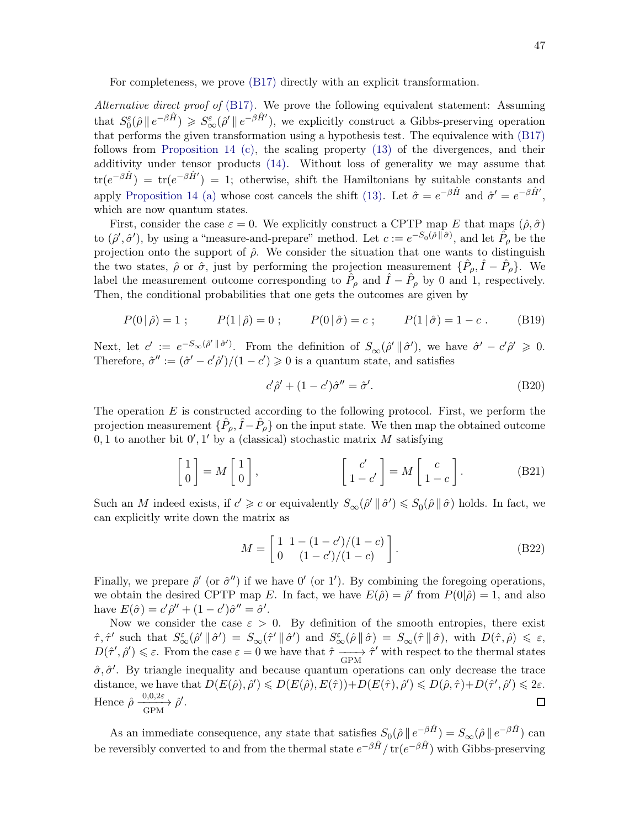For completeness, we prove [\(B17\)](#page-56-5) directly with an explicit transformation.

Alternative direct proof of  $(B17)$ . We prove the following equivalent statement: Assuming that  $S_0^{\varepsilon}(\hat{\rho} \parallel e^{-\beta \hat{H}}) \geq S_{\infty}^{\varepsilon}(\hat{\rho}' \parallel e^{-\beta \hat{H}'}),$  we explicitly construct a Gibbs-preserving operation that performs the given transformation using a hypothesis test. The equivalence with [\(B17\)](#page-56-5) follows from [Proposition 14](#page-42-1) [\(c\),](#page-42-4) the scaling property [\(13\)](#page-5-0) of the divergences, and their additivity under tensor products [\(14\).](#page-5-4) Without loss of generality we may assume that  $\text{tr}(e^{-\beta \hat{H}}) = \text{tr}(e^{-\beta \hat{H}'} ) = 1$ ; otherwise, shift the Hamiltonians by suitable constants and apply [Proposition 14](#page-42-1) [\(a\)](#page-42-2) whose cost cancels the shift [\(13\).](#page-5-0) Let  $\hat{\sigma} = e^{-\beta \hat{H}}$  and  $\hat{\sigma}' = e^{-\beta \hat{H}'}$ , which are now quantum states.

First, consider the case  $\varepsilon = 0$ . We explicitly construct a CPTP map E that maps  $(\hat{\rho}, \hat{\sigma})$ to  $(\hat{\rho}', \hat{\sigma}')$ , by using a "measure-and-prepare" method. Let  $c := e^{-S_0(\hat{\rho} \parallel \hat{\sigma})}$ , and let  $\hat{P}_{\rho}$  be the projection onto the support of  $\hat{\rho}$ . We consider the situation that one wants to distinguish the two states,  $\hat{\rho}$  or  $\hat{\sigma}$ , just by performing the projection measurement  $\{\hat{P}_{\rho}, \hat{I} - \hat{P}_{\rho}\}$ . We label the measurement outcome corresponding to  $\hat{P}_{\rho}$  and  $\hat{I} - \hat{P}_{\rho}$  by 0 and 1, respectively. Then, the conditional probabilities that one gets the outcomes are given by

$$
P(0|\hat{\rho}) = 1
$$
;  $P(1|\hat{\rho}) = 0$ ;  $P(0|\hat{\sigma}) = c$ ;  $P(1|\hat{\sigma}) = 1 - c$ . (B19)

Next, let  $c' := e^{-S_{\infty}(\hat{\rho}' \|\hat{\sigma}')}$ . From the definition of  $S_{\infty}(\hat{\rho}' \|\hat{\sigma}')$ , we have  $\hat{\sigma}' - c'\hat{\rho}' \ge 0$ . Therefore,  $\hat{\sigma}'' := (\hat{\sigma}' - c'\hat{\rho}')/(1 - c') \geq 0$  is a quantum state, and satisfies

<span id="page-46-0"></span>
$$
c'\hat{\rho}' + (1 - c')\hat{\sigma}'' = \hat{\sigma}'.
$$
 (B20)

The operation  $E$  is constructed according to the following protocol. First, we perform the projection measurement  $\{\hat{P}_{\rho}, \hat{I} - \hat{P}_{\rho}\}$  on the input state. We then map the obtained outcome  $0,1$  to another bit  $0',1'$  by a (classical) stochastic matrix M satisfying

$$
\begin{bmatrix} 1 \\ 0 \end{bmatrix} = M \begin{bmatrix} 1 \\ 0 \end{bmatrix}, \qquad \begin{bmatrix} c' \\ 1 - c' \end{bmatrix} = M \begin{bmatrix} c \\ 1 - c \end{bmatrix}.
$$
 (B21)

Such an M indeed exists, if  $c' \geq c$  or equivalently  $S_{\infty}(\hat{\rho}' \parallel \hat{\sigma}') \leqslant S_0(\hat{\rho} \parallel \hat{\sigma})$  holds. In fact, we can explicitly write down the matrix as

<span id="page-46-1"></span>
$$
M = \begin{bmatrix} 1 & 1 - (1 - c')/(1 - c) \\ 0 & (1 - c')/(1 - c) \end{bmatrix}.
$$
 (B22)

Finally, we prepare  $\hat{\rho}'$  (or  $\hat{\sigma}''$ ) if we have  $0'$  (or 1'). By combining the foregoing operations, we obtain the desired CPTP map E. In fact, we have  $E(\hat{\rho}) = \hat{\rho}'$  from  $P(0|\hat{\rho}) = 1$ , and also have  $E(\hat{\sigma}) = c'\hat{\rho}'' + (1 - c')\hat{\sigma}'' = \hat{\sigma}'.$ 

Now we consider the case  $\varepsilon > 0$ . By definition of the smooth entropies, there exist  $\hat{\tau}, \hat{\tau}'$  such that  $S^{\varepsilon}_{\infty}(\hat{\rho}' \|\hat{\sigma}') = S_{\infty}(\hat{\tau}' \|\hat{\sigma}')$  and  $S^{\varepsilon}_{\infty}(\hat{\rho} \|\hat{\sigma}) = S_{\infty}(\hat{\tau} \|\hat{\sigma})$ , with  $D(\hat{\tau}, \hat{\rho}) \leq \varepsilon$ ,  $D(\hat{\tau}', \hat{\rho}') \leq \varepsilon$ . From the case  $\varepsilon = 0$  we have that  $\hat{\tau} \longrightarrow \hat{\tau}'$  with respect to the thermal states  $\hat{\sigma}, \hat{\sigma}'$ . By triangle inequality and because quantum operations can only decrease the trace distance, we have that  $D(E(\hat{\rho}), \hat{\rho}') \leq D(E(\hat{\rho}), E(\hat{\tau})) + D(E(\hat{\tau}), \hat{\rho}') \leq D(\hat{\rho}, \hat{\tau}) + D(\hat{\tau}', \hat{\rho}') \leq 2\varepsilon$ . Hence  $\hat{\rho} \xrightarrow[\text{GPM}]{0,0,2\varepsilon} \hat{\rho}'.$  $\Box$ 

As an immediate consequence, any state that satisfies  $S_0(\hat{\rho} \parallel e^{-\beta \hat{H}}) = S_{\infty}(\hat{\rho} \parallel e^{-\beta \hat{H}})$  can be reversibly converted to and from the thermal state  $e^{-\beta \hat{H}}/\text{tr}(e^{-\beta \hat{H}})$  with Gibbs-preserving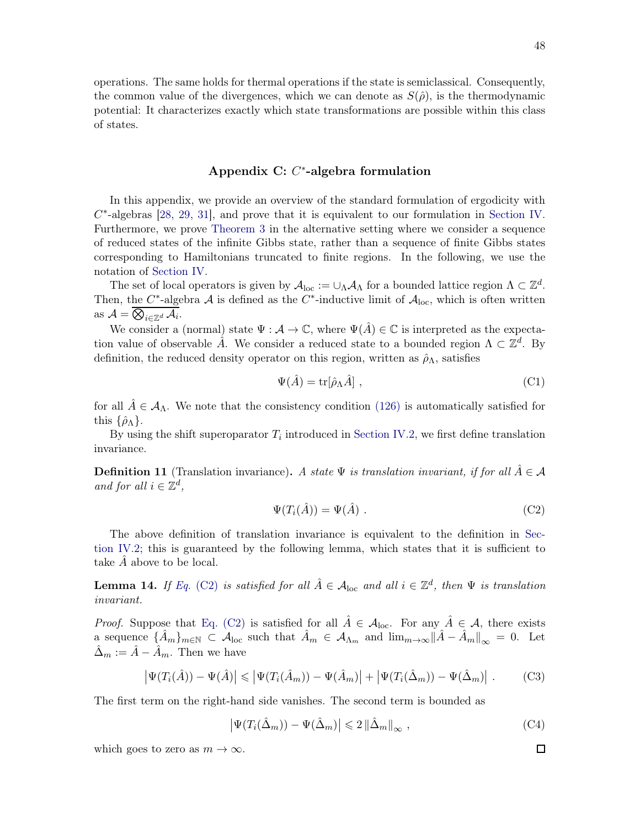operations. The same holds for thermal operations if the state is semiclassical. Consequently, the common value of the divergences, which we can denote as  $S(\hat{\rho})$ , is the thermodynamic potential: It characterizes exactly which state transformations are possible within this class of states.

## <span id="page-47-0"></span>Appendix C:  $C^*$ -algebra formulation

In this appendix, we provide an overview of the standard formulation of ergodicity with  $C^*$ -algebras [\[28,](#page-58-4) [29,](#page-58-16) [31](#page-58-5)], and prove that it is equivalent to our formulation in [Section IV.](#page-26-0) Furthermore, we prove [Theorem 3](#page-31-0) in the alternative setting where we consider a sequence of reduced states of the infinite Gibbs state, rather than a sequence of finite Gibbs states corresponding to Hamiltonians truncated to finite regions. In the following, we use the notation of [Section IV.](#page-26-0)

The set of local operators is given by  $\mathcal{A}_{loc} := \cup_{\Lambda} \mathcal{A}_{\Lambda}$  for a bounded lattice region  $\Lambda \subset \mathbb{Z}^d$ . Then, the C<sup>\*</sup>-algebra A is defined as the C<sup>\*</sup>-inductive limit of  $A_{loc}$ , which is often written as  $A = \overline{\bigotimes_{i \in \mathbb{Z}^d} A_i}$ .

We consider a (normal) state  $\Psi : \mathcal{A} \to \mathbb{C}$ , where  $\Psi(\hat{A}) \in \mathbb{C}$  is interpreted as the expectation value of observable  $\hat{A}$ . We consider a reduced state to a bounded region  $\Lambda \subset \mathbb{Z}^d$ . By definition, the reduced density operator on this region, written as  $\hat{\rho}_{\Lambda}$ , satisfies

$$
\Psi(\hat{A}) = \text{tr}[\hat{\rho}_\Lambda \hat{A}], \qquad (C1)
$$

for all  $\hat{A} \in \mathcal{A}_{\Lambda}$ . We note that the consistency condition [\(126\)](#page-29-1) is automatically satisfied for this  $\{\hat{\rho}_{\Lambda}\}.$ 

By using the shift superoparator  $T_i$  introduced in [Section IV.2,](#page-29-0) we first define translation invariance.

**Definition 11** (Translation invariance). A state  $\Psi$  is translation invariant, if for all  $\hat{A} \in \mathcal{A}$ and for all  $i \in \mathbb{Z}^d$ ,

$$
\Psi(T_i(\hat{A})) = \Psi(\hat{A}) . \tag{C2}
$$

The a[bove definition of translation invariance is equivalent to the definition in](#page-29-0) Section IV.2; this is guaranteed by the following lemma, which states that it is sufficient to take  $\ddot{A}$  above to be local.

<span id="page-47-1"></span>**Lemma 14.** If Eq. [\(C2\)](#page-54-0) is satisfied for all  $\hat{A} \in A_{loc}$  and all  $i \in \mathbb{Z}^d$ , then  $\Psi$  is translation invariant.

*Proof.* Suppose that [Eq. \(C2\)](#page-54-0) is satisfied for all  $\hat{A} \in \mathcal{A}_{loc}$ . For any  $\hat{A} \in \mathcal{A}$ , there exists a sequence  $\{\hat{A}_m\}_{m\in\mathbb{N}}\subset\mathcal{A}_{\text{loc}}$  such that  $\hat{A}_m\in\mathcal{A}_{\Lambda_m}$  and  $\lim_{m\to\infty}||\hat{A}-\hat{A}_m||_{\infty}=0$ . Let  $\hat{\Delta}_m := \hat{A} - \hat{A}_m$ . Then we have

$$
\left|\Psi(T_i(\hat{A})) - \Psi(\hat{A})\right| \leq \left|\Psi(T_i(\hat{A}_m)) - \Psi(\hat{A}_m)\right| + \left|\Psi(T_i(\hat{\Delta}_m)) - \Psi(\hat{\Delta}_m)\right|.
$$
 (C3)

The first term on the right-hand side vanishes. The second term is bounded as

$$
\left|\Psi(T_i(\hat{\Delta}_m)) - \Psi(\hat{\Delta}_m)\right| \leq 2 \left\|\hat{\Delta}_m\right\|_{\infty},\tag{C4}
$$

which goes to zero as  $m \to \infty$ .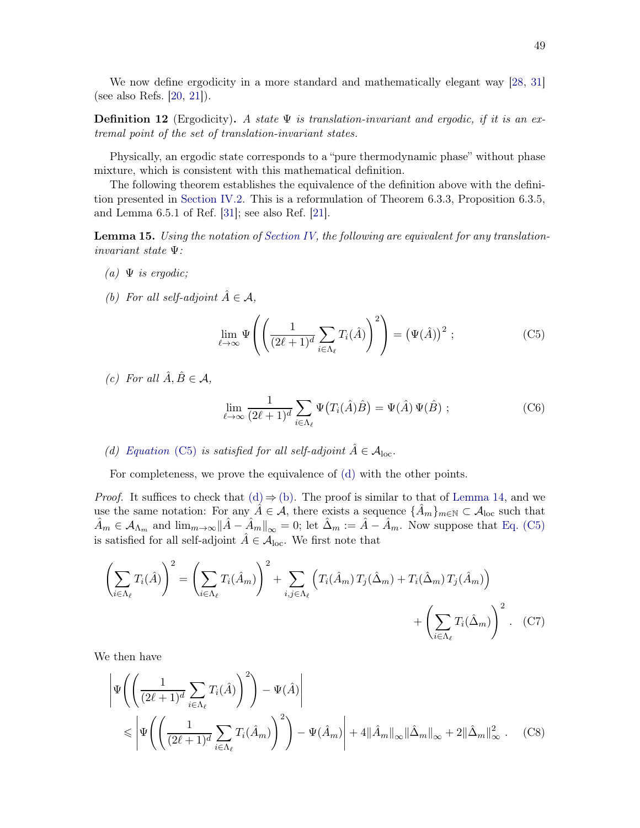We now define ergodicity in a more standard and mathematically elegant way [\[28,](#page-58-4) [31](#page-58-5)] (see also Refs. [\[20](#page-57-9), [21\]](#page-57-17)).

**Definition 12** (Ergodicity). A state  $\Psi$  is translation-invariant and ergodic, if it is an extremal point of the set of translation-invariant states.

Physically, an ergodic state corresponds to a "pure thermodynamic phase" without phase mixture, which is consistent with this mathematical definition.

The following theorem establishes the equivalence of the definition above with the definition presented in [Section IV.2.](#page-29-0) This is a reformulation of Theorem 6.3.3, Proposition 6.3.5, and Lemma 6.5.1 of Ref. [\[31\]](#page-58-5); see also Ref. [\[21](#page-57-17)].

<span id="page-48-2"></span>**Lemma 15.** Using the notation of [Section IV,](#page-26-0) the following are equivalent for any translationinvariant state Ψ:

- <span id="page-48-1"></span>(a)  $\Psi$  is ergodic;
- (b) For all self-adjoint  $\hat{A} \in \mathcal{A}$ ,

$$
\lim_{\ell \to \infty} \Psi \left( \left( \frac{1}{(2\ell + 1)^d} \sum_{i \in \Lambda_\ell} T_i(\hat{A}) \right)^2 \right) = \left( \Psi(\hat{A}) \right)^2 ; \tag{C5}
$$

(c) For all  $\hat{A}, \hat{B} \in \mathcal{A}$ ,

$$
\lim_{\ell \to \infty} \frac{1}{(2\ell+1)^d} \sum_{i \in \Lambda_\ell} \Psi(T_i(\hat{A})\hat{B}) = \Psi(\hat{A}) \Psi(\hat{B}) ;
$$
 (C6)

<span id="page-48-0"></span>(d) [Equation](#page-54-1) (C5) is satisfied for all self-adjoint  $\hat{A} \in \mathcal{A}_{loc}$ .

For completeness, we prove the equivalence of [\(d\)](#page-48-0) with the other points.

*Proof.* It suffices to check that  $(d) \Rightarrow (b)$  $(d) \Rightarrow (b)$ . The proof is similar to that of [Lemma 14,](#page-47-1) and we use the same notation: For any  $\hat{A} \in \mathcal{A}$ , there exists a sequence  $\{\hat{A}_m\}_{m\in\mathbb{N}} \subset \mathcal{A}_{loc}$  such that  $\hat{A}_m \in \mathcal{A}_{\Lambda_m}$  and  $\lim_{m \to \infty} ||\hat{A} - \hat{A}_m||_{\infty} = 0$ ; let  $\hat{\Delta}_m := \hat{A} - \hat{A}_m$ . Now suppose that [Eq. \(C5\)](#page-54-1) is satisfied for all self-adjoint  $\hat{A} \in \mathcal{A}_{loc}$ . We first note that

$$
\left(\sum_{i\in\Lambda_{\ell}}T_{i}(\hat{A})\right)^{2} = \left(\sum_{i\in\Lambda_{\ell}}T_{i}(\hat{A}_{m})\right)^{2} + \sum_{i,j\in\Lambda_{\ell}}\left(T_{i}(\hat{A}_{m})T_{j}(\hat{\Delta}_{m}) + T_{i}(\hat{\Delta}_{m})T_{j}(\hat{A}_{m})\right) + \left(\sum_{i\in\Lambda_{\ell}}T_{i}(\hat{\Delta}_{m})\right)^{2}.
$$
 (C7)

We then have

$$
\left| \Psi \left( \left( \frac{1}{(2\ell+1)^d} \sum_{i \in \Lambda_\ell} T_i(\hat{A}) \right)^2 \right) - \Psi(\hat{A}) \right|
$$
  
\$\leqslant \left| \Psi \left( \left( \frac{1}{(2\ell+1)^d} \sum\_{i \in \Lambda\_\ell} T\_i(\hat{A}\_m) \right)^2 \right) - \Psi(\hat{A}\_m) \right| + 4 \| \hat{A}\_m \|\_{\infty} \| \hat{\Delta}\_m \|\_{\infty} + 2 \| \hat{\Delta}\_m \|\_{\infty}^2 . \quad (C8)\$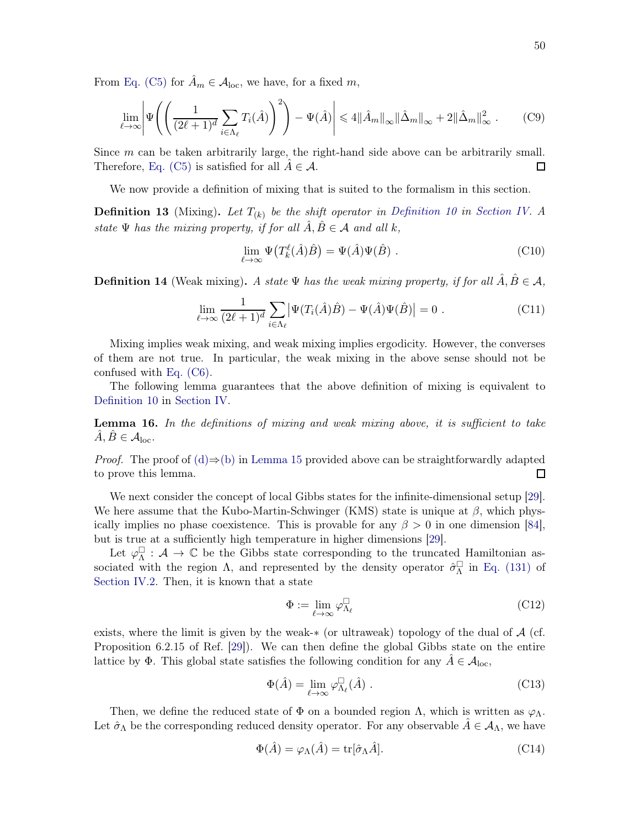From [Eq. \(C5\)](#page-54-1) for  $A_m \in \mathcal{A}_{loc}$ , we have, for a fixed m,

$$
\lim_{\ell \to \infty} \left| \Psi \left( \left( \frac{1}{(2\ell+1)^d} \sum_{i \in \Lambda_\ell} T_i(\hat{A}) \right)^2 \right) - \Psi(\hat{A}) \right| \leq 4 \| \hat{A}_m \|_\infty \| \hat{\Delta}_m \|_\infty + 2 \| \hat{\Delta}_m \|_\infty^2 . \tag{C9}
$$

Since  $m$  can be taken arbitrarily large, the right-hand side above can be arbitrarily small. Therefore, [Eq. \(C5\)](#page-54-1) is satisfied for all  $\tilde{A} \in \mathcal{A}$ .  $\Box$ 

We now provide a definition of mixing that is suited to the formalism in this section.

**Definition 13** (Mixing). Let  $T_{(k)}$  be the shift operator in [Definition 10](#page-33-4) in [Section IV.](#page-26-0) A state  $\Psi$  has the mixing property, if for all  $\hat{A}, \hat{B} \in \mathcal{A}$  and all k,

$$
\lim_{\ell \to \infty} \Psi(T_k^{\ell}(\hat{A})\hat{B}) = \Psi(\hat{A})\Psi(\hat{B}) .
$$
\n(C10)

**Definition 14** (Weak mixing). A state  $\Psi$  has the weak mixing property, if for all  $\hat{A}, \hat{B} \in \mathcal{A}$ ,

$$
\lim_{\ell \to \infty} \frac{1}{(2\ell+1)^d} \sum_{i \in \Lambda_\ell} \left| \Psi(T_i(\hat{A})\hat{B}) - \Psi(\hat{A})\Psi(\hat{B}) \right| = 0 \tag{C11}
$$

Mixing implies weak mixing, and weak mixing implies ergodicity. However, the converses of them are not true. In particular, the weak mixing in the above sense should not be confused with [Eq. \(C6\).](#page-55-3)

The following lemma guarantees that the above definition of mixing is equivalent to [Definition 10](#page-33-4) in [Section IV.](#page-26-0)

**Lemma 16.** In the definitions of mixing and weak mixing above, it is sufficient to take  $\ddot{A}, \ddot{B} \in \mathcal{A}_{loc}.$ 

*Proof.* The proof of [\(d\)](#page-48-0)⇒[\(b\)](#page-48-1) in [Lemma 15](#page-48-2) provided above can be straightforwardly adapted to prove this lemma. to prove this lemma.

We next consider the concept of local Gibbs states for the infinite-dimensional setup [\[29](#page-58-16)]. We here assume that the Kubo-Martin-Schwinger (KMS) state is unique at  $\beta$ , which physically implies no phase coexistence. This is provable for any  $\beta > 0$  in one dimension [\[84](#page-60-16)], but is true at a sufficiently high temperature in higher dimensions [\[29](#page-58-16)].

Let  $\varphi_{\Lambda}^{\Box}$ :  $\mathcal{A} \to \mathbb{C}$  be the Gibbs state corresponding to the truncated Hamiltonian associated with the region  $\Lambda$ , and represented by the density operator  $\hat{\sigma}_{\Lambda}^{\Box}$  in [Eq. \(131\)](#page-30-1) of [Section IV.2.](#page-29-0) Then, it is known that a state

$$
\Phi := \lim_{\ell \to \infty} \varphi_{\Lambda_{\ell}}^{\square} \tag{C12}
$$

exists, where the limit is given by the weak- $*$  (or ultraweak) topology of the dual of  $\mathcal{A}$  (cf. Proposition 6.2.15 of Ref. [\[29](#page-58-16)]). We can then define the global Gibbs state on the entire lattice by  $\Phi$ . This global state satisfies the following condition for any  $A \in \mathcal{A}_{loc}$ ,

$$
\Phi(\hat{A}) = \lim_{\ell \to \infty} \varphi_{\Lambda_{\ell}}^{\square}(\hat{A}) . \tag{C13}
$$

Then, we define the reduced state of  $\Phi$  on a bounded region  $\Lambda$ , which is written as  $\varphi_{\Lambda}$ . Let  $\hat{\sigma}_\Lambda$  be the corresponding reduced density operator. For any observable  $\hat{A} \in \mathcal{A}_{\Lambda}$ , we have

$$
\Phi(\hat{A}) = \varphi_{\Lambda}(\hat{A}) = \text{tr}[\hat{\sigma}_{\Lambda}\hat{A}].
$$
\n(C14)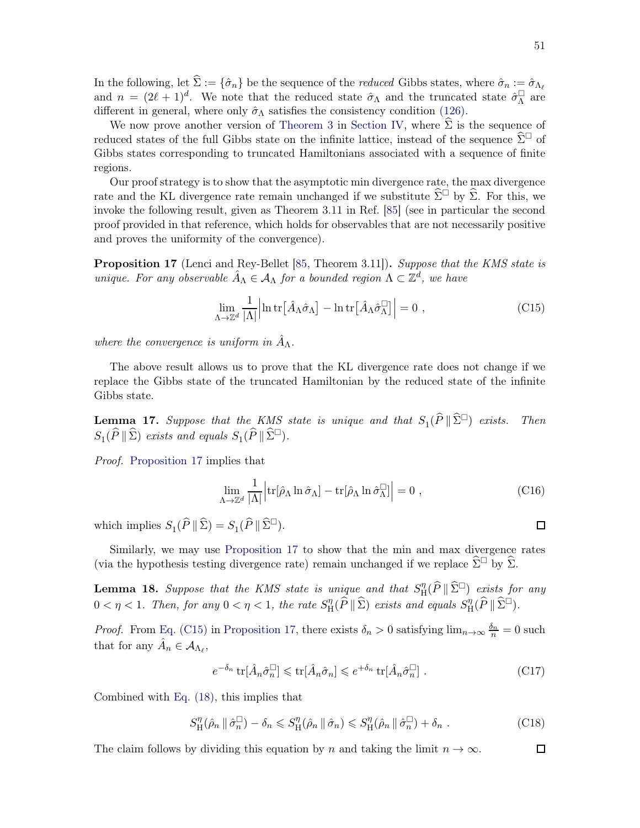In the following, let  $\hat{\Sigma} := {\hat{\sigma}_n}$  be the sequence of the *reduced* Gibbs states, where  $\hat{\sigma}_n := \hat{\sigma}_{\Lambda_\ell}$ and  $n = (2\ell + 1)^d$ . We note that the reduced state  $\hat{\sigma}_{\Lambda}$  and the truncated state  $\hat{\sigma}_{\Lambda}^{\Box}$  are different in general, where only  $\hat{\sigma}_{\Lambda}$  satisfies the consistency condition [\(126\).](#page-29-1)

We now prove another version of [Theorem 3](#page-31-0) in [Section IV,](#page-26-0) where  $\Sigma$  is the sequence of reduced states of the full Gibbs state on the infinite lattice, instead of the sequence  $\hat{\Sigma}^{\Box}$  of Gibbs states corresponding to truncated Hamiltonians associated with a sequence of finite regions.

Our proof strategy is to show that the asymptotic min divergence rate, the max divergence rate and the KL divergence rate remain unchanged if we substitute  $\hat{\Sigma}^{\Box}$  by  $\hat{\Sigma}$ . For this, we invoke the following result, given as Theorem 3.11 in Ref. [\[85\]](#page-60-17) (see in particular the second proof provided in that reference, which holds for observables that are not necessarily positive and proves the uniformity of the convergence).

<span id="page-50-0"></span>**Proposition 17** (Lenci and Rey-Bellet [\[85,](#page-60-17) Theorem 3.11]). Suppose that the KMS state is unique. For any observable  $\hat{A}_{\Lambda} \in A_{\Lambda}$  for a bounded region  $\Lambda \subset \mathbb{Z}^d$ , we have

$$
\lim_{\Lambda \to \mathbb{Z}^d} \frac{1}{|\Lambda|} \left| \ln \text{tr} \left[ \hat{A}_{\Lambda} \hat{\sigma}_{\Lambda} \right] - \ln \text{tr} \left[ \hat{A}_{\Lambda} \hat{\sigma}_{\Lambda}^{\Box} \right] \right| = 0 , \qquad (C15)
$$

where the convergence is uniform in  $\hat{A}_{\Lambda}$ .

<span id="page-50-1"></span>The above result allows us to prove that the KL divergence rate does not change if we replace the Gibbs state of the truncated Hamiltonian by the reduced state of the infinite Gibbs state.

**Lemma 17.** Suppose that the KMS state is unique and that  $S_1(\widehat{P} \|\widehat{\Sigma}^{\Box})$  exists. Then  $S_1(\widehat{P} \|\widehat{\Sigma})$  exists and equals  $S_1(\widehat{P} \|\widehat{\Sigma}^{\square})$ .

Proof. [Proposition 17](#page-50-0) implies that

$$
\lim_{\Lambda \to \mathbb{Z}^d} \frac{1}{|\Lambda|} \Big| \text{tr}[\hat{\rho}_\Lambda \ln \hat{\sigma}_\Lambda] - \text{tr}[\hat{\rho}_\Lambda \ln \hat{\sigma}_\Lambda^\square] \Big| = 0 \;, \tag{C16}
$$

which implies  $S_1(\widehat{P} \|\widehat{\Sigma}) = S_1(\widehat{P} \|\widehat{\Sigma}^{\square}).$ 

<span id="page-50-2"></span>Similarly, we may use [Proposition 17](#page-50-0) to show that the min and max divergence rates (via the hypothesis testing divergence rate) remain unchanged if we replace  $\hat{\Sigma}^{\Box}$  by  $\hat{\Sigma}$ .

**Lemma 18.** Suppose that the KMS state is unique and that  $S_{\rm H}^{\eta}$  $\lim_{\Omega} (\widehat{P} \|\widehat{\Sigma}^{\square})$  exists for any  $0 < \eta < 1$ . Then, for any  $0 < \eta < 1$ , the rate  $S_{\rm H}^{\eta}$  $H^{\eta}_{\text{H}}(\widehat{P}\,\|\,\widehat{\Sigma})$  exists and equals  $S^{\eta}_{\text{H}}$  $H^{\eta}(\widehat{P}\|\widehat{\Sigma}^{\square}).$ 

*Proof.* From [Eq. \(C15\)](#page-56-6) in [Proposition 17,](#page-50-0) there exists  $\delta_n > 0$  satisfying  $\lim_{n\to\infty} \frac{\delta_n}{n} = 0$  such that for any  $\hat{A}_n \in \mathcal{A}_{\Lambda_{\ell}},$ 

$$
e^{-\delta_n} \operatorname{tr}[\hat{A}_n \hat{\sigma}_n^{\square}] \leqslant \operatorname{tr}[\hat{A}_n \hat{\sigma}_n] \leqslant e^{+\delta_n} \operatorname{tr}[\hat{A}_n \hat{\sigma}_n^{\square}]. \tag{C17}
$$

Combined with [Eq. \(18\),](#page-56-2) this implies that

$$
S_{\mathrm{H}}^{\eta}(\hat{\rho}_n \mid \hat{\sigma}_n^{\square}) - \delta_n \leqslant S_{\mathrm{H}}^{\eta}(\hat{\rho}_n \mid \hat{\sigma}_n) \leqslant S_{\mathrm{H}}^{\eta}(\hat{\rho}_n \mid \hat{\sigma}_n^{\square}) + \delta_n . \tag{C18}
$$

The claim follows by dividing this equation by n and taking the limit  $n \to \infty$ .

 $\Box$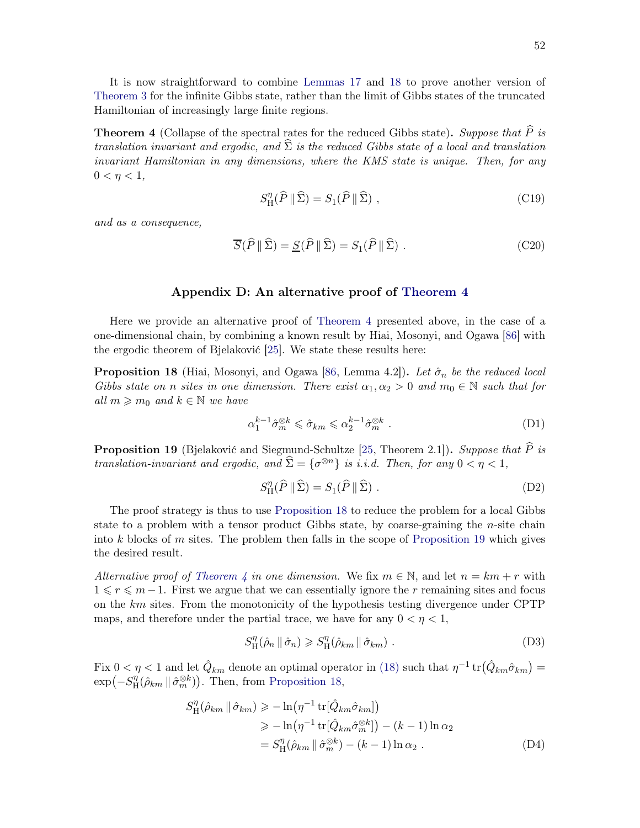It is now straightforward to combine [Lemmas 17](#page-50-1) and [18](#page-50-2) to prove another version of [Theorem 3](#page-31-0) for the infinite Gibbs state, rather than the limit of Gibbs states of the truncated Hamiltonian of increasingly large finite regions.

<span id="page-51-0"></span>**Theorem 4** (Collapse of the spectral rates for the reduced Gibbs state). Suppose that  $\widehat{P}$  is translation invariant and ergodic, and  $\Sigma$  is the reduced Gibbs state of a local and translation invariant Hamiltonian in any dimensions, where the KMS state is unique. Then, for any  $0 < \eta < 1$ ,

<span id="page-51-3"></span><span id="page-51-2"></span>
$$
S_{\rm H}^{\eta}(\widehat{P} \parallel \widehat{\Sigma}) = S_1(\widehat{P} \parallel \widehat{\Sigma}) \tag{C19}
$$

and as a consequence,

$$
\overline{S}(\widehat{P} \|\widehat{\Sigma}) = \underline{S}(\widehat{P} \|\widehat{\Sigma}) = S_1(\widehat{P} \|\widehat{\Sigma}) .
$$
 (C20)

## <span id="page-51-1"></span>Appendix D: An alternative proof of [Theorem 4](#page-51-0)

Here we provide an alternative proof of [Theorem 4](#page-51-0) presented above, in the case of a one-dimensional chain, by combining a known result by Hiai, Mosonyi, and Ogawa [\[86\]](#page-60-18) with the ergodic theorem of Bjelaković [\[25\]](#page-58-3). We state these results here:

<span id="page-51-4"></span>**Proposition 18** (Hiai, Mosonyi, and Ogawa [\[86,](#page-60-18) Lemma 4.2]). Let  $\hat{\sigma}_n$  be the reduced local Gibbs state on n sites in one dimension. There exist  $\alpha_1, \alpha_2 > 0$  and  $m_0 \in \mathbb{N}$  such that for all  $m \geqslant m_0$  and  $k \in \mathbb{N}$  we have

$$
\alpha_1^{k-1} \hat{\sigma}_m^{\otimes k} \leq \hat{\sigma}_{km} \leq \alpha_2^{k-1} \hat{\sigma}_m^{\otimes k} . \tag{D1}
$$

<span id="page-51-5"></span>**Proposition 19** (Bjelaković and Siegmund-Schultze [\[25](#page-58-3), Theorem 2.1]). Suppose that  $\hat{P}$  is translation-invariant and ergodic, and  $\widehat{\Sigma} = {\sigma^{\otimes n}}$  is i.i.d. Then, for any  $0 < \eta < 1$ ,

$$
S_{\rm H}^{\eta}(\widehat{P} \parallel \widehat{\Sigma}) = S_1(\widehat{P} \parallel \widehat{\Sigma}) \ . \tag{D2}
$$

The proof strategy is thus to use [Proposition 18](#page-51-4) to reduce the problem for a local Gibbs state to a problem with a tensor product Gibbs state, by coarse-graining the  $n$ -site chain into k blocks of m sites. The problem then falls in the scope of [Proposition 19](#page-51-5) which gives the desired result.

Alternative proof of [Theorem 4](#page-51-0) in one dimension. We fix  $m \in \mathbb{N}$ , and let  $n = km + r$  with  $1 \leq r \leq m-1$ . First we argue that we can essentially ignore the r remaining sites and focus on the  $km$  sites. From the monotonicity of the hypothesis testing divergence under CPTP maps, and therefore under the partial trace, we have for any  $0 < \eta < 1$ ,

$$
S_{\rm H}^{\eta}(\hat{\rho}_n \parallel \hat{\sigma}_n) \geqslant S_{\rm H}^{\eta}(\hat{\rho}_{km} \parallel \hat{\sigma}_{km}) . \tag{D3}
$$

Fix  $0 < \eta < 1$  and let  $\hat{Q}_{km}$  denote an optimal operator in [\(18\)](#page-56-2) such that  $\eta^{-1}$  tr $(\hat{Q}_{km}\hat{\sigma}_{km}) =$  $\exp(-S_{\rm H}^{\eta}$  $H(\hat{\rho}_{km} \mid \hat{\sigma}_m^{\otimes k})$ . Then, from [Proposition 18,](#page-51-4)

$$
S_{\mathrm{H}}^{\eta}(\hat{\rho}_{km} \parallel \hat{\sigma}_{km}) \ge -\ln(\eta^{-1} \operatorname{tr}[\hat{Q}_{km}\hat{\sigma}_{km}])
$$
  
\n
$$
\ge -\ln(\eta^{-1} \operatorname{tr}[\hat{Q}_{km}\hat{\sigma}_{m}^{\otimes k}]) - (k-1)\ln \alpha_{2}
$$
  
\n
$$
= S_{\mathrm{H}}^{\eta}(\hat{\rho}_{km} \parallel \hat{\sigma}_{m}^{\otimes k}) - (k-1)\ln \alpha_{2} .
$$
 (D4)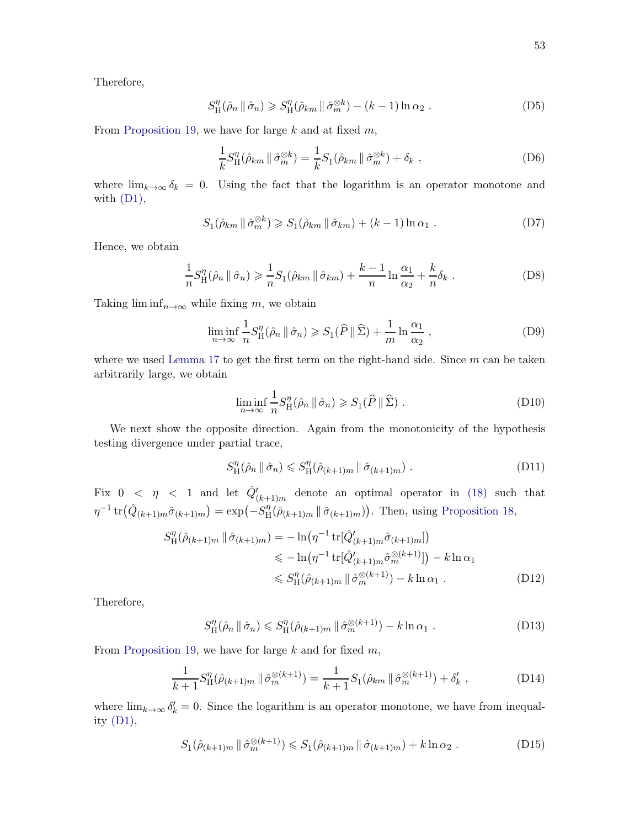Therefore,

$$
S_{\rm H}^{\eta}(\hat{\rho}_n \parallel \hat{\sigma}_n) \geqslant S_{\rm H}^{\eta}(\hat{\rho}_{km} \parallel \hat{\sigma}_m^{\otimes k}) - (k-1)\ln \alpha_2 . \tag{D5}
$$

From [Proposition 19,](#page-51-5) we have for large  $k$  and at fixed  $m$ ,

$$
\frac{1}{k}S_{\mathrm{H}}^{\eta}(\hat{\rho}_{km} \parallel \hat{\sigma}_{m}^{\otimes k}) = \frac{1}{k}S_{1}(\hat{\rho}_{km} \parallel \hat{\sigma}_{m}^{\otimes k}) + \delta_{k} , \qquad (D6)
$$

where  $\lim_{k\to\infty} \delta_k = 0$ . Using the fact that the logarithm is an operator monotone and with  $(D1)$ ,

$$
S_1(\hat{\rho}_{km} \parallel \hat{\sigma}_m^{\otimes k}) \geqslant S_1(\hat{\rho}_{km} \parallel \hat{\sigma}_{km}) + (k-1)\ln \alpha_1 . \tag{D7}
$$

Hence, we obtain

$$
\frac{1}{n}S_{\mathrm{H}}^{\eta}(\hat{\rho}_n \mid \hat{\sigma}_n) \geq \frac{1}{n}S_1(\hat{\rho}_{km} \mid \hat{\sigma}_{km}) + \frac{k-1}{n}\ln\frac{\alpha_1}{\alpha_2} + \frac{k}{n}\delta_k.
$$
 (D8)

Taking  $\liminf_{n\to\infty}$  while fixing m, we obtain

$$
\liminf_{n \to \infty} \frac{1}{n} S_H^{\eta}(\hat{\rho}_n \, \| \, \hat{\sigma}_n) \geqslant S_1(\hat{P} \, \| \, \hat{\Sigma}) + \frac{1}{m} \ln \frac{\alpha_1}{\alpha_2} \,, \tag{D9}
$$

where we used [Lemma 17](#page-50-1) to get the first term on the right-hand side. Since  $m$  can be taken arbitrarily large, we obtain

$$
\liminf_{n \to \infty} \frac{1}{n} S_H^{\eta}(\hat{\rho}_n \, \| \, \hat{\sigma}_n) \geqslant S_1(\hat{P} \, \| \, \hat{\Sigma}) \; . \tag{D10}
$$

We next show the opposite direction. Again from the monotonicity of the hypothesis testing divergence under partial trace,

$$
S_{\mathcal{H}}^{\eta}(\hat{\rho}_n \mid \hat{\sigma}_n) \leqslant S_{\mathcal{H}}^{\eta}(\hat{\rho}_{(k+1)m} \mid \hat{\sigma}_{(k+1)m}). \tag{D11}
$$

Fix  $0 < \eta < 1$  and let  $\hat{Q}'_{(k+1)m}$  denote an optimal operator in [\(18\)](#page-56-2) such that  $\eta^{-1} \, \text{tr} \big( \hat{Q}_{(k+1)m} \hat{\sigma}_{(k+1)m} \big) = \exp \big( -S_H^{\eta}$  $H(\hat{\rho}_{(k+1)m} \mid \hat{\sigma}_{(k+1)m})$ . Then, using [Proposition 18,](#page-51-4)

$$
S_{\mathrm{H}}^{\eta}(\hat{\rho}_{(k+1)m} \|\hat{\sigma}_{(k+1)m}) = -\ln(\eta^{-1} \operatorname{tr}[\hat{Q}_{(k+1)m}'\hat{\sigma}_{(k+1)m}])
$$
  
\n
$$
\leq -\ln(\eta^{-1} \operatorname{tr}[\hat{Q}_{(k+1)m}'\hat{\sigma}_m^{\otimes (k+1)}]) - k \ln \alpha_1
$$
  
\n
$$
\leq S_{\mathrm{H}}^{\eta}(\hat{\rho}_{(k+1)m} \|\hat{\sigma}_m^{\otimes (k+1)}) - k \ln \alpha_1 .
$$
 (D12)

Therefore,

$$
S_{\mathrm{H}}^{\eta}(\hat{\rho}_n \parallel \hat{\sigma}_n) \leqslant S_{\mathrm{H}}^{\eta}(\hat{\rho}_{(k+1)m} \parallel \hat{\sigma}_m^{\otimes (k+1)}) - k \ln \alpha_1 . \tag{D13}
$$

From [Proposition 19,](#page-51-5) we have for large  $k$  and for fixed  $m$ ,

$$
\frac{1}{k+1} S_{\mathrm{H}}^{\eta}(\hat{\rho}_{(k+1)m} \mid \hat{\sigma}_{m}^{\otimes (k+1)}) = \frac{1}{k+1} S_{1}(\hat{\rho}_{km} \mid \hat{\sigma}_{m}^{\otimes (k+1)}) + \delta'_{k} , \qquad (D14)
$$

where  $\lim_{k\to\infty} \delta'_k = 0$ . Since the logarithm is an operator monotone, we have from inequality [\(D1\),](#page-54-2)

$$
S_1(\hat{\rho}_{(k+1)m} \mid \hat{\sigma}_m^{\otimes (k+1)}) \leq S_1(\hat{\rho}_{(k+1)m} \mid \hat{\sigma}_{(k+1)m}) + k \ln \alpha_2.
$$
 (D15)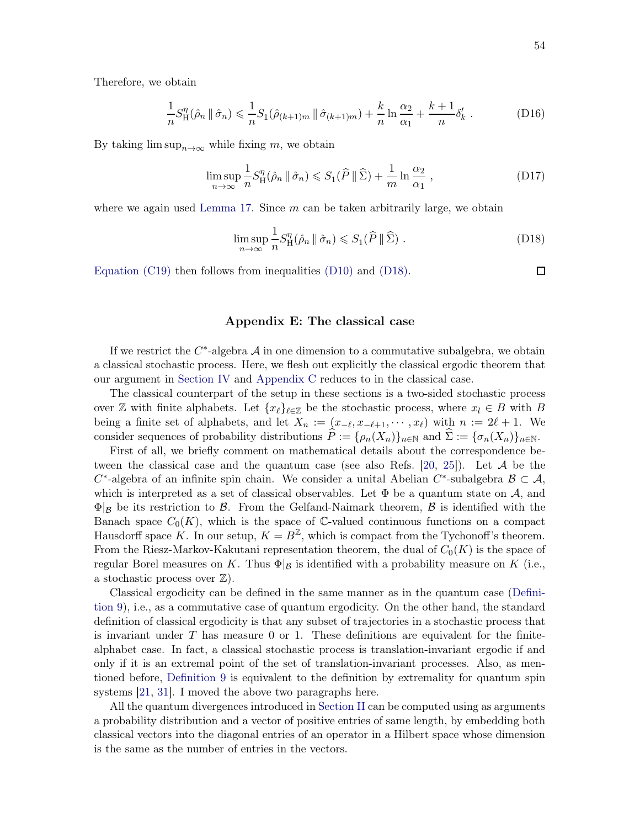Therefore, we obtain

$$
\frac{1}{n}S_{\mathrm{H}}^{\eta}(\hat{\rho}_n \, \| \, \hat{\sigma}_n) \leq \frac{1}{n}S_1(\hat{\rho}_{(k+1)m} \, \| \, \hat{\sigma}_{(k+1)m}) + \frac{k}{n} \ln \frac{\alpha_2}{\alpha_1} + \frac{k+1}{n} \delta_k' \; . \tag{D16}
$$

By taking  $\limsup_{n\to\infty}$  while fixing m, we obtain

$$
\limsup_{n \to \infty} \frac{1}{n} S_{\mathrm{H}}^{\eta}(\hat{\rho}_n \, \| \, \hat{\sigma}_n) \leqslant S_1(\hat{P} \, \| \, \hat{\Sigma}) + \frac{1}{m} \ln \frac{\alpha_2}{\alpha_1} \,, \tag{D17}
$$

where we again used [Lemma 17.](#page-50-1) Since  $m$  can be taken arbitrarily large, we obtain

$$
\limsup_{n \to \infty} \frac{1}{n} S_{\mathrm{H}}^{\eta}(\hat{\rho}_n \, \| \, \hat{\sigma}_n) \leqslant S_1(\widehat{P} \, \| \, \widehat{\Sigma}) \; . \tag{D18}
$$

[Equation \(C19\)](#page-51-2) then follows from inequalities [\(D10\)](#page-55-0) and [\(D18\).](#page-56-2)

#### $\Box$

## <span id="page-53-0"></span>Appendix E: The classical case

If we restrict the  $C^*$ -algebra  $\mathcal A$  in one dimension to a commutative subalgebra, we obtain a classical stochastic process. Here, we flesh out explicitly the classical ergodic theorem that our argument in [Section IV](#page-26-0) and [Appendix C](#page-47-0) reduces to in the classical case.

The classical counterpart of the setup in these sections is a two-sided stochastic process over Z with finite alphabets. Let  $\{x_\ell\}_{\ell \in \mathbb{Z}}$  be the stochastic process, where  $x_\ell \in B$  with B being a finite set of alphabets, and let  $X_n := (x_{-\ell}, x_{-\ell+1}, \dots, x_{\ell})$  with  $n := 2\ell + 1$ . We consider sequences of probability distributions  $P := {\rho_n(X_n)}_{n \in \mathbb{N}}$  and  $\Sigma := {\sigma_n(X_n)}_{n \in \mathbb{N}}$ .

First of all, we briefly comment on mathematical details about the correspondence be-tween the classical case and the quantum case (see also Refs. [\[20,](#page-57-9) [25](#page-58-3)]). Let  $A$  be the  $C^*$ -algebra of an infinite spin chain. We consider a unital Abelian  $C^*$ -subalgebra  $\mathcal{B} \subset \mathcal{A}$ , which is interpreted as a set of classical observables. Let  $\Phi$  be a quantum state on  $\mathcal{A}$ , and  $\Phi|_{\mathcal{B}}$  be its restriction to  $\mathcal{B}$ . From the Gelfand-Naimark theorem,  $\mathcal{B}$  is identified with the Banach space  $C_0(K)$ , which is the space of C-valued continuous functions on a compact Hausdorff space K. In our setup,  $K = B^{\mathbb{Z}}$ , which is compact from the Tychonoff's theorem. From the Riesz-Markov-Kakutani representation theorem, the dual of  $C_0(K)$  is the space of regular Borel measures on K. Thus  $\Phi|_{\mathcal{B}}$  is identified with a probability measure on K (i.e., a stochastic process over  $\mathbb{Z}$ ).

Cl[assical ergodicity can be defined in the same manner as in the quantum case \(](#page-29-3)Definition 9), i.e., as a commutative case of quantum ergodicity. On the other hand, the standard definition of classical ergodicity is that any subset of trajectories in a stochastic process that is invariant under  $T$  has measure 0 or 1. These definitions are equivalent for the finitealphabet case. In fact, a classical stochastic process is translation-invariant ergodic if and only if it is an extremal point of the set of translation-invariant processes. Also, as mentioned before, [Definition 9](#page-29-3) is equivalent to the definition by extremality for quantum spin systems [\[21](#page-57-17), [31\]](#page-58-5). I moved the above two paragraphs here.

All the quantum divergences introduced in [Section II](#page-3-0) can be computed using as arguments a probability distribution and a vector of positive entries of same length, by embedding both classical vectors into the diagonal entries of an operator in a Hilbert space whose dimension is the same as the number of entries in the vectors.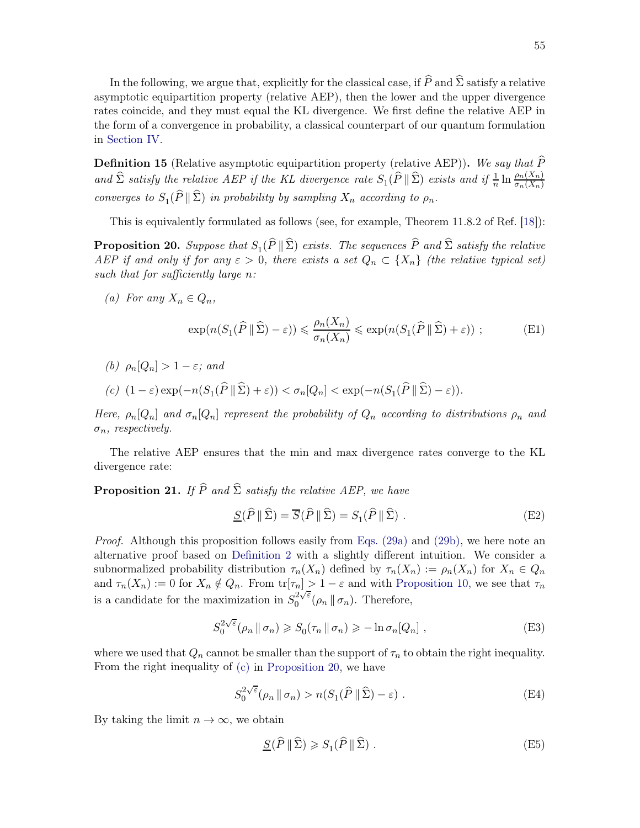In the following, we argue that, explicitly for the classical case, if  $\widehat{P}$  and  $\widehat{\Sigma}$  satisfy a relative asymptotic equipartition property (relative AEP), then the lower and the upper divergence rates coincide, and they must equal the KL divergence. We first define the relative AEP in the form of a convergence in probability, a classical counterpart of our quantum formulation in [Section IV.](#page-26-0)

**Definition 15** (Relative asymptotic equipartition property (relative AEP)). We say that  $\widehat{P}$ and  $\widehat{\Sigma}$  satisfy the relative AEP if the KL divergence rate  $S_1(\widehat{P} \|\widehat{\Sigma})$  exists and if  $\frac{1}{n} \ln \frac{\rho_n(X_n)}{\sigma_n(X_n)}$ converges to  $S_1(P \parallel \Sigma)$  in probability by sampling  $X_n$  according to  $\rho_n$ .

<span id="page-54-4"></span>This is equivalently formulated as follows (see, for example, Theorem 11.8.2 of Ref. [\[18\]](#page-57-7)):

**Proposition 20.** Suppose that  $S_1(P \parallel \Sigma)$  exists. The sequences P and  $\Sigma$  satisfy the relative AEP if and only if for any  $\varepsilon > 0$ , there exists a set  $Q_n \subset \{X_n\}$  (the relative typical set) such that for sufficiently large n:

<span id="page-54-5"></span>(a) For any  $X_n \in Q_n$ ,

<span id="page-54-2"></span>
$$
\exp(n(S_1(\widehat{P} \|\widehat{\Sigma}) - \varepsilon)) \leq \frac{\rho_n(X_n)}{\sigma_n(X_n)} \leq \exp(n(S_1(\widehat{P} \|\widehat{\Sigma}) + \varepsilon)) ;
$$
 (E1)

<span id="page-54-3"></span>(b)  $\rho_n[Q_n] > 1 - \varepsilon$ ; and

$$
(c) \ \ (1-\varepsilon)\exp(-n(S_1(\widehat{P} \|\widehat{\Sigma})+\varepsilon)) < \sigma_n[Q_n] < \exp(-n(S_1(\widehat{P} \|\widehat{\Sigma})-\varepsilon)).
$$

Here,  $\rho_n[Q_n]$  and  $\sigma_n[Q_n]$  represent the probability of  $Q_n$  according to distributions  $\rho_n$  and  $\sigma_n$ , respectively.

The relative AEP ensures that the min and max divergence rates converge to the KL divergence rate:

**Proposition 21.** If  $\widehat{P}$  and  $\widehat{\Sigma}$  satisfy the relative AEP, we have

<span id="page-54-0"></span>
$$
\underline{S}(\widehat{P} \|\widehat{\Sigma}) = \overline{S}(\widehat{P} \|\widehat{\Sigma}) = S_1(\widehat{P} \|\widehat{\Sigma}) .
$$
 (E2)

Proof. Although this proposition follows easily from [Eqs. \(29a\)](#page-7-1) and [\(29b\),](#page-7-2) we here note an alternative proof based on [Definition 2](#page-7-3) with a slightly different intuition. We consider a subnormalized probability distribution  $\tau_n(X_n)$  defined by  $\tau_n(X_n) := \rho_n(X_n)$  for  $X_n \in Q_n$ and  $\tau_n(X_n) := 0$  for  $X_n \notin Q_n$ . From  $\text{tr}[\tau_n] > 1 - \varepsilon$  and with [Proposition 10,](#page-37-2) we see that  $\tau_n$ is a candidate for the maximization in  $S_0^{2\sqrt{\varepsilon}}$  $\int_0^{2\sqrt{\varepsilon}} (\rho_n \, \| \, \sigma_n).$  Therefore,

$$
S_0^{2\sqrt{\varepsilon}}(\rho_n \, \|\, \sigma_n) \geqslant S_0(\tau_n \, \|\, \sigma_n) \geqslant -\ln \sigma_n[Q_n] \;, \tag{E3}
$$

where we used that  $Q_n$  cannot be smaller than the support of  $\tau_n$  to obtain the right inequality. From the right inequality of [\(c\)](#page-54-3) in [Proposition 20,](#page-54-4) we have

$$
S_0^{2\sqrt{\varepsilon}}(\rho_n \, \| \, \sigma_n) > n(S_1(\widehat{P} \, \| \, \widehat{\Sigma}) - \varepsilon) \; . \tag{E4}
$$

By taking the limit  $n \to \infty$ , we obtain

<span id="page-54-1"></span>
$$
\underline{S}(\widehat{P} \|\widehat{\Sigma}) \geqslant S_1(\widehat{P} \|\widehat{\Sigma}) . \tag{E5}
$$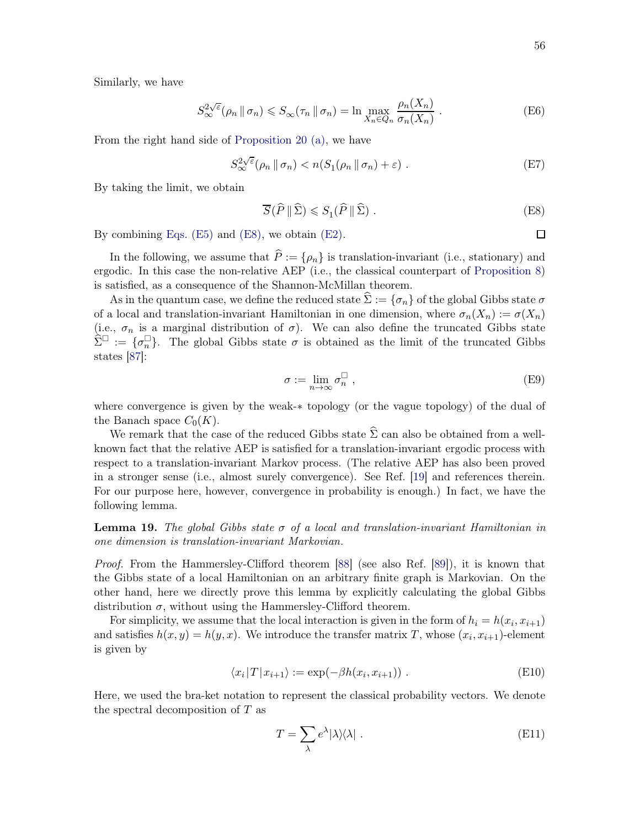Similarly, we have

$$
S_{\infty}^{2\sqrt{\varepsilon}}(\rho_n \, \|\, \sigma_n) \leqslant S_{\infty}(\tau_n \, \|\, \sigma_n) = \ln \max_{X_n \in Q_n} \frac{\rho_n(X_n)}{\sigma_n(X_n)} \,. \tag{E6}
$$

From the right hand side of [Proposition 20](#page-54-4) [\(a\),](#page-54-5) we have

$$
S_{\infty}^{2\sqrt{\varepsilon}}(\rho_n \, \|\, \sigma_n) < n(S_1(\rho_n \, \|\, \sigma_n) + \varepsilon) \tag{E7}
$$

By taking the limit, we obtain

<span id="page-55-4"></span><span id="page-55-3"></span>
$$
\overline{S}(\widehat{P} \parallel \widehat{\Sigma}) \leqslant S_1(\widehat{P} \parallel \widehat{\Sigma}) . \tag{E8}
$$

By combining [Eqs. \(E5\)](#page-54-1) and [\(E8\),](#page-55-4) we obtain [\(E2\).](#page-54-0)

In the following, we assume that  $\hat{P} := \{\rho_n\}$  is translation-invariant (i.e., stationary) and ergodic. In this case the non-relative AEP (i.e., the classical counterpart of [Proposition 8\)](#page-31-6) is satisfied, as a consequence of the Shannon-McMillan theorem.

As in the quantum case, we define the reduced state  $\Sigma := {\sigma_n}$  of the global Gibbs state  $\sigma$ of a local and translation-invariant Hamiltonian in one dimension, where  $\sigma_n(X_n) := \sigma(X_n)$ (i.e.,  $\sigma_n$  is a marginal distribution of  $\sigma$ ). We can also define the truncated Gibbs state  $\widehat{\Sigma}^{\square} := \{\sigma_n^{\square}\}.$  The global Gibbs state  $\sigma$  is obtained as the limit of the truncated Gibbs states [\[87\]](#page-60-19):

<span id="page-55-1"></span>
$$
\sigma := \lim_{n \to \infty} \sigma_n^{\square} , \tag{E9}
$$

where convergence is given by the weak-∗ topology (or the vague topology) of the dual of the Banach space  $C_0(K)$ .

We remark that the case of the reduced Gibbs state  $\hat{\Sigma}$  can also be obtained from a wellknown fact that the relative AEP is satisfied for a translation-invariant ergodic process with respect to a translation-invariant Markov process. (The relative AEP has also been proved in a stronger sense (i.e., almost surely convergence). See Ref. [\[19](#page-57-8)] and references therein. For our purpose here, however, convergence in probability is enough.) In fact, we have the following lemma.

**Lemma 19.** The global Gibbs state  $\sigma$  of a local and translation-invariant Hamiltonian in one dimension is translation-invariant Markovian.

Proof. From the Hammersley-Clifford theorem [\[88](#page-60-20)] (see also Ref. [\[89](#page-60-21)]), it is known that the Gibbs state of a local Hamiltonian on an arbitrary finite graph is Markovian. On the other hand, here we directly prove this lemma by explicitly calculating the global Gibbs distribution  $\sigma$ , without using the Hammersley-Clifford theorem.

For simplicity, we assume that the local interaction is given in the form of  $h_i = h(x_i, x_{i+1})$ and satisfies  $h(x, y) = h(y, x)$ . We introduce the transfer matrix T, whose  $(x_i, x_{i+1})$ -element is given by

$$
\langle x_i | T | x_{i+1} \rangle := \exp(-\beta h(x_i, x_{i+1})) . \tag{E10}
$$

Here, we used the bra-ket notation to represent the classical probability vectors. We denote the spectral decomposition of  $T$  as

<span id="page-55-2"></span><span id="page-55-0"></span>
$$
T = \sum_{\lambda} e^{\lambda} |\lambda\rangle\langle\lambda| \ . \tag{E11}
$$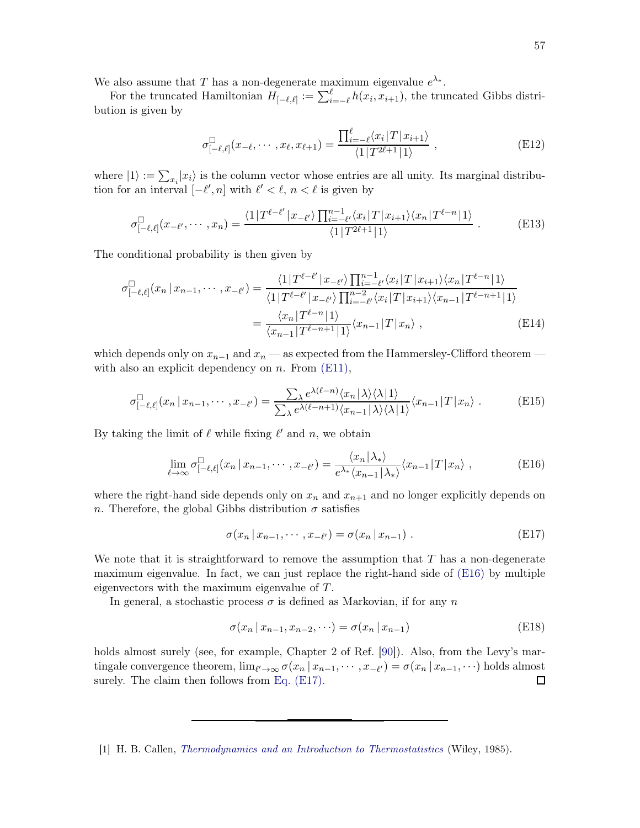We also assume that T has a non-degenerate maximum eigenvalue  $e^{\lambda_*}$ .

For the truncated Hamiltonian  $H_{[-\ell,\ell]} := \sum_{i=-\ell}^{\ell} h(x_i, x_{i+1})$ , the truncated Gibbs distribution is given by

$$
\sigma_{[-\ell,\ell]}^{\Box}(x_{-\ell},\cdots,x_{\ell},x_{\ell+1}) = \frac{\prod_{i=-\ell}^{\ell} \langle x_i | T | x_{i+1} \rangle}{\langle 1 | T^{2\ell+1} | 1 \rangle} , \qquad (E12)
$$

where  $|1\rangle := \sum_{x_i} |x_i\rangle$  is the column vector whose entries are all unity. Its marginal distribution for an interval  $[-\ell', n]$  with  $\ell' < \ell, n < \ell$  is given by

$$
\sigma_{\left[-\ell,\ell\right]}^{\square}(x_{-\ell'},\cdots,x_n) = \frac{\langle 1|T^{\ell-\ell'}|x_{-\ell'}\rangle \prod_{i=-\ell'}^{n-1} \langle x_i|T|x_{i+1}\rangle \langle x_n|T^{\ell-n}|1\rangle}{\langle 1|T^{2\ell+1}|1\rangle}.
$$
 (E13)

The conditional probability is then given by

$$
\sigma_{[-\ell,\ell]}^{\square}(x_n \mid x_{n-1}, \cdots, x_{-\ell'}) = \frac{\langle 1 | T^{\ell-\ell'} | x_{-\ell'} \rangle \prod_{i=-\ell'}^{n-1} \langle x_i | T | x_{i+1} \rangle \langle x_n | T^{\ell-n} | 1 \rangle}{\langle 1 | T^{\ell-\ell'} | x_{-\ell'} \rangle \prod_{i=-\ell'}^{n-2} \langle x_i | T | x_{i+1} \rangle \langle x_{n-1} | T^{\ell-n+1} | 1 \rangle}
$$

$$
= \frac{\langle x_n | T^{\ell-n} | 1 \rangle}{\langle x_{n-1} | T^{\ell-n+1} | 1 \rangle} \langle x_{n-1} | T | x_n \rangle , \qquad (E14)
$$

which depends only on  $x_{n-1}$  and  $x_n$  — as expected from the Hammersley-Clifford theorem with also an explicit dependency on  $n$ . From  $(E11)$ ,

$$
\sigma_{[-\ell,\ell]}^{\square}(x_n \mid x_{n-1}, \cdots, x_{-\ell'}) = \frac{\sum_{\lambda} e^{\lambda(\ell-n)} \langle x_n | \lambda \rangle \langle \lambda | 1 \rangle}{\sum_{\lambda} e^{\lambda(\ell-n+1)} \langle x_{n-1} | \lambda \rangle \langle \lambda | 1 \rangle} \langle x_{n-1} | T | x_n \rangle . \tag{E15}
$$

By taking the limit of  $\ell$  while fixing  $\ell'$  and n, we obtain

$$
\lim_{\ell \to \infty} \sigma_{[-\ell,\ell]}^{\square}(x_n \,|\, x_{n-1}, \cdots, x_{-\ell'}) = \frac{\langle x_n | \lambda_* \rangle}{e^{\lambda_*} \langle x_{n-1} | \lambda_* \rangle} \langle x_{n-1} | T | x_n \rangle \;, \tag{E16}
$$

where the right-hand side depends only on  $x_n$  and  $x_{n+1}$  and no longer explicitly depends on n. Therefore, the global Gibbs distribution  $\sigma$  satisfies

<span id="page-56-6"></span><span id="page-56-5"></span><span id="page-56-4"></span><span id="page-56-3"></span>
$$
\sigma(x_n \mid x_{n-1}, \cdots, x_{-\ell'}) = \sigma(x_n \mid x_{n-1}). \tag{E17}
$$

We note that it is straightforward to remove the assumption that  $T$  has a non-degenerate maximum eigenvalue. In fact, we can just replace the right-hand side of [\(E16\)](#page-56-4) by multiple eigenvectors with the maximum eigenvalue of T.

In general, a stochastic process  $\sigma$  is defined as Markovian, if for any n

<span id="page-56-2"></span><span id="page-56-0"></span>
$$
\sigma(x_n \, | \, x_{n-1}, x_{n-2}, \cdots) = \sigma(x_n \, | \, x_{n-1}) \tag{E18}
$$

holds almost surely (see, for example, Chapter 2 of Ref. [\[90](#page-60-22)]). Also, from the Levy's martingale convergence theorem,  $\lim_{\ell' \to \infty} \sigma(x_n | x_{n-1}, \dots, x_{-\ell'}) = \sigma(x_n | x_{n-1}, \dots)$  holds almost surely. The claim then follows from [Eq. \(E17\).](#page-56-5)

<span id="page-56-1"></span><sup>[1]</sup> H. B. Callen, *[Thermodynamics and an Introduction to Thermostatistics](https://books.google.com/books?id=XJ0RAQAAIAAJ&pgis=1)* (Wiley, 1985).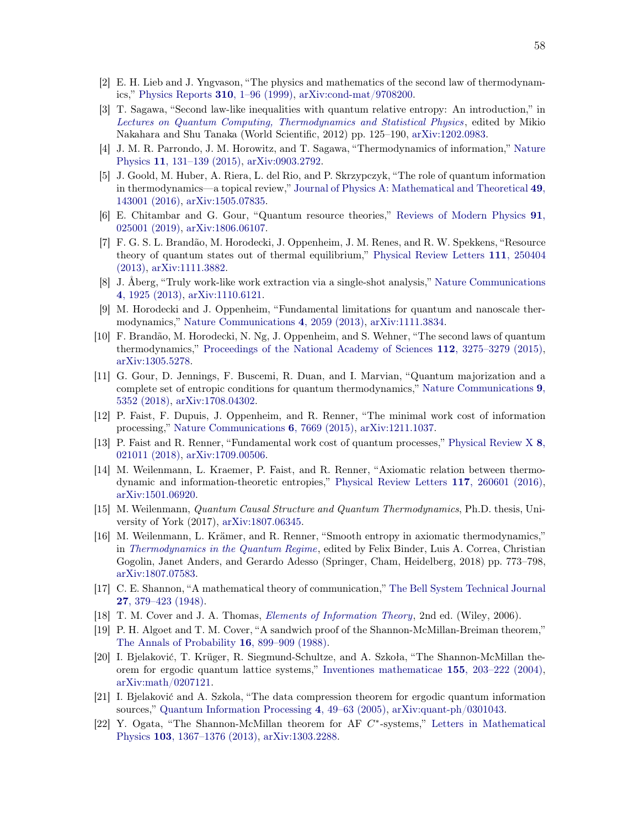- <span id="page-57-0"></span>[2] E. H. Lieb and J. Yngvason, "The physics and mathematics of the second law of thermodynamics," [Physics Reports](https://doi.org/10.1016/S0370-1573(98)00082-9) 310, 1–96 (1999), [arXiv:cond-mat/9708200.](http://arxiv.org/abs/cond-mat/9708200)
- <span id="page-57-1"></span>[3] T. Sagawa, "Second law-like inequalities with quantum relative entropy: An introduction," in *[Lectures on Quantum Computing, Thermodynamics and Statistical Physics](https://doi.org/10.1142/9789814425193_0003)*, edited by Mikio Nakahara and Shu Tanaka (World Scientific, 2012) pp. 125–190, [arXiv:1202.0983.](http://arxiv.org/abs/1202.0983)
- <span id="page-57-2"></span>[4] J. M. R. Parrondo, J. M. Horowitz, and T. Sagawa, "Thermodynamics of information," Nature Physics 11, 131–139 (2015), [arXiv:0903.2792.](http://arxiv.org/abs/0903.2792)
- <span id="page-57-3"></span>[5] J. Goold, M. Huber, A. Riera, L. del Rio, and P. Skrzypczyk, "The role of quantum information in thermodynamics—a topical review," Journal of Physics A: Mathematical and Theoretical 49, 143001 (2016), [arXiv:1505.07835.](http://arxiv.org/abs/1505.07835)
- <span id="page-57-4"></span>[6] E. Chitambar and G. Gour, "Quantum resource theories," Reviews of Modern Physics 91, 025001 (2019), [arXiv:1806.06107.](http://arxiv.org/abs/1806.06107)
- <span id="page-57-11"></span>[7] F. G. S. L. Brandão, M. Horodecki, J. Oppenheim, J. M. Renes, and R. W. Spekkens, "Resource theory of quantum states out of thermal equilibrium," Physical Review Letters 111, 250404 (2013), [arXiv:1111.3882.](http://arxiv.org/abs/1111.3882)
- <span id="page-57-16"></span>[8] J. Åberg, "Truly work-like work extraction via a single-shot analysis," Nature Communications 4, 1925 (2013), [arXiv:1110.6121.](http://arxiv.org/abs/1110.6121)
- <span id="page-57-15"></span>[9] M. Horodecki and J. Oppenheim, "Fundamental limitations for quantum and nanoscale thermodynamics," [Nature Communications](https://doi.org/10.1038/ncomms3059) 4, 2059 (2013), [arXiv:1111.3834.](http://arxiv.org/abs/1111.3834)
- <span id="page-57-12"></span>[10] F. Brandão, M. Horodecki, N. Ng, J. Oppenheim, and S. Wehner, "The second laws of quantum thermodynamics," [Proceedings of the National Academy of Sciences](https://doi.org/10.1073/pnas.1411728112) 112, 3275–3279 (2015), [arXiv:1305.5278.](http://arxiv.org/abs/1305.5278)
- <span id="page-57-18"></span>[11] G. Gour, D. Jennings, F. Buscemi, R. Duan, and I. Marvian, "Quantum majorization and a complete set of entropic conditions for quantum thermodynamics," Nature Communications 9, 5352 (2018), [arXiv:1708.04302.](http://arxiv.org/abs/1708.04302)
- [12] P. Faist, F. Dupuis, J. Oppenheim, and R. Renner, "The minimal work cost of information processing," [Nature Communications](https://doi.org/10.1038/ncomms8669) 6, 7669 (2015), [arXiv:1211.1037.](http://arxiv.org/abs/1211.1037)
- <span id="page-57-14"></span>[13] P. Faist and R. Renner, "Fundamental work cost of quantum processes," Physical Review X 8, 021011 (2018), [arXiv:1709.00506.](http://arxiv.org/abs/1709.00506)
- <span id="page-57-13"></span>[14] M. Weilenmann, L. Kraemer, P. Faist, and R. Renner, "Axiomatic relation between thermodynamic and information-theoretic entropies," [Physical Review Letters](https://doi.org/10.1103/PhysRevLett.117.260601) 117, 260601 (2016), [arXiv:1501.06920.](http://arxiv.org/abs/1501.06920)
- [15] M. Weilenmann, *Quantum Causal Structure and Quantum Thermodynamics*, Ph.D. thesis, University of York (2017), [arXiv:1807.06345.](http://arxiv.org/abs/1807.06345)
- <span id="page-57-5"></span>[16] M. Weilenmann, L. Krämer, and R. Renner, "Smooth entropy in axiomatic thermodynamics," in *[Thermodynamics in the Quantum Regime](https://doi.org/10.1007/978-3-319-99046-0_32)*, edited by Felix Binder, Luis A. Correa, Christian Gogolin, Janet Anders, and Gerardo Adesso (Springer, Cham, Heidelberg, 2018) pp. 773–798, [arXiv:1807.07583.](http://arxiv.org/abs/1807.07583)
- <span id="page-57-6"></span>[17] C. E. Shannon, "A mathematical theory of communication," The Bell System Technical Journal 27, 379–423 (1948).
- <span id="page-57-7"></span>[18] T. M. Cover and J. A. Thomas, *[Elements of Information Theory](https://books.google.com/books?id=EuhBluW31hsC&pgis=1)*, 2nd ed. (Wiley, 2006).
- <span id="page-57-8"></span>[19] P. H. Algoet and T. M. Cover, "A sandwich proof of the Shannon-McMillan-Breiman theorem," [The Annals of Probability](https://doi.org/10.1214/aop/1176991794) 16, 899–909 (1988).
- <span id="page-57-9"></span>[20] I. Bjelaković, T. Krüger, R. Siegmund-Schultze, and A. Szkoła, "The Shannon-McMillan theorem for ergodic quantum lattice systems," [Inventiones mathematicae](https://doi.org/10.1007/s00222-003-0318-3) 155, 203–222 (2004), [arXiv:math/0207121.](http://arxiv.org/abs/math/0207121)
- <span id="page-57-17"></span>[21] I. Bjelaković and A. Szkola, "The data compression theorem for ergodic quantum information sources," [Quantum Information Processing](https://doi.org/10.1007/s11128-003-3195-1) 4, 49–63 (2005), [arXiv:quant-ph/0301043.](http://arxiv.org/abs/quant-ph/0301043)
- <span id="page-57-10"></span>[22] Y. Ogata, "The Shannon-McMillan theorem for AF C\*-systems," Letters in Mathematical Physics 103, 1367–1376 (2013), [arXiv:1303.2288.](http://arxiv.org/abs/1303.2288)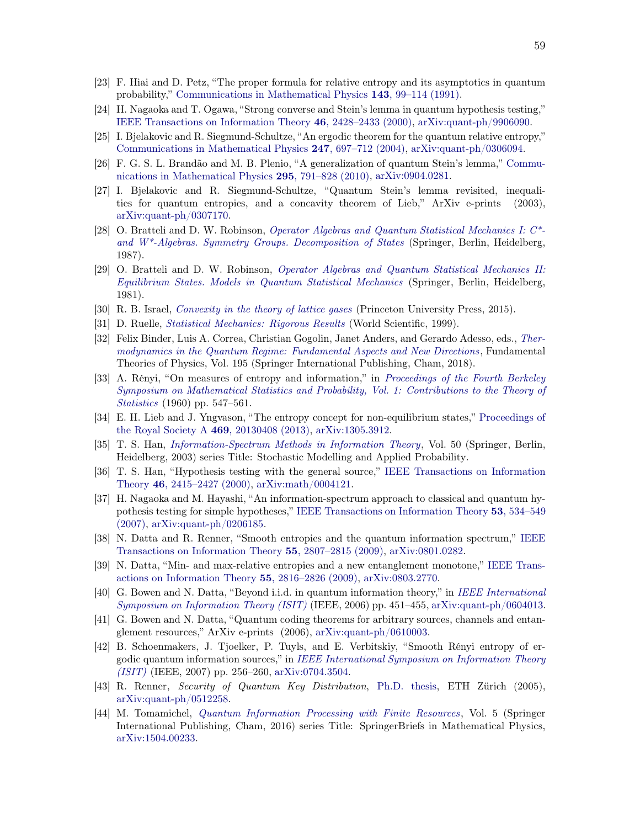- <span id="page-58-0"></span>[23] F. Hiai and D. Petz, "The proper formula for relative entropy and its asymptotics in quantum probability," [Communications in Mathematical Physics](https://doi.org/10.1007/BF02100287) 143, 99–114 (1991).
- <span id="page-58-2"></span>[24] H. Nagaoka and T. Ogawa, "Strong converse and Stein's lemma in quantum hypothesis testing," [IEEE Transactions on Information Theory](https://doi.org/10.1109/18.887855) 46, 2428–2433 (2000), [arXiv:quant-ph/9906090.](http://arxiv.org/abs/quant-ph/9906090)
- <span id="page-58-3"></span>[25] I. Bjelakovic and R. Siegmund-Schultze, "An ergodic theorem for the quantum relative entropy," [Communications in Mathematical Physics](https://doi.org/10.1007/s00220-004-1054-2) 247, 697–712 (2004), [arXiv:quant-ph/0306094.](http://arxiv.org/abs/quant-ph/0306094)
- [26] F. G. S. L. Brandão and M. B. Plenio, "A generalization of quantum Stein's lemma," Communications in Mathematical Physics 295, 791–828 (2010), [arXiv:0904.0281.](http://arxiv.org/abs/0904.0281)
- <span id="page-58-1"></span>[27] I. Bjelakovic and R. Siegmund-Schultze, "Quantum Stein's lemma revisited, inequalities for quantum entropies, and a concavity theorem of Lieb," ArXiv e-prints (2003), [arXiv:quant-ph/0307170.](http://arxiv.org/abs/quant-ph/0307170)
- <span id="page-58-4"></span>[28] O. Bratteli and D. W. Robinson, *Operator Algebras and Quantum Statistical Mechanics I: C\* and W\*-Algebras. Symmetry Groups. Decomposition of States* (Springer, Berlin, Heidelberg, 1987).
- <span id="page-58-16"></span>[29] O. Bratteli and D. W. Robinson, *Operator Algebras and Quantum Statistical Mechanics II: Equilibrium States. Models in Quantum Statistical Mechanics* (Springer, Berlin, Heidelberg, 1981).
- [30] R. B. Israel, *[Convexity in the theory of lattice gases](https://press.princeton.edu/titles/603.html)* (Princeton University Press, 2015).
- <span id="page-58-5"></span>[31] D. Ruelle, *[Statistical Mechanics: Rigorous Results](https://doi.org/10.1142/4090)* (World Scientific, 1999).
- <span id="page-58-6"></span>[32] Felix Binder, Luis A. Correa, Christian Gogolin, Janet Anders, and Gerardo Adesso, eds., *Thermodynamics in the Quantum Regime: Fundamental Aspects and New Directions*, Fundamental Theories of Physics, Vol. 195 (Springer International Publishing, Cham, 2018).
- <span id="page-58-7"></span>[33] A. Rényi, "On measures of entropy and information," in *Proceedings of the Fourth Berkeley Symposiu[m on Mathematical Statistics and Probability, Vol](http://projecteuclid.org/euclid.bsmsp/1200512181). 1: Contributions to the Theory of Statistics* (1960) pp. 547–561.
- <span id="page-58-8"></span>[34] E. H. Lieb and J. Yngvason, "The entropy concept for non-equilibrium states," Proceedings of the Royal Society A 469, 20130408 (2013), [arXiv:1305.3912.](http://arxiv.org/abs/1305.3912)
- <span id="page-58-9"></span>[35] T. S. Han, *[Information-Spectrum Methods in Information Theory](https://doi.org/10.1007/978-3-662-12066-8)*, Vol. 50 (Springer, Berlin, Heidelberg, 2003) series Title: Stochastic Modelling and Applied Probability.
- [36] T. S. Han, "Hypothesis testing with the general source," IEEE Transactions on Information Theory 46, 2415–2427 (2000), [arXiv:math/0004121.](http://arxiv.org/abs/math/0004121)
- <span id="page-58-14"></span>[37] H. Nagaoka and M. Hayashi, "An information-spectrum approach to classical and quantum hypothesis testing for simple hypotheses," IEEE Transactions on Information Theory 53, 534–549 (2007), [arXiv:quant-ph/0206185.](http://arxiv.org/abs/quant-ph/0206185)
- [38] N. Datta and R. Renner, "Smooth entropies and the quantum information spectrum," IEEE Transactions on Information Theory 55, 2807–2815 (2009), [arXiv:0801.0282.](http://arxiv.org/abs/0801.0282)
- <span id="page-58-13"></span>[39] N. Datta, "Min- and max-relative entropies and a new entanglement monotone," IEEE Transactions on Information Theory 55, 2816–2826 (2009), [arXiv:0803.2770.](http://arxiv.org/abs/0803.2770)
- <span id="page-58-15"></span>[40] G. Bowen and N. Datta, "Beyond i.i.d. in quantum information theory," in *IEEE International Symposium on Information Theory (ISIT)* (IEEE, 2006) pp. 451–455, [arXiv:quant-ph/0604013.](http://arxiv.org/abs/quant-ph/0604013)
- <span id="page-58-17"></span>[41] G. Bowen and N. Datta, "Quantum coding theorems for arbitrary sources, channels and entanglement resources," ArXiv e-prints (2006), [arXiv:quant-ph/0610003.](http://arxiv.org/abs/quant-ph/0610003)
- <span id="page-58-10"></span>[42] B. Schoenmakers, J. Tjoelker, P. Tuyls, and E. Verbitskiy, "Smooth Rényi entropy of ergodic quantum information sources," in *IEEE International Symposium on Information Theory (ISIT)* (IEEE, 2007) pp. 256–260, [arXiv:0704.3504.](http://arxiv.org/abs/0704.3504)
- <span id="page-58-11"></span>[43] R. Renner, *Security of Quantum Key Distribution*, [Ph.D. thesis,](https://doi.org/10.3929/ethz-a-005115027) ETH Zürich (2005), [arXiv:quant-ph/0512258.](http://arxiv.org/abs/quant-ph/0512258)
- <span id="page-58-12"></span>[44] M. Tomamichel, *[Quantum Information Processing with Finite Resources](https://doi.org/10.1007/978-3-319-21891-5)*, Vol. 5 (Springer International Publishing, Cham, 2016) series Title: SpringerBriefs in Mathematical Physics, [arXiv:1504.00233.](http://arxiv.org/abs/1504.00233)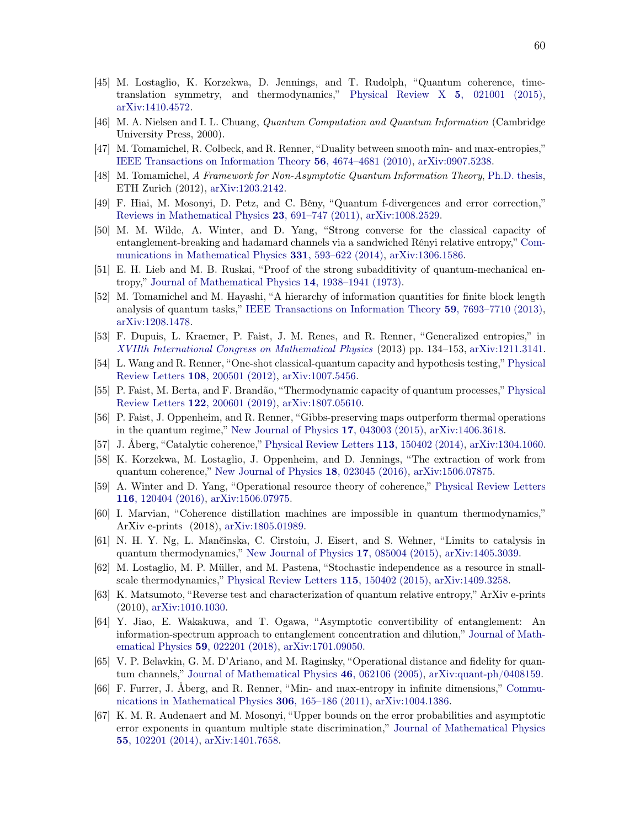- <span id="page-59-0"></span>[45] M. Lostaglio, K. Korzekwa, D. Jennings, and T. Rudolph, "Quantum coherence, timetranslation symmetry, and thermodynamics," [Physical Review X](https://doi.org/10.1103/PhysRevX.5.021001) 5, 021001 (2015), [arXiv:1410.4572.](http://arxiv.org/abs/1410.4572)
- <span id="page-59-1"></span>[46] M. A. Nielsen and I. L. Chuang, *Quantum Computation and Quantum Information* (Cambridge University Press, 2000).
- <span id="page-59-2"></span>[47] M. Tomamichel, R. Colbeck, and R. Renner, "Duality between smooth min- and max-entropies," [IEEE Transactions on Information Theory](https://doi.org/10.1109/TIT.2010.2054130) 56, 4674–4681 (2010), [arXiv:0907.5238.](http://arxiv.org/abs/0907.5238)
- <span id="page-59-3"></span>[48] M. Tomamichel, *A Framework for Non-Asymptotic Quantum Information Theory*, [Ph.D. thesis,](https://doi.org/10.3929/ethz-a-7356080) ETH Zurich (2012), [arXiv:1203.2142.](http://arxiv.org/abs/1203.2142)
- <span id="page-59-4"></span>[49] F. Hiai, M. Mosonyi, D. Petz, and C. Bény, "Quantum f-divergences and error correction," [Reviews in Mathematical Physics](https://doi.org/10.1142/S0129055X11004412) 23, 691–747 (2011), [arXiv:1008.2529.](http://arxiv.org/abs/1008.2529)
- <span id="page-59-5"></span>[50] M. M. Wilde, A. Winter, and D. Yang, "Strong converse for the classical capacity of entanglement-breaking and hadamard channels via a sandwiched Rényi relative entropy," Communications in Mathematical Physics 331, 593–622 (2014), [arXiv:1306.1586.](http://arxiv.org/abs/1306.1586)
- <span id="page-59-6"></span>[51] E. H. Lieb and M. B. Ruskai, "Proof of the strong subadditivity of quantum-mechanical entropy," [Journal of Mathematical Physics](https://doi.org/10.1063/1.1666274) 14, 1938–1941 (1973).
- <span id="page-59-7"></span>[52] M. Tomamichel and M. Hayashi, "A hierarchy of information quantities for finite block length analysis of quantum tasks," [IEEE Transactions on Information Theory](https://doi.org/10.1109/TIT.2013.2276628) 59, 7693–7710 (2013), [arXiv:1208.1478.](http://arxiv.org/abs/1208.1478)
- <span id="page-59-8"></span>[53] F. Dupuis, L. Kraemer, P. Faist, J. M. Renes, and R. Renner, "Generalized entropies," in *[XVIIth International Congress on Mathematical Physics](https://doi.org/10.1142/9789814449243_0008)* (2013) pp. 134–153, [arXiv:1211.3141.](http://arxiv.org/abs/1211.3141)
- <span id="page-59-9"></span>[54] L. Wang and R. Renner, "One-shot classical-quantum capacity and hypothesis testing," Physical Review Letters 108, 200501 (2012), [arXiv:1007.5456.](http://arxiv.org/abs/1007.5456)
- <span id="page-59-10"></span>[55] P. Faist, M. Berta, and F. Brandão, "Thermodynamic capacity of quantum processes," Physical Review Letters 122, 200601 (2019), [arXiv:1807.05610.](http://arxiv.org/abs/1807.05610)
- <span id="page-59-11"></span>[56] P. Faist, J. Oppenheim, and R. Renner, "Gibbs-preserving maps outperform thermal operations in the quantum regime," [New Journal of Physics](https://doi.org/10.1088/1367-2630/17/4/043003) 17, 043003 (2015), [arXiv:1406.3618.](http://arxiv.org/abs/1406.3618)
- <span id="page-59-12"></span>[57] J. Åberg, "Catalytic coherence," [Physical Review Letters](https://doi.org/10.1103/PhysRevLett.113.150402) 113, 150402 (2014), [arXiv:1304.1060.](http://arxiv.org/abs/1304.1060)
- <span id="page-59-21"></span>[58] K. Korzekwa, M. Lostaglio, J. Oppenheim, and D. Jennings, "The extraction of work from quantum coherence," [New Journal of Physics](https://doi.org/10.1088/1367-2630/18/2/023045) 18, 023045 (2016), [arXiv:1506.07875.](http://arxiv.org/abs/1506.07875)
- [59] A. Winter and D. Yang, "Operational resource theory of coherence," Physical Review Letters 116, 120404 (2016), [arXiv:1506.07975.](http://arxiv.org/abs/1506.07975)
- <span id="page-59-13"></span>[60] I. Marvian, "Coherence distillation machines are impossible in quantum thermodynamics," ArXiv e-prints (2018), [arXiv:1805.01989.](http://arxiv.org/abs/1805.01989)
- <span id="page-59-14"></span>[61] N. H. Y. Ng, L. Mančinska, C. Cirstoiu, J. Eisert, and S. Wehner, "Limits to catalysis in quantum thermodynamics," [New Journal of Physics](https://doi.org/10.1088/1367-2630/17/8/085004) 17, 085004 (2015), [arXiv:1405.3039.](http://arxiv.org/abs/1405.3039)
- <span id="page-59-15"></span>[62] M. Lostaglio, M. P. Müller, and M. Pastena, "Stochastic independence as a resource in smallscale thermodynamics," [Physical Review Letters](https://doi.org/10.1103/PhysRevLett.115.150402) 115, 150402 (2015), [arXiv:1409.3258.](http://arxiv.org/abs/1409.3258)
- <span id="page-59-16"></span>[63] K. Matsumoto, "Reverse test and characterization of quantum relative entropy," ArXiv e-prints (2010), [arXiv:1010.1030.](http://arxiv.org/abs/1010.1030)
- <span id="page-59-17"></span>[64] Y. Jiao, E. Wakakuwa, and T. Ogawa, "Asymptotic convertibility of entanglement: An information-spectrum approach to entanglement concentration and dilution," Journal of Mathematical Physics 59, 022201 (2018), [arXiv:1701.09050.](http://arxiv.org/abs/1701.09050)
- <span id="page-59-18"></span>[65] V. P. Belavkin, G. M. D'Ariano, and M. Raginsky, "Operational distance and fidelity for quantum channels," [Journal of Mathematical Physics](https://doi.org/10.1063/1.1904510) 46, 062106 (2005), [arXiv:quant-ph/0408159.](http://arxiv.org/abs/quant-ph/0408159)
- <span id="page-59-19"></span>[66] F. Furrer, J. Åberg, and R. Renner, "Min- and max-entropy in infinite dimensions," Communications in Mathematical Physics 306, 165–186 (2011), [arXiv:1004.1386.](http://arxiv.org/abs/1004.1386)
- <span id="page-59-20"></span>[67] K. M. R. Audenaert and M. Mosonyi, "Upper bounds on the error probabilities and asymptotic error exponents in quantum multiple state discrimination," Journal of Mathematical Physics 55, 102201 (2014), [arXiv:1401.7658.](http://arxiv.org/abs/1401.7658)